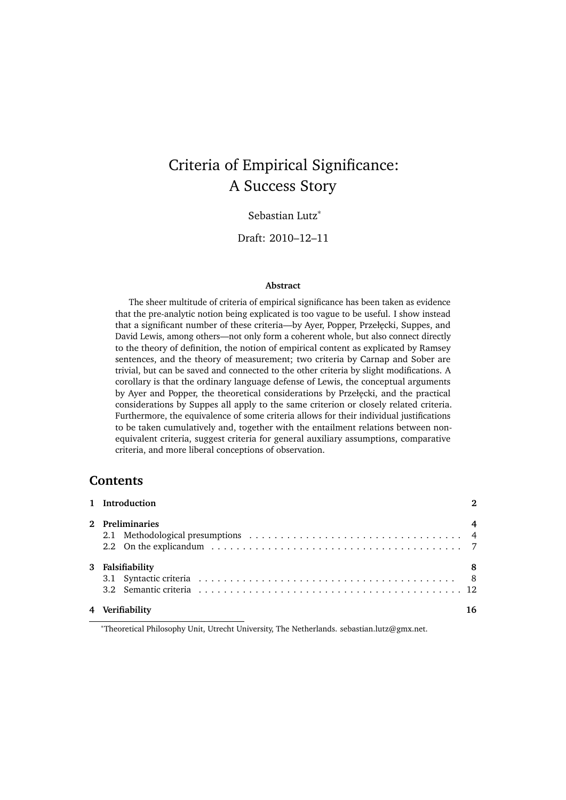# Criteria of Empirical Significance: A Success Story

Sebastian Lutz<sup>∗</sup>

Draft: 2010–12–11

#### **Abstract**

The sheer multitude of criteria of empirical significance has been taken as evidence that the pre-analytic notion being explicated is too vague to be useful. I show instead that a significant number of these criteria—by Ayer, Popper, Przełęcki, Suppes, and David Lewis, among others—not only form a coherent whole, but also connect directly to the theory of definition, the notion of empirical content as explicated by Ramsey sentences, and the theory of measurement; two criteria by Carnap and Sober are trivial, but can be saved and connected to the other criteria by slight modifications. A corollary is that the ordinary language defense of Lewis, the conceptual arguments by Ayer and Popper, the theoretical considerations by Przełęcki, and the practical considerations by Suppes all apply to the same criterion or closely related criteria. Furthermore, the equivalence of some criteria allows for their individual justifications to be taken cumulatively and, together with the entailment relations between nonequivalent criteria, suggest criteria for general auxiliary assumptions, comparative criteria, and more liberal conceptions of observation.

## **Contents**

| 1 Introduction   | $\mathbf{a}$   |
|------------------|----------------|
| 2 Preliminaries  | $\overline{4}$ |
| 3 Falsifiability | -8             |
| 4 Verifiability  | 16             |

<sup>∗</sup>Theoretical Philosophy Unit, Utrecht University, The Netherlands. sebastian.lutz@gmx.net.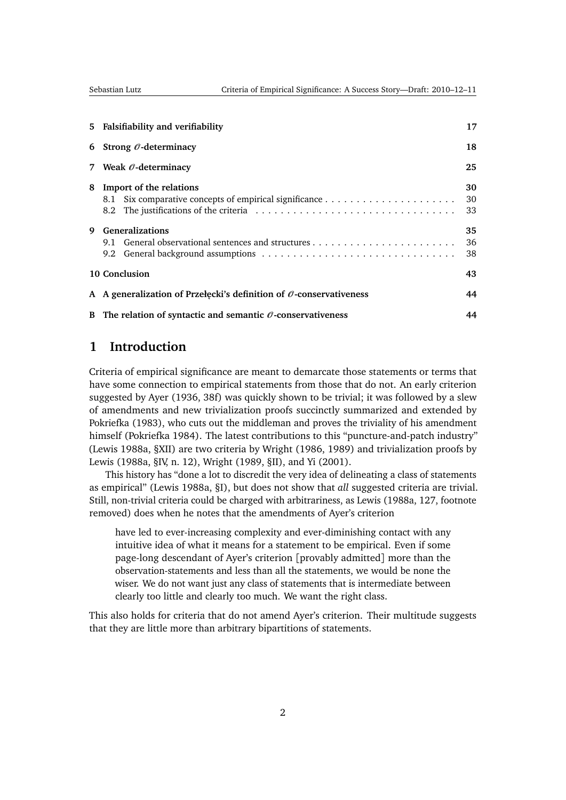<span id="page-1-1"></span>

| 5 Falsifiability and verifiability                                         | 17             |
|----------------------------------------------------------------------------|----------------|
| 6 Strong $\mathcal O$ -determinacy                                         | 18             |
| 7 Weak $\mathcal O$ -determinacy                                           | 25             |
| Import of the relations<br>8.1                                             | 30<br>30<br>33 |
| <b>Generalizations</b><br>9.1                                              | 35<br>36<br>38 |
| 10 Conclusion                                                              | 43             |
| A A generalization of Przełęcki's definition of $\theta$ -conservativeness | 44             |
| B The relation of syntactic and semantic $\mathcal O$ -conservativeness    | 44             |
|                                                                            |                |

# <span id="page-1-0"></span>**1 Introduction**

Criteria of empirical significance are meant to demarcate those statements or terms that have some connection to empirical statements from those that do not. An early criterion suggested by [Ayer](#page-45-0) [\(1936,](#page-45-0) 38f) was quickly shown to be trivial; it was followed by a slew of amendments and new trivialization proofs succinctly summarized and extended by [Pokriefka](#page-49-0) [\(1983\)](#page-49-0), who cuts out the middleman and proves the triviality of his amendment himself [\(Pokriefka](#page-49-1) [1984\)](#page-49-1). The latest contributions to this "puncture-and-patch industry" [\(Lewis](#page-48-0) [1988a,](#page-48-0) §XII) are two criteria by [Wright](#page-51-0) [\(1986,](#page-51-0) [1989\)](#page-51-1) and trivialization proofs by [Lewis](#page-48-0) [\(1988a,](#page-48-0) §IV, n. 12), [Wright](#page-51-1) [\(1989,](#page-51-1) §II), and [Yi](#page-51-2) [\(2001\)](#page-51-2).

This history has "done a lot to discredit the very idea of delineating a class of statements as empirical" [\(Lewis](#page-48-0) [1988a,](#page-48-0) §I), but does not show that *all* suggested criteria are trivial. Still, non-trivial criteria could be charged with arbitrariness, as [Lewis](#page-48-0) [\(1988a,](#page-48-0) 127, footnote removed) does when he notes that the amendments of Ayer's criterion

have led to ever-increasing complexity and ever-diminishing contact with any intuitive idea of what it means for a statement to be empirical. Even if some page-long descendant of Ayer's criterion [provably admitted] more than the observation-statements and less than all the statements, we would be none the wiser. We do not want just any class of statements that is intermediate between clearly too little and clearly too much. We want the right class.

This also holds for criteria that do not amend Ayer's criterion. Their multitude suggests that they are little more than arbitrary bipartitions of statements.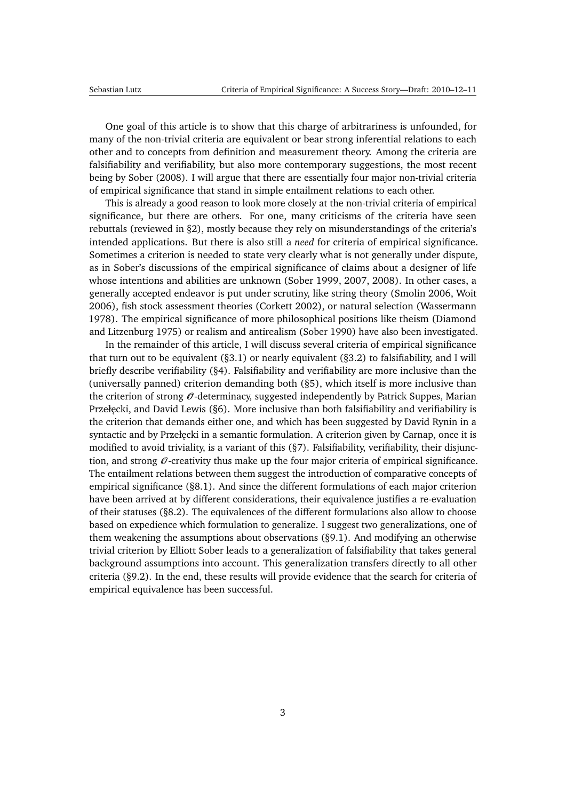<span id="page-2-0"></span>One goal of this article is to show that this charge of arbitrariness is unfounded, for many of the non-trivial criteria are equivalent or bear strong inferential relations to each other and to concepts from definition and measurement theory. Among the criteria are falsifiability and verifiability, but also more contemporary suggestions, the most recent being by [Sober](#page-50-0) [\(2008\)](#page-50-0). I will argue that there are essentially four major non-trivial criteria of empirical significance that stand in simple entailment relations to each other.

This is already a good reason to look more closely at the non-trivial criteria of empirical significance, but there are others. For one, many criticisms of the criteria have seen rebuttals (reviewed in [§2\)](#page-3-0), mostly because they rely on misunderstandings of the criteria's intended applications. But there is also still a *need* for criteria of empirical significance. Sometimes a criterion is needed to state very clearly what is not generally under dispute, as in Sober's discussions of the empirical significance of claims about a designer of life whose intentions and abilities are unknown [\(Sober](#page-50-1) [1999,](#page-50-1) [2007,](#page-50-2) [2008\)](#page-50-0). In other cases, a generally accepted endeavor is put under scrutiny, like string theory [\(Smolin](#page-50-3) [2006,](#page-50-3) [Woit](#page-51-3) [2006\)](#page-51-3), fish stock assessment theories [\(Corkett](#page-46-0) [2002\)](#page-46-0), or natural selection [\(Wassermann](#page-51-4) [1978\)](#page-51-4). The empirical significance of more philosophical positions like theism [\(Diamond](#page-46-1) [and Litzenburg](#page-46-1) [1975\)](#page-46-1) or realism and antirealism [\(Sober](#page-50-4) [1990\)](#page-50-4) have also been investigated.

In the remainder of this article, I will discuss several criteria of empirical significance that turn out to be equivalent ([§3.1\)](#page-7-1) or nearly equivalent ([§3.2\)](#page-11-0) to falsifiability, and I will briefly describe verifiability ([§4\)](#page-15-0). Falsifiability and verifiability are more inclusive than the (universally panned) criterion demanding both ([§5\)](#page-16-0), which itself is more inclusive than the criterion of strong  $\mathcal O$ -determinacy, suggested independently by Patrick Suppes, Marian Przełęcki, and David Lewis ([§6\)](#page-17-0). More inclusive than both falsifiability and verifiability is the criterion that demands either one, and which has been suggested by David Rynin in a syntactic and by Przełęcki in a semantic formulation. A criterion given by Carnap, once it is modified to avoid triviality, is a variant of this ([§7\)](#page-24-0). Falsifiability, verifiability, their disjunction, and strong  $\mathcal O$ -creativity thus make up the four major criteria of empirical significance. The entailment relations between them suggest the introduction of comparative concepts of empirical significance ([§8.1\)](#page-29-1). And since the different formulations of each major criterion have been arrived at by different considerations, their equivalence justifies a re-evaluation of their statuses ([§8.2\)](#page-32-0). The equivalences of the different formulations also allow to choose based on expedience which formulation to generalize. I suggest two generalizations, one of them weakening the assumptions about observations ([§9.1\)](#page-35-0). And modifying an otherwise trivial criterion by Elliott Sober leads to a generalization of falsifiability that takes general background assumptions into account. This generalization transfers directly to all other criteria ([§9.2\)](#page-37-0). In the end, these results will provide evidence that the search for criteria of empirical equivalence has been successful.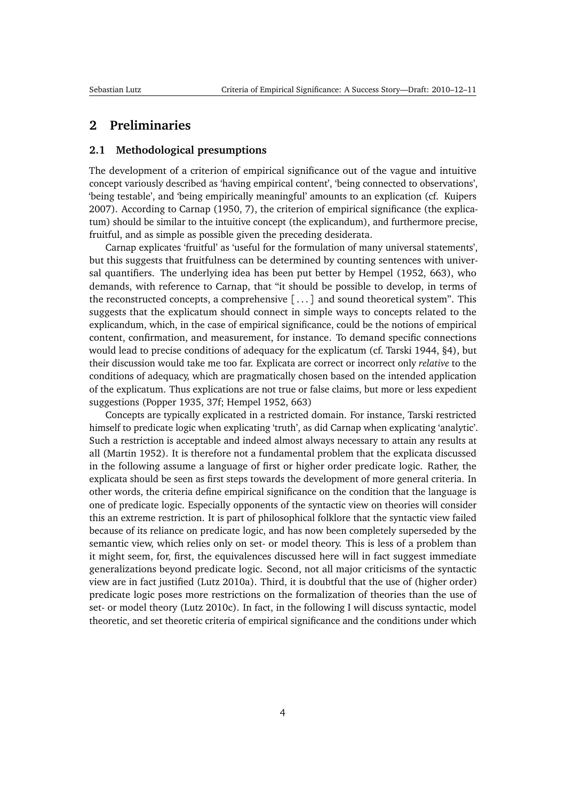## <span id="page-3-2"></span><span id="page-3-0"></span>**2 Preliminaries**

#### <span id="page-3-1"></span>**2.1 Methodological presumptions**

The development of a criterion of empirical significance out of the vague and intuitive concept variously described as 'having empirical content', 'being connected to observations', 'being testable', and 'being empirically meaningful' amounts to an explication (cf. [Kuipers](#page-47-0) [2007\)](#page-47-0). According to [Carnap](#page-45-1) [\(1950,](#page-45-1) 7), the criterion of empirical significance (the explicatum) should be similar to the intuitive concept (the explicandum), and furthermore precise, fruitful, and as simple as possible given the preceding desiderata.

Carnap explicates 'fruitful' as 'useful for the formulation of many universal statements', but this suggests that fruitfulness can be determined by counting sentences with universal quantifiers. The underlying idea has been put better by [Hempel](#page-47-1) [\(1952,](#page-47-1) 663), who demands, with reference to Carnap, that "it should be possible to develop, in terms of the reconstructed concepts, a comprehensive [ . . . ] and sound theoretical system". This suggests that the explicatum should connect in simple ways to concepts related to the explicandum, which, in the case of empirical significance, could be the notions of empirical content, confirmation, and measurement, for instance. To demand specific connections would lead to precise conditions of adequacy for the explicatum (cf. [Tarski](#page-51-5) [1944,](#page-51-5) §4), but their discussion would take me too far. Explicata are correct or incorrect only *relative* to the conditions of adequacy, which are pragmatically chosen based on the intended application of the explicatum. Thus explications are not true or false claims, but more or less expedient suggestions [\(Popper](#page-49-2) [1935,](#page-49-2) 37f; [Hempel](#page-47-1) [1952,](#page-47-1) 663)

Concepts are typically explicated in a restricted domain. For instance, Tarski restricted himself to predicate logic when explicating 'truth', as did Carnap when explicating 'analytic'. Such a restriction is acceptable and indeed almost always necessary to attain any results at all [\(Martin](#page-48-1) [1952\)](#page-48-1). It is therefore not a fundamental problem that the explicata discussed in the following assume a language of first or higher order predicate logic. Rather, the explicata should be seen as first steps towards the development of more general criteria. In other words, the criteria define empirical significance on the condition that the language is one of predicate logic. Especially opponents of the syntactic view on theories will consider this an extreme restriction. It is part of philosophical folklore that the syntactic view failed because of its reliance on predicate logic, and has now been completely superseded by the semantic view, which relies only on set- or model theory. This is less of a problem than it might seem, for, first, the equivalences discussed here will in fact suggest immediate generalizations beyond predicate logic. Second, not all major criticisms of the syntactic view are in fact justified [\(Lutz](#page-48-2) [2010a\)](#page-48-2). Third, it is doubtful that the use of (higher order) predicate logic poses more restrictions on the formalization of theories than the use of set- or model theory [\(Lutz](#page-48-3) [2010c\)](#page-48-3). In fact, in the following I will discuss syntactic, model theoretic, and set theoretic criteria of empirical significance and the conditions under which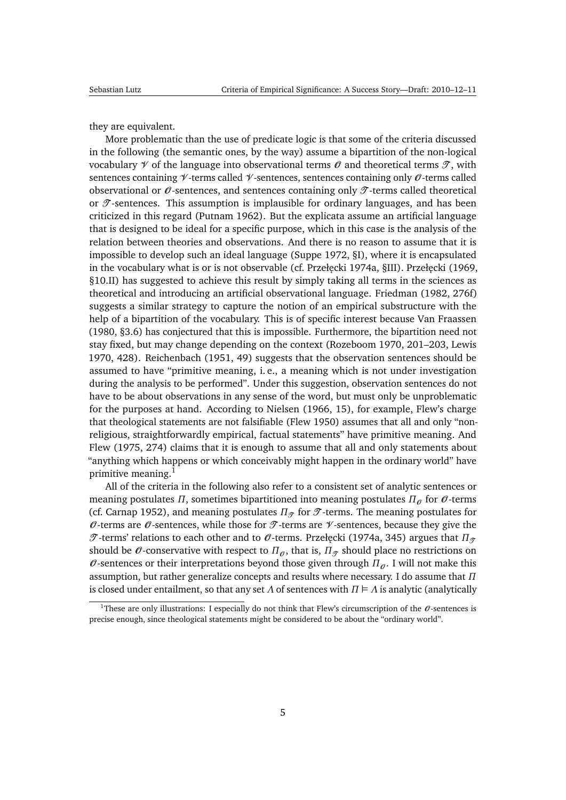<span id="page-4-1"></span>they are equivalent.

More problematic than the use of predicate logic is that some of the criteria discussed in the following (the semantic ones, by the way) assume a bipartition of the non-logical vocabulary  $\mathcal V$  of the language into observational terms  $\mathcal O$  and theoretical terms  $\mathcal T$ , with sentences containing  $\mathcal V$ -terms called  $\mathcal V$ -sentences, sentences containing only  $\mathcal O$ -terms called observational or  $\theta$ -sentences, and sentences containing only  $\mathcal{T}$ -terms called theoretical or  $\mathcal{T}$ -sentences. This assumption is implausible for ordinary languages, and has been criticized in this regard [\(Putnam](#page-49-3) [1962\)](#page-49-3). But the explicata assume an artificial language that is designed to be ideal for a specific purpose, which in this case is the analysis of the relation between theories and observations. And there is no reason to assume that it is impossible to develop such an ideal language [\(Suppe](#page-50-5) [1972,](#page-50-5) §I), where it is encapsulated in the vocabulary what is or is not observable (cf. Przełęcki [1974a,](#page-49-4) §III). Przełęcki [\(1969,](#page-49-5) §10.II) has suggested to achieve this result by simply taking all terms in the sciences as theoretical and introducing an artificial observational language. [Friedman](#page-46-2) [\(1982,](#page-46-2) 276f) suggests a similar strategy to capture the notion of an empirical substructure with the help of a bipartition of the vocabulary. This is of specific interest because [Van Fraassen](#page-51-6) [\(1980,](#page-51-6) §3.6) has conjectured that this is impossible. Furthermore, the bipartition need not stay fixed, but may change depending on the context [\(Rozeboom](#page-50-6) [1970,](#page-50-6) 201–203, [Lewis](#page-48-4) [1970,](#page-48-4) 428). [Reichenbach](#page-49-6) [\(1951,](#page-49-6) 49) suggests that the observation sentences should be assumed to have "primitive meaning, i. e., a meaning which is not under investigation during the analysis to be performed". Under this suggestion, observation sentences do not have to be about observations in any sense of the word, but must only be unproblematic for the purposes at hand. According to [Nielsen](#page-48-5) [\(1966,](#page-48-5) 15), for example, Flew's charge that theological statements are not falsifiable [\(Flew](#page-46-3) [1950\)](#page-46-3) assumes that all and only "nonreligious, straightforwardly empirical, factual statements" have primitive meaning. And [Flew](#page-46-4) [\(1975,](#page-46-4) 274) claims that it is enough to assume that all and only statements about "anything which happens or which conceivably might happen in the ordinary world" have primitive meaning.<sup>[1](#page-4-0)</sup>

All of the criteria in the following also refer to a consistent set of analytic sentences or meaning postulates *Π*, sometimes bipartitioned into meaning postulates  $\Pi_{\theta}$  for  $\theta$ -terms (cf. [Carnap](#page-45-2) [1952\)](#page-45-2), and meaning postulates  $\Pi_{\mathcal{T}}$  for  $\mathcal{T}$ -terms. The meaning postulates for  $\theta$ -terms are  $\theta$ -sentences, while those for  $\mathcal T$ -terms are  $\mathcal V$ -sentences, because they give the T -terms' relations to each other and to O -terms. Przełęcki [\(1974a,](#page-49-4) 345) argues that *Π*<sub>T</sub> should be  $\theta$ -conservative with respect to  $\Pi_{\theta}$ , that is,  $\Pi_{\mathcal{T}}$  should place no restrictions on  $\theta$ -sentences or their interpretations beyond those given through  $\Pi_{\theta}$ . I will not make this assumption, but rather generalize concepts and results where necessary. I do assume that *Π* is closed under entailment, so that any set  $\Lambda$  of sentences with  $\Pi \models \Lambda$  is analytic (analytically

<span id="page-4-0"></span><sup>&</sup>lt;sup>1</sup>These are only illustrations: I especially do not think that Flew's circumscription of the  $\emptyset$ -sentences is precise enough, since theological statements might be considered to be about the "ordinary world".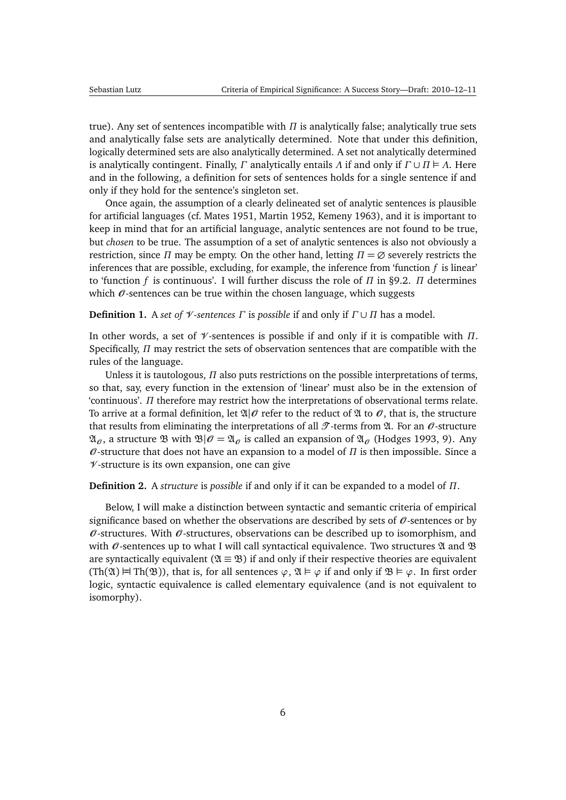<span id="page-5-2"></span>true). Any set of sentences incompatible with *Π* is analytically false; analytically true sets and analytically false sets are analytically determined. Note that under this definition, logically determined sets are also analytically determined. A set not analytically determined is analytically contingent. Finally, *Γ* analytically entails *Λ* if and only if *Γ* ∪ *Π Λ*. Here and in the following, a definition for sets of sentences holds for a single sentence if and only if they hold for the sentence's singleton set.

Once again, the assumption of a clearly delineated set of analytic sentences is plausible for artificial languages (cf. [Mates](#page-48-6) [1951,](#page-48-6) [Martin](#page-48-1) [1952,](#page-48-1) [Kemeny](#page-47-2) [1963\)](#page-47-2), and it is important to keep in mind that for an artificial language, analytic sentences are not found to be true, but *chosen* to be true. The assumption of a set of analytic sentences is also not obviously a restriction, since *Π* may be empty. On the other hand, letting  $\Pi = \emptyset$  severely restricts the inferences that are possible, excluding, for example, the inference from 'function *f* is linear' to 'function *f* is continuous'. I will further discuss the role of *Π* in [§9.2.](#page-37-0) *Π* determines which  $\theta$ -sentences can be true within the chosen language, which suggests

<span id="page-5-1"></span>**Definition 1.** A *set of*  $\mathcal V$ -*sentences*  $\Gamma$  is *possible* if and only if  $\Gamma \cup \Pi$  has a model.

In other words, a set of V -sentences is possible if and only if it is compatible with *Π*. Specifically, *Π* may restrict the sets of observation sentences that are compatible with the rules of the language.

Unless it is tautologous, *Π* also puts restrictions on the possible interpretations of terms, so that, say, every function in the extension of 'linear' must also be in the extension of 'continuous'. *Π* therefore may restrict how the interpretations of observational terms relate. To arrive at a formal definition, let  $\mathfrak{A}|\mathcal{O}$  refer to the reduct of  $\mathfrak A$  to  $\mathcal{O}$ , that is, the structure that results from eliminating the interpretations of all  $\mathcal{T}$ -terms from  $\mathfrak{A}$ . For an  $\mathcal{O}$ -structure  $\mathfrak{A}_{\alpha}$ , a structure  $\mathfrak{B}$  with  $\mathfrak{B}|\mathcal{O}=\mathfrak{A}_{\alpha}$  is called an expansion of  $\mathfrak{A}_{\alpha}$  [\(Hodges](#page-47-3) [1993,](#page-47-3) 9). Any  $\theta$ -structure that does not have an expansion to a model of  $\Pi$  is then impossible. Since a  $\nu$ -structure is its own expansion, one can give

<span id="page-5-0"></span>**Definition 2.** A *structure* is *possible* if and only if it can be expanded to a model of *Π*.

Below, I will make a distinction between syntactic and semantic criteria of empirical significance based on whether the observations are described by sets of  $\theta$ -sentences or by  $\mathcal O$ -structures. With  $\mathcal O$ -structures, observations can be described up to isomorphism, and with  $\mathcal O$ -sentences up to what I will call syntactical equivalence. Two structures  $\mathfrak A$  and  $\mathfrak B$ are syntactically equivalent ( $\mathfrak{A} \equiv \mathfrak{B}$ ) if and only if their respective theories are equivalent  $(Th(\mathfrak{A}) \rvert Th(\mathfrak{B}))$ , that is, for all sentences  $\varphi$ ,  $\mathfrak{A} \rvert \rvert \varphi$  if and only if  $\mathfrak{B} \rvert \rvert \varphi$ . In first order logic, syntactic equivalence is called elementary equivalence (and is not equivalent to isomorphy).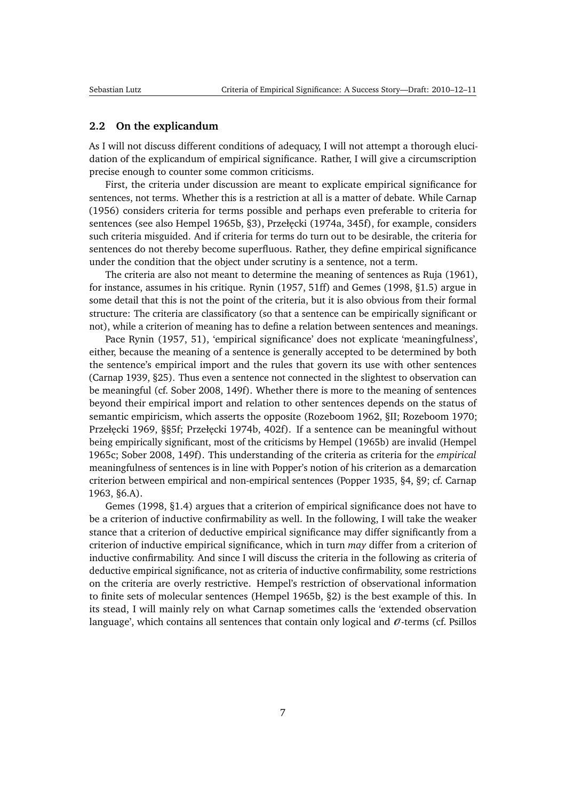#### <span id="page-6-1"></span><span id="page-6-0"></span>**2.2 On the explicandum**

As I will not discuss different conditions of adequacy, I will not attempt a thorough elucidation of the explicandum of empirical significance. Rather, I will give a circumscription precise enough to counter some common criticisms.

First, the criteria under discussion are meant to explicate empirical significance for sentences, not terms. Whether this is a restriction at all is a matter of debate. While [Carnap](#page-45-3) [\(1956\)](#page-45-3) considers criteria for terms possible and perhaps even preferable to criteria for sentences (see also [Hempel](#page-47-4) [1965b,](#page-47-4) §3), Przełęcki [\(1974a,](#page-49-4) 345f), for example, considers such criteria misguided. And if criteria for terms do turn out to be desirable, the criteria for sentences do not thereby become superfluous. Rather, they define empirical significance under the condition that the object under scrutiny is a sentence, not a term.

The criteria are also not meant to determine the meaning of sentences as [Ruja](#page-50-7) [\(1961\)](#page-50-7), for instance, assumes in his critique. [Rynin](#page-50-8) [\(1957,](#page-50-8) 51ff) and [Gemes](#page-47-5) [\(1998,](#page-47-5) §1.5) argue in some detail that this is not the point of the criteria, but it is also obvious from their formal structure: The criteria are classificatory (so that a sentence can be empirically significant or not), while a criterion of meaning has to define a relation between sentences and meanings.

Pace [Rynin](#page-50-8) [\(1957,](#page-50-8) 51), 'empirical significance' does not explicate 'meaningfulness', either, because the meaning of a sentence is generally accepted to be determined by both the sentence's empirical import and the rules that govern its use with other sentences [\(Carnap](#page-45-4) [1939,](#page-45-4) §25). Thus even a sentence not connected in the slightest to observation can be meaningful (cf. [Sober](#page-50-0) [2008,](#page-50-0) 149f). Whether there is more to the meaning of sentences beyond their empirical import and relation to other sentences depends on the status of semantic empiricism, which asserts the opposite [\(Rozeboom](#page-49-7) [1962,](#page-49-7) §II; [Rozeboom](#page-50-6) [1970;](#page-50-6) Przełęcki [1969,](#page-49-5) §§5f; Przełęcki [1974b,](#page-49-8) 402f). If a sentence can be meaningful without being empirically significant, most of the criticisms by [Hempel](#page-47-4) [\(1965b\)](#page-47-4) are invalid [\(Hempel](#page-47-6) [1965c;](#page-47-6) [Sober](#page-50-0) [2008,](#page-50-0) 149f). This understanding of the criteria as criteria for the *empirical* meaningfulness of sentences is in line with Popper's notion of his criterion as a demarcation criterion between empirical and non-empirical sentences [\(Popper](#page-49-2) [1935,](#page-49-2) §4, §9; cf. [Carnap](#page-46-5) [1963,](#page-46-5) §6.A).

[Gemes](#page-47-5) [\(1998,](#page-47-5) §1.4) argues that a criterion of empirical significance does not have to be a criterion of inductive confirmability as well. In the following, I will take the weaker stance that a criterion of deductive empirical significance may differ significantly from a criterion of inductive empirical significance, which in turn *may* differ from a criterion of inductive confirmability. And since I will discuss the criteria in the following as criteria of deductive empirical significance, not as criteria of inductive confirmability, some restrictions on the criteria are overly restrictive. Hempel's restriction of observational information to finite sets of molecular sentences [\(Hempel](#page-47-4) [1965b,](#page-47-4) §2) is the best example of this. In its stead, I will mainly rely on what Carnap sometimes calls the 'extended observation language', which contains all sentences that contain only logical and  $\mathcal{O}$ -terms (cf. [Psillos](#page-49-9)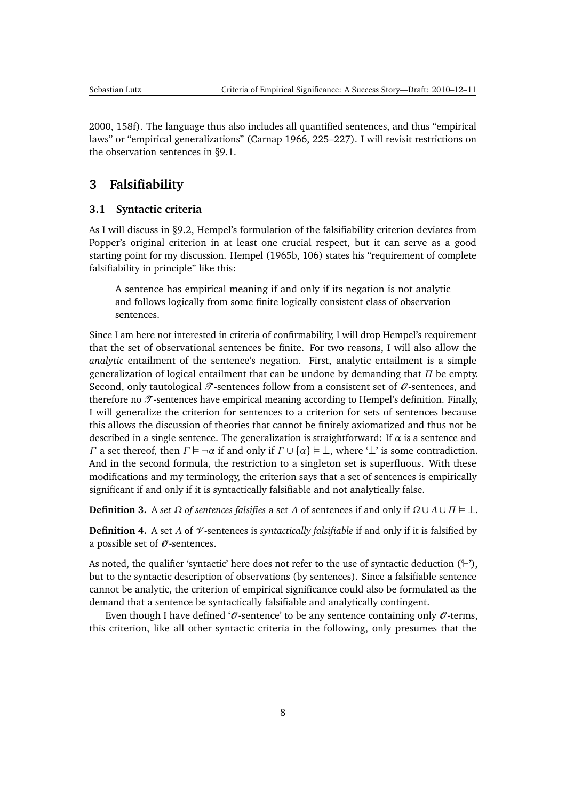<span id="page-7-3"></span>[2000,](#page-49-9) 158f). The language thus also includes all quantified sentences, and thus "empirical laws" or "empirical generalizations" [\(Carnap](#page-46-6) [1966,](#page-46-6) 225–227). I will revisit restrictions on the observation sentences in [§9.1.](#page-35-0)

# <span id="page-7-0"></span>**3 Falsifiability**

#### <span id="page-7-1"></span>**3.1 Syntactic criteria**

As I will discuss in [§9.2,](#page-37-0) Hempel's formulation of the falsifiability criterion deviates from Popper's original criterion in at least one crucial respect, but it can serve as a good starting point for my discussion. [Hempel](#page-47-4) [\(1965b,](#page-47-4) 106) states his "requirement of complete falsifiability in principle" like this:

A sentence has empirical meaning if and only if its negation is not analytic and follows logically from some finite logically consistent class of observation sentences.

Since I am here not interested in criteria of confirmability, I will drop Hempel's requirement that the set of observational sentences be finite. For two reasons, I will also allow the *analytic* entailment of the sentence's negation. First, analytic entailment is a simple generalization of logical entailment that can be undone by demanding that *Π* be empty. Second, only tautological  $\mathcal{T}$ -sentences follow from a consistent set of  $\mathcal{O}$ -sentences, and therefore no  $\mathcal{T}$ -sentences have empirical meaning according to Hempel's definition. Finally, I will generalize the criterion for sentences to a criterion for sets of sentences because this allows the discussion of theories that cannot be finitely axiomatized and thus not be described in a single sentence. The generalization is straightforward: If *α* is a sentence and *Γ* a set thereof, then  $\Gamma \models \neg \alpha$  if and only if  $\Gamma \cup {\alpha} \models \bot$ , where ' $\bot$ ' is some contradiction. And in the second formula, the restriction to a singleton set is superfluous. With these modifications and my terminology, the criterion says that a set of sentences is empirically significant if and only if it is syntactically falsifiable and not analytically false.

**Definition 3.** A *set Ω of sentences falsifies* a *set Λ* of sentences if and only if  $Ω ∪ Λ ∪ Π ⊕ ⊥$ .

<span id="page-7-2"></span>**Definition 4.** A set *Λ* of V -sentences is *syntactically falsifiable* if and only if it is falsified by a possible set of  $\mathcal O$ -sentences.

As noted, the qualifier 'syntactic' here does not refer to the use of syntactic deduction  $(^\mathbf{L})$ ', but to the syntactic description of observations (by sentences). Since a falsifiable sentence cannot be analytic, the criterion of empirical significance could also be formulated as the demand that a sentence be syntactically falsifiable and analytically contingent.

Even though I have defined ' $\theta$ -sentence' to be any sentence containing only  $\theta$ -terms, this criterion, like all other syntactic criteria in the following, only presumes that the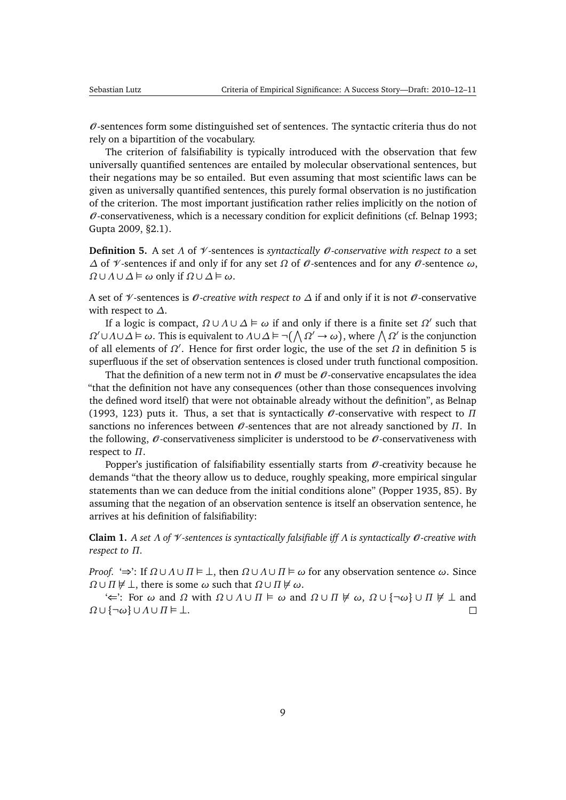<span id="page-8-2"></span> $\theta$ -sentences form some distinguished set of sentences. The syntactic criteria thus do not rely on a bipartition of the vocabulary.

The criterion of falsifiability is typically introduced with the observation that few universally quantified sentences are entailed by molecular observational sentences, but their negations may be so entailed. But even assuming that most scientific laws can be given as universally quantified sentences, this purely formal observation is no justification of the criterion. The most important justification rather relies implicitly on the notion of  $\mathcal O$ -conservativeness, which is a necessary condition for explicit definitions (cf. [Belnap](#page-45-5) [1993;](#page-45-5) [Gupta](#page-47-7) [2009,](#page-47-7) §2.1).

<span id="page-8-0"></span>**Definition 5.** A set Λ of *V*-sentences is *syntactically 0*-conservative with respect to a set *∆* of *Ψ*-sentences if and only if for any set *Ω* of *Ø*-sentences and for any *Ø*-sentence *ω*,  $Ω∪Λ∪Δ ⊨ ω$  only if  $Ω∪Δ ⊨ ω$ .

A set of V -sentences is O *-creative with respect to ∆* if and only if it is not O -conservative with respect to *∆*.

If a logic is compact,  $Ω ∪ Λ ∪ ⊇ ∈ ω$  if and only if there is a finite set  $Ω'$  such that *Ω*<sup> $\prime$ </sup> ∪*Λ*∪*Δ*  $\models$  ω. This is equivalent to *Λ*∪*Δ*  $\models \neg$  ( $\wedge$  *Ω*<sup> $\prime$ </sup> → ω), where  $\wedge$  *Ω*<sup> $\prime$ </sup> is the conjunction of all elements of  $Ω'$ . Hence for first order logic, the use of the set  $Ω$  in definition [5](#page-8-0) is superfluous if the set of observation sentences is closed under truth functional composition.

That the definition of a new term not in  $\mathcal O$  must be  $\mathcal O$ -conservative encapsulates the idea "that the definition not have any consequences (other than those consequences involving the defined word itself) that were not obtainable already without the definition", as [Belnap](#page-45-5) [\(1993,](#page-45-5) 123) puts it. Thus, a set that is syntactically  $\theta$ -conservative with respect to  $\Pi$ sanctions no inferences between  $\theta$ -sentences that are not already sanctioned by  $\Pi$ . In the following,  $\mathcal{O}$ -conservativeness simpliciter is understood to be  $\mathcal{O}$ -conservativeness with respect to *Π*.

Popper's justification of falsifiability essentially starts from  $\mathcal O$ -creativity because he demands "that the theory allow us to deduce, roughly speaking, more empirical singular statements than we can deduce from the initial conditions alone" [\(Popper](#page-49-2) [1935,](#page-49-2) 85). By assuming that the negation of an observation sentence is itself an observation sentence, he arrives at his definition of falsifiability:

<span id="page-8-1"></span>**Claim 1.** *A set Λ of* V *-sentences is syntactically falsifiable iff Λ is syntactically* O *-creative with respect to Π.*

*Proof.* ' $\Rightarrow$ ': If  $\Omega \cup \Lambda \cup \Pi \models \bot$ , then  $\Omega \cup \Lambda \cup \Pi \models \omega$  for any observation sentence  $\omega$ . Since *Ω* ∪ *Π*  $\sharp$  ⊥, there is some  $\omega$  such that  $Ω$  ∪ *Π*  $\sharp$   $\omega$ .

' $\leftarrow$ ': For  $\omega$  and  $\Omega$  with  $\Omega \cup \Lambda \cup \Pi \models \omega$  and  $\Omega \cup \Pi \not\models \omega$ ,  $\Omega \cup \{\neg \omega\} \cup \Pi \not\models \bot$  and *Ω* ∪ {¬*ω*} ∪ *Λ* ∪ *Π* ⊥.  $\Box$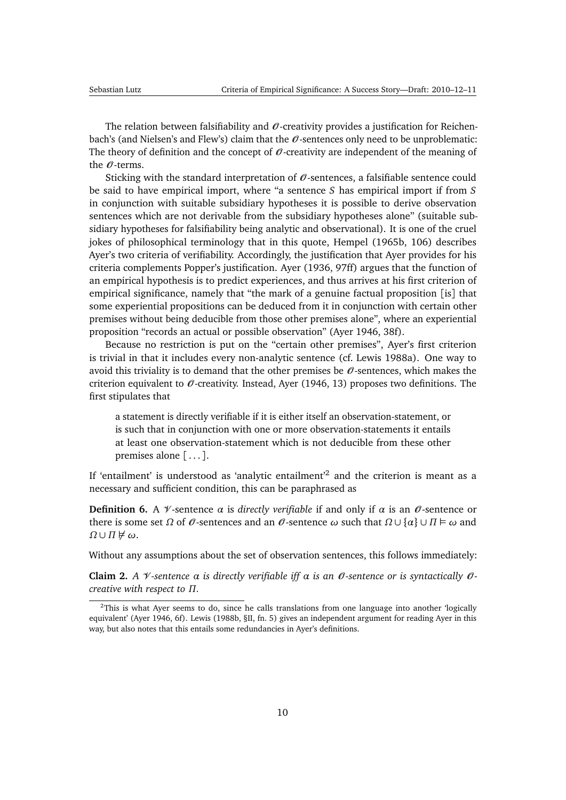<span id="page-9-1"></span>The relation between falsifiability and  $\mathcal O$ -creativity provides a justification for Reichenbach's (and Nielsen's and Flew's) claim that the  $\theta$ -sentences only need to be unproblematic: The theory of definition and the concept of  $\mathcal O$ -creativity are independent of the meaning of the  $\emptyset$ -terms.

Sticking with the standard interpretation of  $\theta$ -sentences, a falsifiable sentence could be said to have empirical import, where "a sentence *S* has empirical import if from *S* in conjunction with suitable subsidiary hypotheses it is possible to derive observation sentences which are not derivable from the subsidiary hypotheses alone" (suitable subsidiary hypotheses for falsifiability being analytic and observational). It is one of the cruel jokes of philosophical terminology that in this quote, [Hempel](#page-47-4) [\(1965b,](#page-47-4) 106) describes Ayer's two criteria of verifiability. Accordingly, the justification that Ayer provides for his criteria complements Popper's justification. [Ayer](#page-45-0) [\(1936,](#page-45-0) 97ff) argues that the function of an empirical hypothesis is to predict experiences, and thus arrives at his first criterion of empirical significance, namely that "the mark of a genuine factual proposition [is] that some experiential propositions can be deduced from it in conjunction with certain other premises without being deducible from those other premises alone", where an experiential proposition "records an actual or possible observation" [\(Ayer](#page-45-6) [1946,](#page-45-6) 38f).

Because no restriction is put on the "certain other premises", Ayer's first criterion is trivial in that it includes every non-analytic sentence (cf. [Lewis](#page-48-0) [1988a\)](#page-48-0). One way to avoid this triviality is to demand that the other premises be  $\mathcal{O}$ -sentences, which makes the criterion equivalent to  $\mathcal O$ -creativity. Instead, [Ayer](#page-45-6) [\(1946,](#page-45-6) 13) proposes two definitions. The first stipulates that

a statement is directly verifiable if it is either itself an observation-statement, or is such that in conjunction with one or more observation-statements it entails at least one observation-statement which is not deducible from these other premises alone  $[\,\ldots\,]$ .

If 'entailment' is understood as 'analytic entailment' $^2$  $^2$  and the criterion is meant as a necessary and sufficient condition, this can be paraphrased as

**Definition 6.** A  $\mathcal{V}$ -sentence  $\alpha$  is *directly verifiable* if and only if  $\alpha$  is an  $\theta$ -sentence or there is some set *Ω* of  $\theta$ -sentences and an  $\theta$ -sentence  $\omega$  such that  $\Omega \cup \{\alpha\} \cup \Pi \models \omega$  and  $Ω ∪ Π \nDash ω$ .

Without any assumptions about the set of observation sentences, this follows immediately:

**Claim 2.** *A*  $\mathcal V$ -sentence  $\alpha$  is directly verifiable iff  $\alpha$  is an  $\mathcal O$ -sentence or is syntactically  $\mathcal O$ *creative with respect to Π.*

<span id="page-9-0"></span><sup>&</sup>lt;sup>2</sup>This is what Ayer seems to do, since he calls translations from one language into another 'logically equivalent' [\(Ayer](#page-45-6) [1946,](#page-45-6) 6f). [Lewis](#page-48-7) [\(1988b,](#page-48-7) §II, fn. 5) gives an independent argument for reading Ayer in this way, but also notes that this entails some redundancies in Ayer's definitions.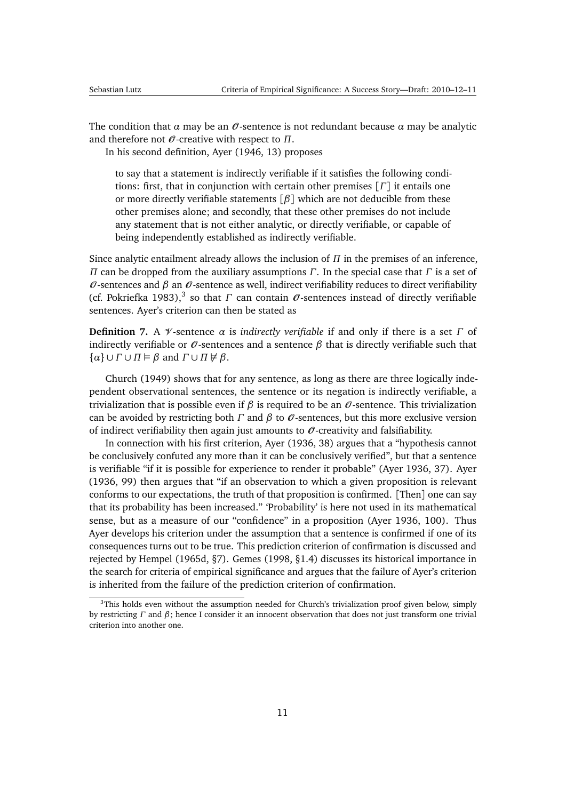<span id="page-10-1"></span>The condition that  $\alpha$  may be an  $\theta$ -sentence is not redundant because  $\alpha$  may be analytic and therefore not O -creative with respect to *Π*.

In his second definition, [Ayer](#page-45-6) [\(1946,](#page-45-6) 13) proposes

to say that a statement is indirectly verifiable if it satisfies the following conditions: first, that in conjunction with certain other premises [*Γ*] it entails one or more directly verifiable statements [*β*] which are not deducible from these other premises alone; and secondly, that these other premises do not include any statement that is not either analytic, or directly verifiable, or capable of being independently established as indirectly verifiable.

Since analytic entailment already allows the inclusion of *Π* in the premises of an inference, *Π* can be dropped from the auxiliary assumptions *Γ*. In the special case that *Γ* is a set of  $\theta$ -sentences and  $\beta$  an  $\theta$ -sentence as well, indirect verifiability reduces to direct verifiability (cf. [Pokriefka](#page-49-0) [1983\)](#page-49-0),<sup>[3](#page-10-0)</sup> so that *Γ* can contain  $\mathcal O$ -sentences instead of directly verifiable sentences. Ayer's criterion can then be stated as

**Definition 7.** A *V*-sentence *α* is *indirectly verifiable* if and only if there is a set *Γ* of indirectly verifiable or  $\mathcal O$ -sentences and a sentence  $\beta$  that is directly verifiable such that  $\{\alpha\} \cup \Gamma \cup \Pi \models \beta \text{ and } \Gamma \cup \Pi \not\models \beta.$ 

[Church](#page-46-7) [\(1949\)](#page-46-7) shows that for any sentence, as long as there are three logically independent observational sentences, the sentence or its negation is indirectly verifiable, a trivialization that is possible even if *β* is required to be an  $\theta$ -sentence. This trivialization can be avoided by restricting both *Γ* and *β* to O -sentences, but this more exclusive version of indirect verifiability then again just amounts to  $\mathcal O$ -creativity and falsifiability.

In connection with his first criterion, [Ayer](#page-45-0) [\(1936,](#page-45-0) 38) argues that a "hypothesis cannot be conclusively confuted any more than it can be conclusively verified", but that a sentence is verifiable "if it is possible for experience to render it probable" [\(Ayer](#page-45-0) [1936,](#page-45-0) 37). [Ayer](#page-45-0) [\(1936,](#page-45-0) 99) then argues that "if an observation to which a given proposition is relevant conforms to our expectations, the truth of that proposition is confirmed. [Then] one can say that its probability has been increased." 'Probability' is here not used in its mathematical sense, but as a measure of our "confidence" in a proposition [\(Ayer](#page-45-0) [1936,](#page-45-0) 100). Thus Ayer develops his criterion under the assumption that a sentence is confirmed if one of its consequences turns out to be true. This prediction criterion of confirmation is discussed and rejected by [Hempel](#page-47-8) [\(1965d,](#page-47-8) §7). [Gemes](#page-47-5) [\(1998,](#page-47-5) §1.4) discusses its historical importance in the search for criteria of empirical significance and argues that the failure of Ayer's criterion is inherited from the failure of the prediction criterion of confirmation.

<span id="page-10-0"></span> $3$ This holds even without the assumption needed for Church's trivialization proof given below, simply by restricting *Γ* and *β*; hence I consider it an innocent observation that does not just transform one trivial criterion into another one.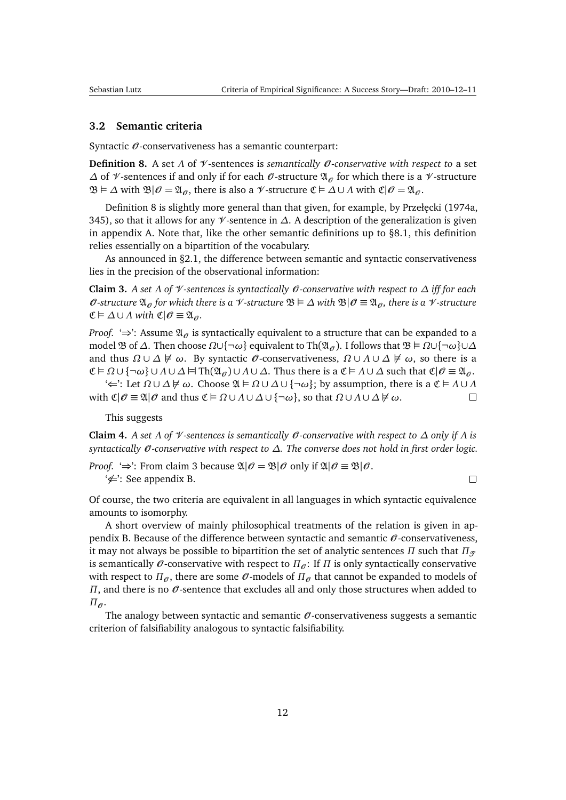#### <span id="page-11-5"></span><span id="page-11-0"></span>**3.2 Semantic criteria**

Syntactic  $\mathcal O$ -conservativeness has a semantic counterpart:

<span id="page-11-1"></span>**Definition 8.** A set Λ of *V*-sentences is *semantically 0*-conservative with respect to a set *∆* of *√*-sentences if and only if for each *θ*-structure  $\mathfrak{A}_{\theta}$  for which there is a *√*-structure  $\mathfrak{B} \models \Delta$  with  $\mathfrak{B}|\mathcal{O} = \mathfrak{A}_{\mathcal{O}}$ , there is also a  $\mathcal{V}$ -structure  $\mathfrak{C} \models \Delta \cup \Lambda$  with  $\mathfrak{C}|\mathcal{O} = \mathfrak{A}_{\mathcal{O}}$ .

Definition [8](#page-11-1) is slightly more general than that given, for example, by Przełecki [\(1974a,](#page-49-4) 345), so that it allows for any V -sentence in *∆*. A description of the generalization is given in appendix [A.](#page-43-0) Note that, like the other semantic definitions up to [§8.1,](#page-29-1) this definition relies essentially on a bipartition of the vocabulary.

As announced in [§2.1,](#page-5-0) the difference between semantic and syntactic conservativeness lies in the precision of the observational information:

<span id="page-11-2"></span>**Claim 3.** *A set Λ of* V *-sentences is syntactically* O *-conservative with respect to ∆ iff for each*  $\theta$ *-structure*  $\mathfrak{A}_{\theta}$  for which there is a  $\mathcal{V}$ *-structure*  $\mathfrak{B} \models \Delta$  with  $\mathfrak{B} | \theta \equiv \mathfrak{A}_{\theta}$ , there is a  $\mathcal{V}$ *-structure*  $\mathfrak{C} \models \Delta \cup \Lambda$  *with*  $\mathfrak{C} | \mathcal{O} \equiv \mathfrak{A}_{\mathcal{O}}.$ 

*Proof.* ' $\Rightarrow$ ': Assume  $\mathfrak{A}_{\sigma}$  is syntactically equivalent to a structure that can be expanded to a model **B** of Δ. Then choose  $Ω∪{¬ω}$ } equivalent to Th $(Ω<sub>θ</sub>)$ . I follows that  $B ⊨ Ω∪{¬ω} ∪ ∆ Δ$ and thus  $\Omega \cup \Delta \not\models \omega$ . By syntactic  $\emptyset$ -conservativeness,  $\Omega \cup \Lambda \cup \Delta \not\models \omega$ , so there is a  $\mathfrak{C} \models \Omega \cup \{\neg \omega\} \cup \Lambda \cup \Delta \models \text{Th}(\mathfrak{A}_{\theta}) \cup \Lambda \cup \Delta$ . Thus there is a  $\mathfrak{C} \models \Lambda \cup \Delta$  such that  $\mathfrak{C} | \theta \equiv \mathfrak{A}_{\theta}$ .

 $\iff$ : Let  $\Omega \cup \Delta \nvDash \omega$ . Choose  $\mathfrak{A} \models \Omega \cup \Delta \cup \{\neg \omega\}$ ; by assumption, there is a  $\mathfrak{C} \models \Lambda \cup \Lambda$ with  $\mathfrak{C}|\mathcal{O} \equiv \mathfrak{A}|\mathcal{O}$  and thus  $\mathfrak{C} \models \Omega \cup \Lambda \cup \Delta \cup \{\neg \omega\}$ , so that  $\Omega \cup \Lambda \cup \Delta \not\models \omega$ .  $\Box$ 

This suggests

<span id="page-11-3"></span>**Claim 4.** *A set Λ of* V *-sentences is semantically* O *-conservative with respect to ∆ only if Λ is syntactically* O *-conservative with respect to ∆. The converse does not hold in first order logic.*

*Proof.* ' $\Rightarrow$ ': From claim [3](#page-11-2) because  $\mathfrak{A}|\mathcal{O} = \mathfrak{B}|\mathcal{O}$  only if  $\mathfrak{A}|\mathcal{O} \equiv \mathfrak{B}|\mathcal{O}$ .  $\neq$ : See appendix [B.](#page-43-1)

 $\Box$ 

Of course, the two criteria are equivalent in all languages in which syntactic equivalence amounts to isomorphy.

A short overview of mainly philosophical treatments of the relation is given in ap-pendix [B.](#page-43-1) Because of the difference between syntactic and semantic  $\theta$ -conservativeness, it may not always be possible to bipartition the set of analytic sentences *Π* such that  $\Pi_{\mathcal{F}}$ is semantically  $\mathcal O$ -conservative with respect to  $\Pi_{\mathcal O}$ : If  $\Pi$  is only syntactically conservative with respect to  $\Pi_{\theta}$ , there are some  $\theta$ -models of  $\Pi_{\theta}$  that cannot be expanded to models of *Π*, and there is no  $\mathcal{O}$ -sentence that excludes all and only those structures when added to  $\Pi_{\theta}$ .

<span id="page-11-4"></span>The analogy between syntactic and semantic  $\theta$ -conservativeness suggests a semantic criterion of falsifiability analogous to syntactic falsifiability.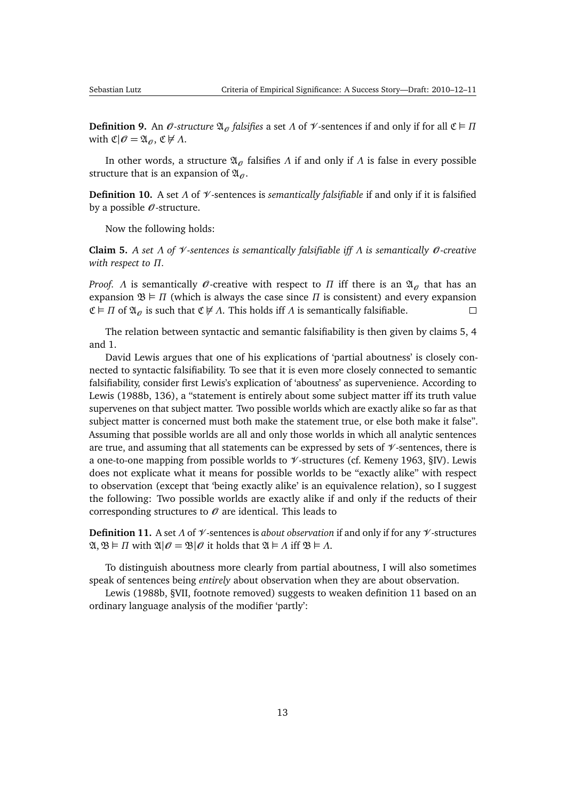<span id="page-12-3"></span>

**Definition 9.** An  $\theta$ -structure  $\mathfrak{A}_{\theta}$  falsifies a set  $\Lambda$  of  $\mathcal{V}$ -sentences if and only if for all  $\mathfrak{C} \models \Pi$ with  $\mathfrak{C}|\mathcal{O} = \mathfrak{A}_{\mathcal{O}}$ ,  $\mathfrak{C} \not\models \Lambda$ .

In other words, a structure  $\mathfrak{A}_{\beta}$  falsifies *Λ* if and only if *Λ* is false in every possible structure that is an expansion of  $\mathfrak{A}_{\theta}$ .

<span id="page-12-2"></span>**Definition 10.** A set *Λ* of V -sentences is *semantically falsifiable* if and only if it is falsified by a possible  $\mathcal O$ -structure.

Now the following holds:

<span id="page-12-0"></span>**Claim 5.** *A set Λ of* V *-sentences is semantically falsifiable iff Λ is semantically* O *-creative with respect to Π.*

*Proof. Λ* is semantically  $\mathcal{O}$ -creative with respect to *Π* iff there is an  $\mathfrak{A}_{\mathcal{O}}$  that has an expansion  $\mathfrak{B} \models \Pi$  (which is always the case since  $\Pi$  is consistent) and every expansion  $\mathfrak{C} \models \Pi$  of  $\mathfrak{A}_{\theta}$  is such that  $\mathfrak{C} \not\models \Lambda$ . This holds iff  $\Lambda$  is semantically falsifiable.  $\Box$ 

The relation between syntactic and semantic falsifiability is then given by claims [5,](#page-12-0) [4](#page-11-3) and [1.](#page-8-1)

David Lewis argues that one of his explications of 'partial aboutness' is closely connected to syntactic falsifiability. To see that it is even more closely connected to semantic falsifiability, consider first Lewis's explication of 'aboutness' as supervenience. According to [Lewis](#page-48-7) [\(1988b,](#page-48-7) 136), a "statement is entirely about some subject matter iff its truth value supervenes on that subject matter. Two possible worlds which are exactly alike so far as that subject matter is concerned must both make the statement true, or else both make it false". Assuming that possible worlds are all and only those worlds in which all analytic sentences are true, and assuming that all statements can be expressed by sets of  $\mathcal V$ -sentences, there is a one-to-one mapping from possible worlds to  $\mathcal V$ -structures (cf. [Kemeny](#page-47-2) [1963,](#page-47-2) §IV). Lewis does not explicate what it means for possible worlds to be "exactly alike" with respect to observation (except that 'being exactly alike' is an equivalence relation), so I suggest the following: Two possible worlds are exactly alike if and only if the reducts of their corresponding structures to  $\mathcal O$  are identical. This leads to

<span id="page-12-1"></span>**Definition 11.** A set *Λ* of V -sentences is *about observation* if and only if for any V -structures  $\mathfrak{A}, \mathfrak{B} \models \Pi$  with  $\mathfrak{A}|\mathcal{O} = \mathfrak{B}|\mathcal{O}$  it holds that  $\mathfrak{A} \models \Lambda$  iff  $\mathfrak{B} \models \Lambda$ .

To distinguish aboutness more clearly from partial aboutness, I will also sometimes speak of sentences being *entirely* about observation when they are about observation.

[Lewis](#page-48-7) [\(1988b,](#page-48-7) §VII, footnote removed) suggests to weaken definition [11](#page-12-1) based on an ordinary language analysis of the modifier 'partly':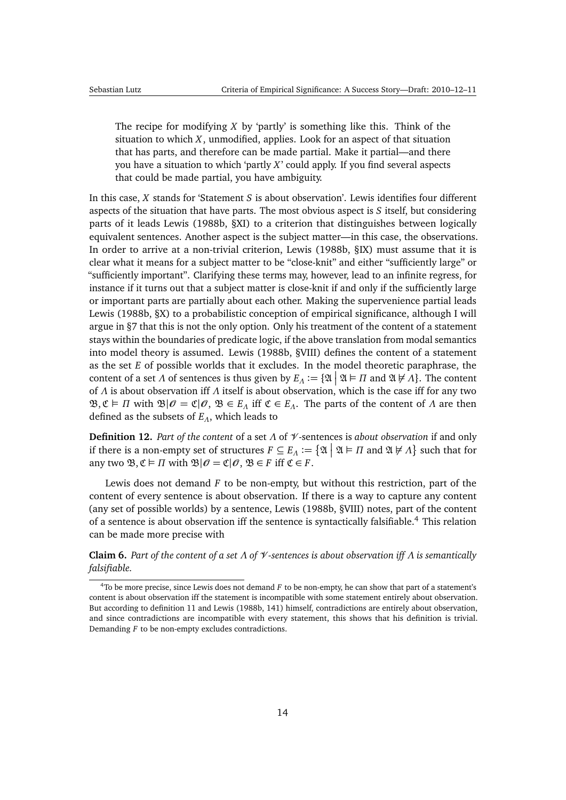<span id="page-13-3"></span>The recipe for modifying *X* by 'partly' is something like this. Think of the situation to which *X*, unmodified, applies. Look for an aspect of that situation that has parts, and therefore can be made partial. Make it partial—and there you have a situation to which 'partly *X*' could apply. If you find several aspects that could be made partial, you have ambiguity.

In this case, *X* stands for 'Statement *S* is about observation'. Lewis identifies four different aspects of the situation that have parts. The most obvious aspect is *S* itself, but considering parts of it leads [Lewis](#page-48-7) [\(1988b,](#page-48-7) §XI) to a criterion that distinguishes between logically equivalent sentences. Another aspect is the subject matter—in this case, the observations. In order to arrive at a non-trivial criterion, [Lewis](#page-48-7) [\(1988b,](#page-48-7) §IX) must assume that it is clear what it means for a subject matter to be "close-knit" and either "sufficiently large" or "sufficiently important". Clarifying these terms may, however, lead to an infinite regress, for instance if it turns out that a subject matter is close-knit if and only if the sufficiently large or important parts are partially about each other. Making the supervenience partial leads [Lewis](#page-48-7) [\(1988b,](#page-48-7) §X) to a probabilistic conception of empirical significance, although I will argue in [§7](#page-24-0) that this is not the only option. Only his treatment of the content of a statement stays within the boundaries of predicate logic, if the above translation from modal semantics into model theory is assumed. [Lewis](#page-48-7) [\(1988b,](#page-48-7) §VIII) defines the content of a statement as the set *E* of possible worlds that it excludes. In the model theoretic paraphrase, the content of a set *Λ* of sentences is thus given by  $E_A := \{ \mathfrak{A} \mid \mathfrak{A} \models \Pi \text{ and } \mathfrak{A} \not\models \Lambda \}.$  The content of *Λ* is about observation iff *Λ* itself is about observation, which is the case iff for any two  $\mathfrak{B}, \mathfrak{C} \models \Pi$  with  $\mathfrak{B}|\mathcal{O} = \mathfrak{C}|\mathcal{O}, \mathfrak{B} \in E_\Lambda$  iff  $\mathfrak{C} \in E_\Lambda$ . The parts of the content of Λ are then defined as the subsets of *EΛ*, which leads to

<span id="page-13-1"></span>**Definition 12.** *Part of the content* of a set *Λ* of V -sentences is *about observation* if and only if there is a non-empty set of structures  $F \subseteq E_A := \{ \mathfrak{A} \mid \mathfrak{A} \models \Pi \text{ and } \mathfrak{A} \not\models \Lambda \}$  such that for any two  $\mathfrak{B}, \mathfrak{C} \models \Pi$  with  $\mathfrak{B}|\mathcal{O} = \mathfrak{C}|\mathcal{O}, \mathfrak{B} \in F$  iff  $\mathfrak{C} \in F$ .

Lewis does not demand *F* to be non-empty, but without this restriction, part of the content of every sentence is about observation. If there is a way to capture any content (any set of possible worlds) by a sentence, [Lewis](#page-48-7) [\(1988b,](#page-48-7) §VIII) notes, part of the content of a sentence is about observation iff the sentence is syntactically falsifiable.[4](#page-13-0) This relation can be made more precise with

<span id="page-13-2"></span>**Claim 6.** *Part of the content of a set Λ of* V *-sentences is about observation iff Λ is semantically falsifiable.*

<span id="page-13-0"></span><sup>4</sup>To be more precise, since Lewis does not demand *F* to be non-empty, he can show that part of a statement's content is about observation iff the statement is incompatible with some statement entirely about observation. But according to definition [11](#page-12-1) and [Lewis](#page-48-7) [\(1988b,](#page-48-7) 141) himself, contradictions are entirely about observation, and since contradictions are incompatible with every statement, this shows that his definition is trivial. Demanding *F* to be non-empty excludes contradictions.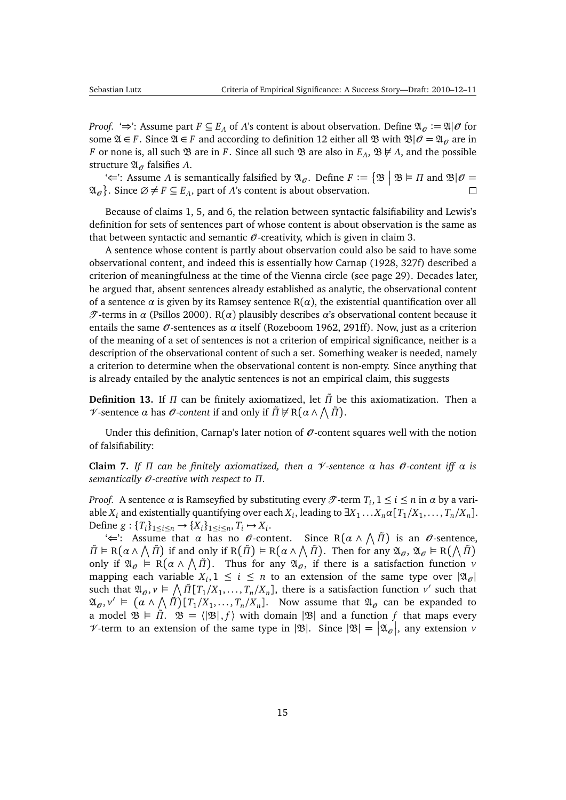<span id="page-14-1"></span>*Proof.* ' $\Rightarrow$ ': Assume part  $F \subseteq E_A$  of *Λ*'s content is about observation. Define  $\mathfrak{A}_{\mathcal{O}} := \mathfrak{A}|\mathcal{O}$  for some  $\mathfrak{A} \in F$ . Since  $\mathfrak{A} \in F$  and according to definition [12](#page-13-1) either all  $\mathfrak{B}$  with  $\mathfrak{B}|\mathcal{O} = \mathfrak{A}_{\mathcal{O}}$  are in *F* or none is, all such **B** are in *F*. Since all such **B** are also in *E<sub>Λ</sub>*, **B**  $\nvdash$  *Λ*, and the possible structure  $\mathfrak{A}_{\mathfrak{O}}$  falsifies Λ.

 $\mathcal{L}$ : Assume Λ is semantically falsified by  $\mathfrak{A}_{\theta}$ . Define  $F := \{ \mathfrak{B} \mid \mathfrak{B} \models \Pi \text{ and } \mathfrak{B} | \theta = \emptyset \}$  $\mathfrak{A}_{\mathscr{O}}$ }. Since  $\emptyset \neq F \subseteq E_A$ , part of *Λ*'s content is about observation.

Because of claims [1,](#page-8-1) [5,](#page-12-0) and [6,](#page-13-2) the relation between syntactic falsifiability and Lewis's definition for sets of sentences part of whose content is about observation is the same as that between syntactic and semantic  $\mathcal O$ -creativity, which is given in claim [3.](#page-11-2)

A sentence whose content is partly about observation could also be said to have some observational content, and indeed this is essentially how [Carnap](#page-45-7) [\(1928,](#page-45-7) 327f) described a criterion of meaningfulness at the time of the Vienna circle (see page [29\)](#page-26-0). Decades later, he argued that, absent sentences already established as analytic, the observational content of a sentence  $\alpha$  is given by its Ramsey sentence  $R(\alpha)$ , the existential quantification over all T -terms in *α* [\(Psillos](#page-49-9) [2000\)](#page-49-9). R(*α*) plausibly describes *α*'s observational content because it entails the same O -sentences as *α* itself [\(Rozeboom](#page-49-7) [1962,](#page-49-7) 291ff). Now, just as a criterion of the meaning of a set of sentences is not a criterion of empirical significance, neither is a description of the observational content of such a set. Something weaker is needed, namely a criterion to determine when the observational content is non-empty. Since anything that is already entailed by the analytic sentences is not an empirical claim, this suggests

**Definition 13.** If *Π* can be finitely axiomatized, let *Π*˜ be this axiomatization. Then a *V*-sentence *α* has *0*-content if and only if  $\tilde{\Pi} \nvDash R(\alpha \wedge \hat{\Pi})$ .

Under this definition, Carnap's later notion of  $\mathcal{O}$ -content squares well with the notion of falsifiability:

<span id="page-14-0"></span>**Claim 7.** *If Π can be finitely axiomatized, then a* V *-sentence α has* O *-content iff α is semantically* O *-creative with respect to Π.*

*Proof.* A sentence  $\alpha$  is Ramseyfied by substituting every  $\mathcal{T}$ -term  $T_i$ ,  $1 \le i \le n$  in  $\alpha$  by a variable  $X_i$  and existentially quantifying over each  $X_i$ , leading to  $\exists X_1 \dots X_n \alpha$  [ $T_1/X_1, \dots, T_n/X_n$ ]. Define *g* : { $T_i$ }<sub>1≤*i*≤*n*</sub> → { $X_i$ }<sub>1≤*i*≤*n*</sub>,  $T_i$  →  $X_i$ .

' $\Leftarrow$ ': Assume that  $\alpha$  has no  $\theta$ -content. Since R $(\alpha \wedge \hat{\Pi})$  is an  $\theta$ -sentence,  $\tilde{\Pi} \models R(\alpha \land \bigwedge \tilde{\Pi})$  if and only if  $R(\tilde{\Pi}) \models R(\alpha \land \bigwedge \tilde{\Pi})$ . Then for any  $\mathfrak{A}_{\theta}, \mathfrak{A}_{\theta} \models R(\bigwedge \tilde{\Pi})$ only if  $\mathfrak{A}_{\mathscr{O}} \models R(\alpha \wedge \hat{\Pi})$ . Thus for any  $\mathfrak{A}_{\mathscr{O}}$ , if there is a satisfaction function *v* mapping each variable  $X_i, 1 \leq i \leq n$  to an extension of the same type over  $|\mathfrak{A}_{\mathcal{O}}|$ such that  $\mathfrak{A}_{\theta}$ ,  $v \in \bigwedge \tilde{\Pi}[\tilde{T}_1/X_1,\ldots,\tilde{T}_n/X_n]$ , there is a satisfaction function  $v'$  such that  $\mathfrak{A}_{\theta}, v' \models (\alpha \wedge \hat{\Pi})[\top_1/X_1, \ldots, \top_n/X_n].$  Now assume that  $\mathfrak{A}_{\theta}$  can be expanded to a model  $\mathfrak{B} \models \tilde{\Pi}$ .  $\mathfrak{B} = \langle |\mathfrak{B}|, f \rangle$  with domain  $|\mathfrak{B}|$  and a function f that maps every  $\nu$ -term to an extension of the same type in  $|\mathfrak{B}|$ . Since  $|\mathfrak{B}| = |\mathfrak{A}_{\mathscr{O}}|$ , any extension  $\nu$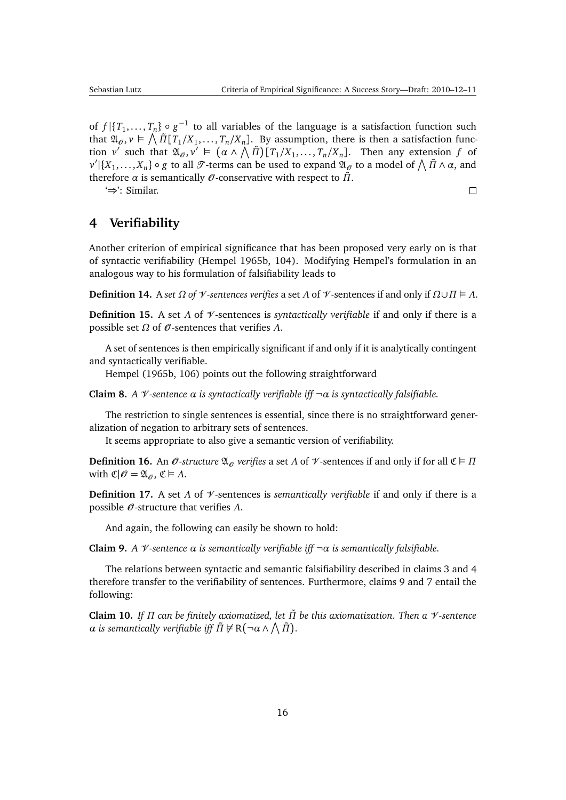$\Box$ 

<span id="page-15-7"></span>of  $f | {T_1, ..., T_n} \circ g^{-1}$  to all variables of the language is a satisfaction function such that  $\mathfrak{A}_{\theta}$ ,  $v \in \bigwedge \tilde{\Pi} [T_1/X_1, \ldots, T_n/X_n]$ . By assumption, there is then a satisfaction function *v*<sup>*'*</sup> such that  $\mathfrak{A}_{\theta}, v' \models (\alpha \land \bigwedge \overline{n})[\nabla_1/X_1, \ldots, T_n/X_n]$ . Then any extension *f* of  $v' | {X_1, ..., X_n} \circ g$  to all  $\mathcal{T}$ -terms can be used to expand  $\mathfrak{A}_\theta$  to a model of  $\bigwedge \tilde{\Pi} \wedge \alpha$ , and therefore *α* is semantically  $\mathcal{O}$ -conservative with respect to  $\tilde{\Pi}$ .

'⇒': Similar.

# <span id="page-15-0"></span>**4 Verifiability**

Another criterion of empirical significance that has been proposed very early on is that of syntactic verifiability [\(Hempel](#page-47-4) [1965b,](#page-47-4) 104). Modifying Hempel's formulation in an analogous way to his formulation of falsifiability leads to

**Definition 14.** A *set Ω of*  $\mathcal{V}$ -*sentences verifies* a set *Λ* of  $\mathcal{V}$ -sentences if and only if  $Ω∪$ *Π*  $\vdash$  *Λ*.

<span id="page-15-4"></span>**Definition 15.** A set *Λ* of V -sentences is *syntactically verifiable* if and only if there is a possible set *Ω* of O -sentences that verifies *Λ*.

A set of sentences is then empirically significant if and only if it is analytically contingent and syntactically verifiable.

[Hempel](#page-47-4) [\(1965b,](#page-47-4) 106) points out the following straightforward

<span id="page-15-3"></span>**Claim 8.** *A* V *-sentence α is syntactically verifiable iff* ¬*α is syntactically falsifiable.*

The restriction to single sentences is essential, since there is no straightforward generalization of negation to arbitrary sets of sentences.

It seems appropriate to also give a semantic version of verifiability.

<span id="page-15-5"></span>**Definition 16.** An  $\mathcal{O}$ -structure  $\mathfrak{A}_{\mathcal{O}}$  verifies a set  $\Lambda$  of  $\mathcal{V}$ -sentences if and only if for all  $\mathfrak{C} \models \Pi$ with  $\mathfrak{C}|\mathcal{O} = \mathfrak{A}_{\mathcal{O}}$ ,  $\mathfrak{C} \models \Lambda$ .

<span id="page-15-6"></span>**Definition 17.** A set *Λ* of V -sentences is *semantically verifiable* if and only if there is a possible O -structure that verifies *Λ*.

And again, the following can easily be shown to hold:

<span id="page-15-1"></span>**Claim 9.** *A* V *-sentence α is semantically verifiable iff* ¬*α is semantically falsifiable.*

The relations between syntactic and semantic falsifiability described in claims [3](#page-11-2) and [4](#page-11-3) therefore transfer to the verifiability of sentences. Furthermore, claims [9](#page-15-1) and [7](#page-14-0) entail the following:

<span id="page-15-2"></span>**Claim 10.** *If Π can be finitely axiomatized, let Π*˜ *be this axiomatization. Then a* V *-sentence*  $\alpha$  *is semantically verifiable iff*  $\tilde{\Pi} \nvDash \mathrm{R}(\neg \alpha \wedge \bigwedge \tilde{\Pi}).$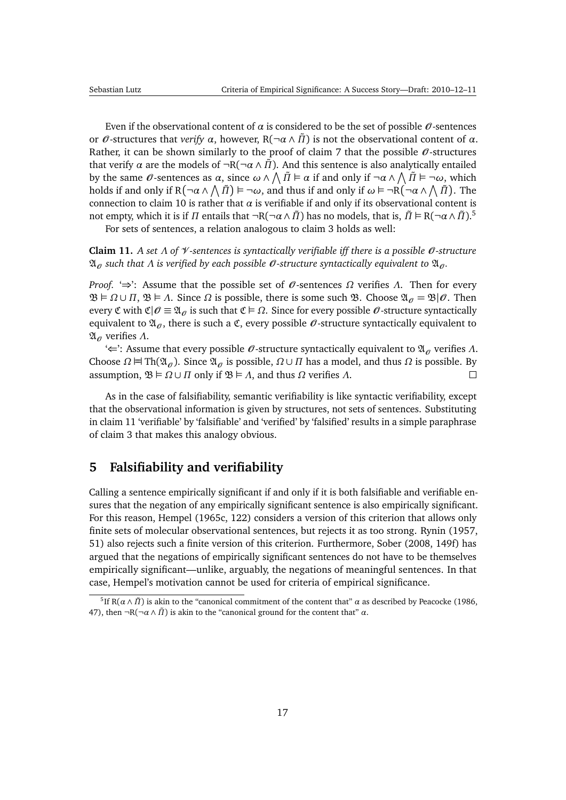<span id="page-16-3"></span>Even if the observational content of  $\alpha$  is considered to be the set of possible  $\mathcal{O}$ -sentences or  $\theta$ -structures that *verify*  $\alpha$ , however, R( $\neg \alpha \land \tilde{\Pi}$ ) is not the observational content of  $\alpha$ . Rather, it can be shown similarly to the proof of claim [7](#page-14-0) that the possible  $\theta$ -structures that verify *α* are the models of  $\neg R(\neg \alpha \land \overline{n})$ . And this sentence is also analytically entailed by the same  $\theta$ -sentences as  $\alpha$ , since  $\omega \wedge \bigwedge \tilde{\Pi} \models \alpha$  if and only if  $\neg \alpha \wedge \bigwedge \tilde{\Pi} \models \neg \omega$ , which holds if and only if  $R(\neg\alpha\wedge\bigwedge\tilde{\Pi})\vDash \neg\omega$ , and thus if and only if  $\omega\vDash \neg R(\neg\alpha\wedge\bigwedge\tilde{\Pi})$ . The connection to claim [10](#page-15-2) is rather that  $\alpha$  is verifiable if and only if its observational content is not empty, which it is if  $\Pi$  entails that  $\neg R(\neg\alpha\wedge\tilde{\Pi})$  has no models, that is,  $\tilde{\Pi}\vDash R(\neg\alpha\wedge\tilde{\Pi})$ .<sup>[5](#page-16-1)</sup>

For sets of sentences, a relation analogous to claim [3](#page-11-2) holds as well:

<span id="page-16-2"></span>**Claim 11.** *A set Λ of* V *-sentences is syntactically verifiable iff there is a possible* O *-structure*  $\mathfrak{A}_{\mathcal{O}}$  *such that*  $\Lambda$  *is verified by each possible*  $\mathcal{O}$ -*structure syntactically equivalent to*  $\mathfrak{A}_{\mathcal{O}}$ .

*Proof.* '⇒': Assume that the possible set of  $\theta$ -sentences  $\Omega$  verifies  $\Lambda$ . Then for every  $\mathfrak{B} \models \Omega \cup \Pi$ ,  $\mathfrak{B} \models \Lambda$ . Since  $\Omega$  is possible, there is some such  $\mathfrak{B}$ . Choose  $\mathfrak{A}_{\mathcal{O}} = \mathfrak{B} | \mathcal{O}$ . Then every C with  $\mathfrak{C}|\mathcal{O} \equiv \mathfrak{A}_\mathcal{O}$  is such that  $\mathfrak{C} \models \Omega$ . Since for every possible  $\mathcal{O}$ -structure syntactically equivalent to  $\mathfrak{A}_{\mathcal{O}}$ , there is such a  $\mathfrak{C}$ , every possible  $\mathcal{O}$ -structure syntactically equivalent to AO verifies *Λ*.

 $\div$ : Assume that every possible  $\theta$ -structure syntactically equivalent to  $\mathfrak{A}_{\theta}$  verifies  $\Lambda$ . Choose *Ω*  $\forall$  Th( $\mathfrak{A}_\theta$ ). Since  $\mathfrak{A}_\theta$  is possible, *Ω* ∪ *Π* has a model, and thus *Ω* is possible. By assumption,  $\mathfrak{B} \models \Omega \cup \Pi$  only if  $\mathfrak{B} \models \Lambda$ , and thus  $\Omega$  verifies  $\Lambda$ .  $\Box$ 

As in the case of falsifiability, semantic verifiability is like syntactic verifiability, except that the observational information is given by structures, not sets of sentences. Substituting in claim [11](#page-16-2) 'verifiable' by 'falsifiable' and 'verified' by 'falsified' results in a simple paraphrase of claim [3](#page-11-2) that makes this analogy obvious.

## <span id="page-16-0"></span>**5 Falsifiability and verifiability**

Calling a sentence empirically significant if and only if it is both falsifiable and verifiable ensures that the negation of any empirically significant sentence is also empirically significant. For this reason, [Hempel](#page-47-6) [\(1965c,](#page-47-6) 122) considers a version of this criterion that allows only finite sets of molecular observational sentences, but rejects it as too strong. [Rynin](#page-50-8) [\(1957,](#page-50-8) 51) also rejects such a finite version of this criterion. Furthermore, [Sober](#page-50-0) [\(2008,](#page-50-0) 149f) has argued that the negations of empirically significant sentences do not have to be themselves empirically significant—unlike, arguably, the negations of meaningful sentences. In that case, Hempel's motivation cannot be used for criteria of empirical significance.

<span id="page-16-1"></span><sup>&</sup>lt;sup>5</sup>If R( $\alpha \wedge \tilde{\Pi}$ ) is akin to the "canonical commitment of the content that"  $\alpha$  as described by [Peacocke](#page-49-10) [\(1986,](#page-49-10) 47), then  $\neg R(\neg \alpha \land \tilde{\Pi})$  is akin to the "canonical ground for the content that" *α*.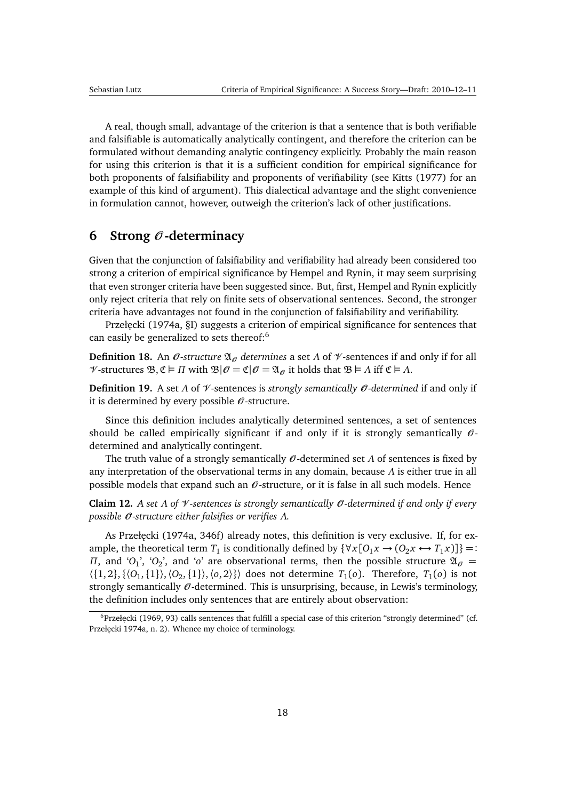<span id="page-17-5"></span>A real, though small, advantage of the criterion is that a sentence that is both verifiable and falsifiable is automatically analytically contingent, and therefore the criterion can be formulated without demanding analytic contingency explicitly. Probably the main reason for using this criterion is that it is a sufficient condition for empirical significance for both proponents of falsifiability and proponents of verifiability (see [Kitts](#page-47-9) [\(1977\)](#page-47-9) for an example of this kind of argument). This dialectical advantage and the slight convenience in formulation cannot, however, outweigh the criterion's lack of other justifications.

## <span id="page-17-0"></span>**6 Strong** O **-determinacy**

Given that the conjunction of falsifiability and verifiability had already been considered too strong a criterion of empirical significance by Hempel and Rynin, it may seem surprising that even stronger criteria have been suggested since. But, first, Hempel and Rynin explicitly only reject criteria that rely on finite sets of observational sentences. Second, the stronger criteria have advantages not found in the conjunction of falsifiability and verifiability.

Przełęcki [\(1974a,](#page-49-4) §I) suggests a criterion of empirical significance for sentences that can easily be generalized to sets thereof:<sup>[6](#page-17-1)</sup>

<span id="page-17-4"></span>**Definition 18.** An  $\mathcal{O}$ -structure  $\mathfrak{A}_{\mathcal{O}}$  determines a set  $\Lambda$  of  $\mathcal{V}$ -sentences if and only if for all  $\mathcal V$ -structures  $\mathfrak{B}, \mathfrak{C} \models \Pi$  with  $\mathfrak{B}|\mathcal{O} = \mathfrak{C}|\mathcal{O} = \mathfrak{A}_{\mathcal{O}}$  it holds that  $\mathfrak{B} \models \Lambda$  iff  $\mathfrak{C} \models \Lambda$ .

<span id="page-17-2"></span>**Definition 19.** A set *Λ* of V -sentences is *strongly semantically* O *-determined* if and only if it is determined by every possible  $\mathcal O$ -structure.

Since this definition includes analytically determined sentences, a set of sentences should be called empirically significant if and only if it is strongly semantically  $\mathcal{O}$ determined and analytically contingent.

The truth value of a strongly semantically O -determined set *Λ* of sentences is fixed by any interpretation of the observational terms in any domain, because *Λ* is either true in all possible models that expand such an  $\mathcal O$ -structure, or it is false in all such models. Hence

**Claim 12.** *A set Λ of* V *-sentences is strongly semantically* O *-determined if and only if every possible* O *-structure either falsifies or verifies Λ.*

As Przełęcki [\(1974a,](#page-49-4) 346f) already notes, this definition is very exclusive. If, for example, the theoretical term  $T_1$  is conditionally defined by  $\{\forall x [O_1 x \rightarrow (O_2 x \leftrightarrow T_1 x)]\}$  =: *Π*, and '*O*<sub>1</sub>', '*O*<sub>2</sub>', and '*o*' are observational terms, then the possible structure  $\mathfrak{A}_{\mathcal{O}} =$  $\langle \{1,2\}, \{\langle O_1, \{1\}\rangle, \langle O_2, \{1\}\rangle, \langle o, 2\rangle\} \rangle$  does not determine  $T_1(o)$ . Therefore,  $T_1(o)$  is not strongly semantically  $\mathcal O$ -determined. This is unsurprising, because, in Lewis's terminology, the definition includes only sentences that are entirely about observation:

<span id="page-17-3"></span><span id="page-17-1"></span> $6$ Przełęcki [\(1969,](#page-49-5) 93) calls sentences that fulfill a special case of this criterion "strongly determined" (cf. Przełęcki [1974a,](#page-49-4) n. 2). Whence my choice of terminology.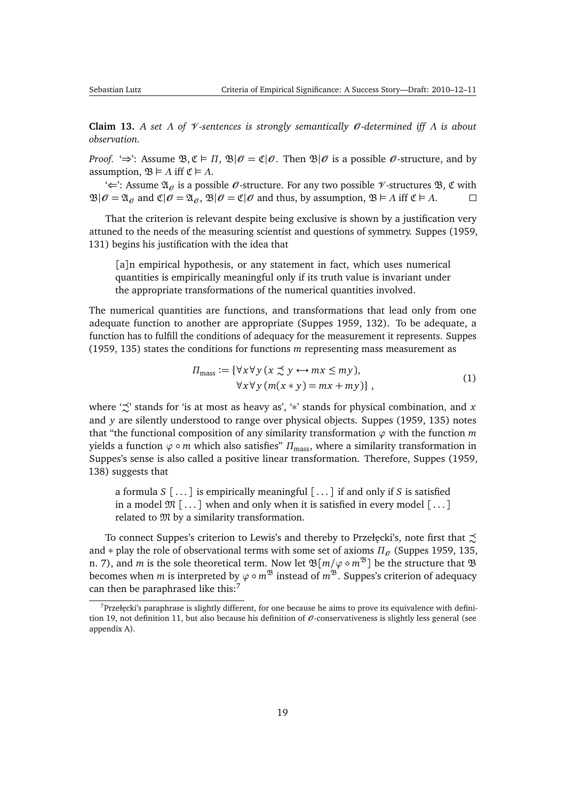<span id="page-18-2"></span>**Claim 13.** *A set Λ of* V *-sentences is strongly semantically* O *-determined iff Λ is about observation.*

*Proof.* ' $\Rightarrow$ ': Assume  $\mathfrak{B}, \mathfrak{C} \models \Pi$ ,  $\mathfrak{B}|\mathcal{O} = \mathfrak{C}|\mathcal{O}$ . Then  $\mathfrak{B}|\mathcal{O}$  is a possible  $\mathcal{O}$ -structure, and by assumption,  $\mathfrak{B} \models \Lambda$  iff  $\mathfrak{C} \models \Lambda$ .

'∈': Assume  $\mathfrak{A}_{\mathcal{O}}$  is a possible  $\mathcal{O}$ -structure. For any two possible  $\mathcal{V}$ -structures  $\mathfrak{B}, \mathfrak{C}$  with  $\mathfrak{B}|\mathcal{O} = \mathfrak{A}_{\mathcal{O}}$  and  $\mathfrak{C}|\mathcal{O} = \mathfrak{A}_{\mathcal{O}}$ ,  $\mathfrak{B}|\mathcal{O} = \mathfrak{C}|\mathcal{O}$  and thus, by assumption,  $\mathfrak{B} \models \Lambda$  iff  $\mathfrak{C} \models \Lambda$ .  $\Box$ 

That the criterion is relevant despite being exclusive is shown by a justification very attuned to the needs of the measuring scientist and questions of symmetry. [Suppes](#page-51-7) [\(1959,](#page-51-7) 131) begins his justification with the idea that

[a]n empirical hypothesis, or any statement in fact, which uses numerical quantities is empirically meaningful only if its truth value is invariant under the appropriate transformations of the numerical quantities involved.

The numerical quantities are functions, and transformations that lead only from one adequate function to another are appropriate [\(Suppes](#page-51-7) [1959,](#page-51-7) 132). To be adequate, a function has to fulfill the conditions of adequacy for the measurement it represents. [Suppes](#page-51-7) [\(1959,](#page-51-7) 135) states the conditions for functions *m* representing mass measurement as

$$
\Pi_{\text{mass}} := \{ \forall x \forall y (x \preceq y \leftrightarrow mx \leq my), \n\forall x \forall y (m(x * y) = mx + my) \},
$$
\n(1)

where  $\sharp \preceq'$  stands for 'is at most as heavy as', '\*' stands for physical combination, and *x* and *y* are silently understood to range over physical objects. [Suppes](#page-51-7) [\(1959,](#page-51-7) 135) notes that "the functional composition of any similarity transformation  $\varphi$  with the function  $m$ yields a function  $\varphi \circ m$  which also satisfies"  $\Pi_{\text{mass}}$ , where a similarity transformation in Suppes's sense is also called a positive linear transformation. Therefore, [Suppes](#page-51-7) [\(1959,](#page-51-7) 138) suggests that

a formula *S* [ . . . ] is empirically meaningful [ . . . ] if and only if *S* is satisfied in a model  $\mathfrak{M}$  [...] when and only when it is satisfied in every model [...] related to  $\mathfrak M$  by a similarity transformation.

To connect Suppes's criterion to Lewis's and thereby to Przełęcki's, note first that  $\precsim$ and  $*$  play the role of observational terms with some set of axioms  $\Pi_{\theta}$  [\(Suppes](#page-51-7) [1959,](#page-51-7) 135, n. 7), and *m* is the sole theoretical term. Now let  $\mathfrak{B}[m/\varphi \circ m^{\mathfrak{B}}]$  be the structure that  $\mathfrak B$ becomes when *m* is interpreted by  $\varphi \circ m^{\mathfrak{B}}$  instead of  $m^{\mathfrak{B}}$ . Suppes's criterion of adequacy can then be paraphrased like this:<sup>[7](#page-18-0)</sup>

<span id="page-18-1"></span><span id="page-18-0"></span> $<sup>7</sup>$ Przełęcki's paraphrase is slightly different, for one because he aims to prove its equivalence with defini-</sup> tion [19,](#page-17-2) not definition [11,](#page-12-1) but also because his definition of  $\theta$ -conservativeness is slightly less general (see appendix [A\)](#page-43-0).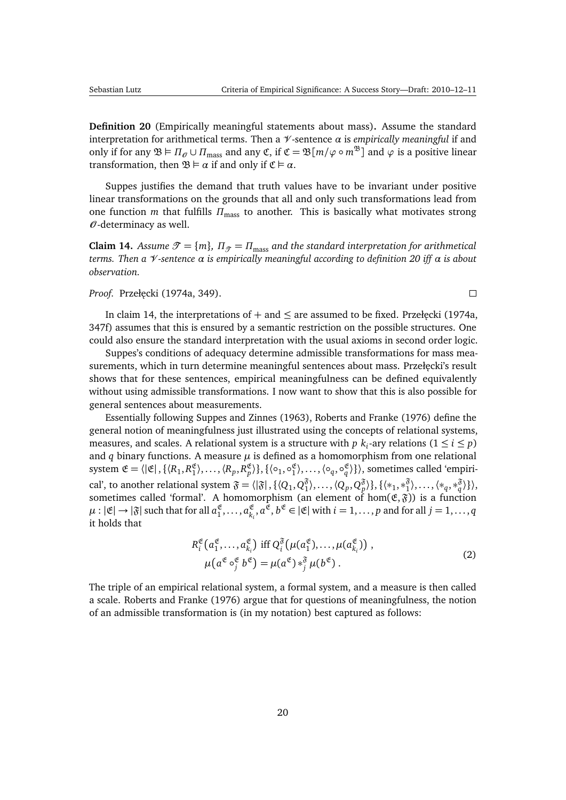$\Box$ 

<span id="page-19-2"></span>**Definition 20** (Empirically meaningful statements about mass)**.** Assume the standard interpretation for arithmetical terms. Then a V -sentence *α* is *empirically meaningful* if and only if for any  $\mathfrak{B} \models \Pi_{\mathcal{O}} \cup \Pi_{\text{mass}}$  and any  $\mathfrak{C}$ , if  $\mathfrak{C} = \mathfrak{B}[m/\varphi \circ m^{\mathfrak{B}}]$  and  $\varphi$  is a positive linear transformation, then  $\mathfrak{B} \models \alpha$  if and only if  $\mathfrak{C} \models \alpha$ .

Suppes justifies the demand that truth values have to be invariant under positive linear transformations on the grounds that all and only such transformations lead from one function *m* that fulfills *Π*mass to another. This is basically what motivates strong  $\mathcal O$ -determinacy as well.

<span id="page-19-0"></span>**Claim 14.** *Assume*  $\mathcal{T} = \{m\}$ *,*  $\Pi_{\mathcal{T}} = \Pi_{\text{mass}}$  and the standard interpretation for arithmetical *terms. Then a* V *-sentence α is empirically meaningful according to definition [20](#page-18-1) iff α is about observation.*

#### *Proof.* [Przeł˛ecki](#page-49-4) [\(1974a,](#page-49-4) 349).

In claim [14,](#page-19-0) the interpretations of  $+$  and  $\leq$  are assumed to be fixed. Przełęcki [\(1974a,](#page-49-4) 347f) assumes that this is ensured by a semantic restriction on the possible structures. One could also ensure the standard interpretation with the usual axioms in second order logic.

Suppes's conditions of adequacy determine admissible transformations for mass measurements, which in turn determine meaningful sentences about mass. Przełęcki's result shows that for these sentences, empirical meaningfulness can be defined equivalently without using admissible transformations. I now want to show that this is also possible for general sentences about measurements.

Essentially following [Suppes and Zinnes](#page-51-8) [\(1963\)](#page-51-8), [Roberts and Franke](#page-49-11) [\(1976\)](#page-49-11) define the general notion of meaningfulness just illustrated using the concepts of relational systems, measures, and scales. A relational system is a structure with  $p$   $k_i$ -ary relations  $(1 \leq i \leq p)$ and  $q$  binary functions. A measure  $\mu$  is defined as a homomorphism from one relational system  $\mathfrak{E} = \langle |\mathfrak{E}|, \{ \langle R_1, R_1^{\mathfrak{E}} \rangle, \ldots, \langle R_p, R_p^{\mathfrak{E}} \rangle \}, \{ \langle \circ_1, \circ_1^{\mathfrak{E}} \rangle, \ldots, \langle \circ_q, \circ_q^{\mathfrak{E}} \rangle \} \rangle$ , sometimes called 'empirical', to another relational system  $\mathfrak{F} = \langle |\mathfrak{F}|, \{ \langle Q_1, Q_1^{\mathfrak{F}} \rangle \} \rangle$  $\{\langle \mathcal{P}_1, \mathcal{P}_2, \mathcal{P}_3^{\mathfrak{F}} \rangle \}, \{\langle \ast_1, \ast_1^{\mathfrak{F}} \rangle \}$  $\{\hat{\check{\gamma}}_1, \ldots, \langle *_{q}, *_{q}^{\mathfrak{F}} \rangle\}\rangle,$ sometimes called 'formal'. A homomorphism (an element of  $\hom(\mathfrak{E},\mathfrak{F}))$  is a function  $\mu: | \mathfrak{E} | \rightarrow | \mathfrak{F} |$  such that for all  $a_1^\mathfrak{E}, \ldots, a_{k,1}^\mathfrak{E}$  $\mathcal{E}_{k_i}$ ,  $a^{\mathfrak{E}}, b^{\mathfrak{E}} \in |\mathfrak{E}|$  with  $i = 1, \ldots, p$  and for all  $j = 1, \ldots, q$ it holds that

$$
R_i^{\mathfrak{E}}(a_1^{\mathfrak{E}}, \dots, a_{k_i}^{\mathfrak{E}}) \text{ iff } Q_i^{\mathfrak{F}}(\mu(a_1^{\mathfrak{E}}), \dots, \mu(a_{k_i}^{\mathfrak{E}})) ,\mu(a^{\mathfrak{E}} \circ_j^{\mathfrak{E}} b^{\mathfrak{E}}) = \mu(a^{\mathfrak{E}}) *_{j}^{\mathfrak{F}} \mu(b^{\mathfrak{E}}).
$$
\n(2)

<span id="page-19-1"></span>The triple of an empirical relational system, a formal system, and a measure is then called a scale. [Roberts and Franke](#page-49-11) [\(1976\)](#page-49-11) argue that for questions of meaningfulness, the notion of an admissible transformation is (in my notation) best captured as follows: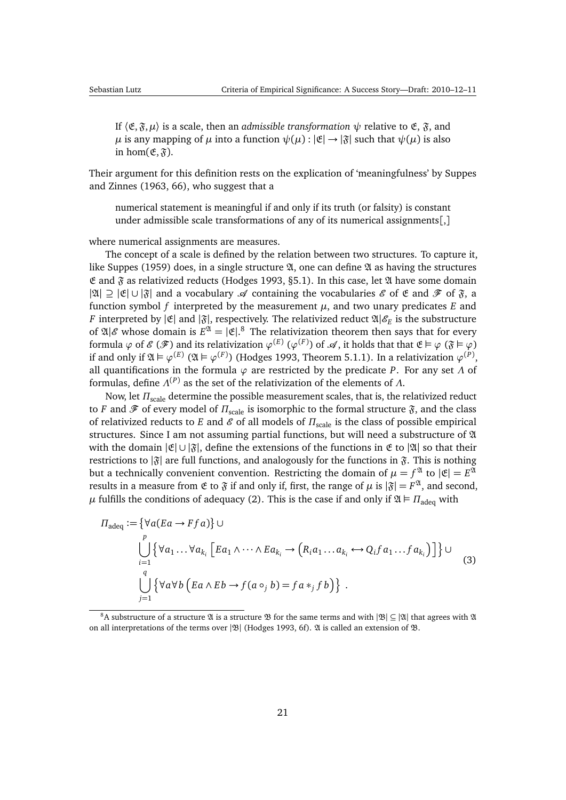<span id="page-20-2"></span>If  $\langle \mathfrak{E}, \mathfrak{F}, \mu \rangle$  is a scale, then an *admissible transformation*  $\psi$  relative to  $\mathfrak{E}, \mathfrak{F},$  and *µ* is any mapping of *µ* into a function  $\psi(\mu): |\mathfrak{E}| \to |\mathfrak{F}|$  such that  $\psi(\mu)$  is also in hom $(\mathfrak{E}, \mathfrak{F})$ .

Their argument for this definition rests on the explication of 'meaningfulness' by [Suppes](#page-51-8) [and Zinnes](#page-51-8) [\(1963,](#page-51-8) 66), who suggest that a

numerical statement is meaningful if and only if its truth (or falsity) is constant under admissible scale transformations of any of its numerical assignments[,]

where numerical assignments are measures.

The concept of a scale is defined by the relation between two structures. To capture it, like [Suppes](#page-51-7) [\(1959\)](#page-51-7) does, in a single structure  $\mathfrak A$ , one can define  $\mathfrak A$  as having the structures  $E$  and  $\tilde{g}$  as relativized reducts [\(Hodges](#page-47-3) [1993,](#page-47-3) §5.1). In this case, let  $\mathfrak A$  have some domain | $\mathfrak{A}$ | ⊇  $|\mathfrak{E}| \cup |\mathfrak{F}|$  and a vocabulary  $\mathscr A$  containing the vocabularies  $\mathscr E$  of  $\mathfrak F$  and  $\mathscr F$  of  $\mathfrak F$ , a function symbol *f* interpreted by the measurement  $\mu$ , and two unary predicates *E* and *F* interpreted by  $|\mathfrak{E}|$  and  $|\mathfrak{F}|$ , respectively. The relativized reduct  $\mathfrak{A}|\mathscr{E}_E$  is the substructure of  $\mathfrak{A}|\mathscr{E}$  whose domain is  $E^{\mathfrak{A}} = |\mathfrak{E}|$ . <sup>[8](#page-20-0)</sup> The relativization theorem then says that for every formula  $\varphi$  of  $\mathscr E$  ( $\mathscr F$ ) and its relativization  $\varphi^{(E)}$  ( $\varphi^{(F)}$ ) of  $\mathscr A$ , it holds that that  $\mathfrak E \vDash \varphi$  ( $\mathfrak F \vDash \varphi$ ) if and only if  $\mathfrak{A} \vDash \varphi^{(E)}$  ( $\mathfrak{A} \vDash \varphi^{(F)}$ ) [\(Hodges](#page-47-3) [1993,](#page-47-3) Theorem 5.1.1). In a relativization  $\varphi^{(P)},$ all quantifications in the formula *ϕ* are restricted by the predicate *P*. For any set *Λ* of formulas, define *Λ* (*P*) as the set of the relativization of the elements of *Λ*.

Now, let  $\Pi_{\text{scale}}$  determine the possible measurement scales, that is, the relativized reduct to *F* and  $\mathscr F$  of every model of  $\Pi_{\text{scale}}$  is isomorphic to the formal structure  $\mathfrak F$ , and the class of relativized reducts to *E* and *&* of all models of *Π*<sub>scale</sub> is the class of possible empirical structures. Since I am not assuming partial functions, but will need a substructure of A with the domain  $|\mathfrak{E}| \cup |\mathfrak{F}|$ , define the extensions of the functions in  $\mathfrak{E}$  to  $|\mathfrak{A}|$  so that their restrictions to  $|\mathfrak{F}|$  are full functions, and analogously for the functions in  $\mathfrak{F}$ . This is nothing but a technically convenient convention. Restricting the domain of  $\mu = f^\mathfrak{A}$  to  $|\mathfrak{E}| = E^\mathfrak{A}$ results in a measure from  $\mathfrak E$  to  $\mathfrak F$  if and only if, first, the range of  $\mu$  is  $|\mathfrak F| = F^\mathfrak A,$  and second, *μ* fulfills the conditions of adequacy [\(2\)](#page-19-1). This is the case if and only if  $\mathfrak{A} \models \Pi_{\text{adeg}}$  with

<span id="page-20-1"></span>
$$
\Pi_{\text{adeq}} := \{ \forall a (Ea \rightarrow Ffa) \} \cup
$$
\n
$$
\bigcup_{i=1}^{p} \{ \forall a_1 \dots \forall a_{k_i} \left[ Ea_1 \land \dots \land Ea_{k_i} \rightarrow \left( R_i a_1 \dots a_{k_i} \leftrightarrow Q_i f a_1 \dots f a_{k_i} \right) \right] \} \cup
$$
\n
$$
\bigcup_{j=1}^{q} \{ \forall a \forall b \left( Ea \land Eb \rightarrow f(a \circ_j b) = fa *_{j} fb \right) \}.
$$
\n(3)

<span id="page-20-0"></span><sup>8</sup>A substructure of a structure  $\mathfrak A$  is a structure  $\mathfrak B$  for the same terms and with  $|\mathfrak B| \subseteq |\mathfrak A|$  that agrees with  $\mathfrak A$ on all interpretations of the terms over  $|\mathfrak{B}|$  [\(Hodges](#page-47-3) [1993,](#page-47-3) 6f).  $\mathfrak A$  is called an extension of  $\mathfrak B$ .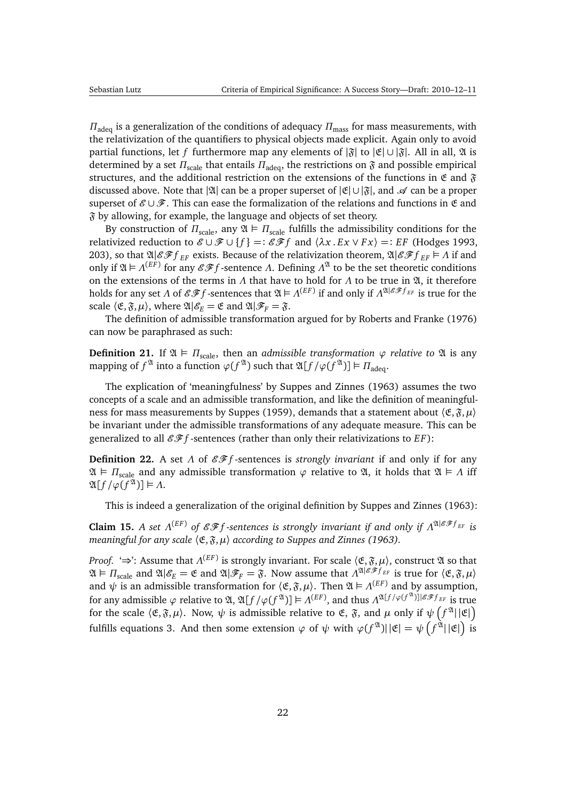<span id="page-21-2"></span> $\Pi_{\text{adea}}$  is a generalization of the conditions of adequacy  $\Pi_{\text{mass}}$  for mass measurements, with the relativization of the quantifiers to physical objects made explicit. Again only to avoid partial functions, let *f* furthermore map any elements of  $|\mathfrak{F}|$  to  $|\mathfrak{E}| \cup |\mathfrak{F}|$ . All in all,  $\mathfrak{A}$  is determined by a set *Π*<sub>scale</sub> that entails *Π*<sub>adeq</sub>, the restrictions on  $\mathfrak F$  and possible empirical structures, and the additional restriction on the extensions of the functions in  $\mathfrak{E}$  and  $\mathfrak{F}$ discussed above. Note that | $\mathfrak{A}$ | can be a proper superset of  $|\mathfrak{E}| \cup |\mathfrak{F}|$ , and  $\mathcal{A}$  can be a proper superset of  $\mathcal{E} \cup \mathcal{F}$ . This can ease the formalization of the relations and functions in  $\mathfrak{E}$  and  $\mathfrak F$  by allowing, for example, the language and objects of set theory.

By construction of  $\Pi_{\text{scale}}$ , any  $\mathfrak{A} \models \Pi_{\text{scale}}$  fulfills the admissibility conditions for the relativized reduction to  $\mathcal{E} \cup \mathcal{F} \cup \{f\} =: \mathcal{E} \mathcal{F} f$  and  $\langle \lambda x \cdot E x \vee F x \rangle =: E F$  [\(Hodges](#page-47-3) [1993,](#page-47-3) 203), so that  $\mathfrak{A}|\mathcal{E}\mathcal{F}f_{EF}$  exists. Because of the relativization theorem,  $\mathfrak{A}|\mathcal{E}\mathcal{F}f_{EF} \models \Lambda$  if and only if  $\mathfrak{A} \vDash \Lambda^{(EF)}$  for any  $\mathscr{EF}$  -sentence  $\Lambda$ . Defining  $\Lambda^{\mathfrak{A}}$  to be the set theoretic conditions on the extensions of the terms in  $\Lambda$  that have to hold for  $\Lambda$  to be true in  $\mathfrak{A}$ , it therefore holds for any set *Λ* of EF *f* -sentences that A *Λ* (*E F*) if and only if *Λ* <sup>A</sup>|EF *<sup>f</sup> E F* is true for the scale  $\langle \mathfrak{E}, \mathfrak{F}, \mu \rangle$ , where  $\mathfrak{A}|\mathscr{E}_F = \mathfrak{E}$  and  $\mathfrak{A}|\mathscr{F}_F = \mathfrak{F}$ .

The definition of admissible transformation argued for by [Roberts and Franke](#page-49-11) [\(1976\)](#page-49-11) can now be paraphrased as such:

<span id="page-21-0"></span>**Definition 21.** If  $\mathfrak{A} \models \Pi_{scale}$ , then an *admissible transformation*  $\varphi$  *relative to*  $\mathfrak{A}$  is any mapping of  $f^{\mathfrak{A}}$  into a function  $\varphi(f^{\mathfrak{A}})$  such that  $\mathfrak{A}[f/\varphi(f^{\mathfrak{A}})] \vDash \Pi_{\text{adeq}}$ .

The explication of 'meaningfulness' by [Suppes and Zinnes](#page-51-8) [\(1963\)](#page-51-8) assumes the two concepts of a scale and an admissible transformation, and like the definition of meaningful-ness for mass measurements by [Suppes](#page-51-7) [\(1959\)](#page-51-7), demands that a statement about  $\langle \mathfrak{E}, \mathfrak{F}, \mu \rangle$ be invariant under the admissible transformations of any adequate measure. This can be generalized to all  $\mathcal{GF}$  *f* -sentences (rather than only their relativizations to  $EF$ ):

**Definition 22.** A set *Λ* of  $\mathcal{EF}$  *f* -sentences is *strongly invariant* if and only if for any  $\mathfrak{A} \models \Pi_{\text{scale}}$  and any admissible transformation  $\varphi$  relative to  $\mathfrak{A}$ , it holds that  $\mathfrak{A} \models \Lambda$  iff  $\mathfrak{A}[f/\varphi(f^{\mathfrak{A}})] \models \Lambda.$ 

This is indeed a generalization of the original definition by [Suppes and Zinnes](#page-51-8) [\(1963\)](#page-51-8):

<span id="page-21-1"></span>**Claim 15.** *A set*  $\Lambda^{(EF)}$  of  $\mathscr{GF}$  *f* -sentences is strongly invariant if and only if  $\Lambda^{2l|\mathscr{GF}_{EF}}$  is *meaningful for any scale* 〈E,F,*µ*〉 *according to [Suppes and Zinnes](#page-51-8) [\(1963\)](#page-51-8).*

*Proof. '⇒'*: Assume that *Λ*<sup>(EF)</sup> is strongly invariant. For scale  $\langle \mathfrak{E}, \mathfrak{F}, \mu \rangle$ , construct  $\mathfrak A$  so that  $\mathfrak{A} \models \Pi_{\text{scale}}$  and  $\mathfrak{A} | \mathscr{E}_E = \mathfrak{E}$  and  $\mathfrak{A} | \mathscr{F}_F = \mathfrak{F}$ . Now assume that  $\Lambda^{\mathfrak{A} | \mathscr{E} \mathscr{F} f_{EF}}$  is true for  $\langle \mathfrak{E}, \mathfrak{F}, \mu \rangle$ and  $\psi$  is an admissible transformation for  $\langle \mathfrak{E}, \mathfrak{F}, \mu \rangle$ . Then  $\mathfrak{A} \vDash \Lambda^{(EF)}$  and by assumption, for any admissible  $\varphi$  relative to  $\mathfrak{A}, \mathfrak{A}[f/\varphi(f^\mathfrak{A})]\vDash \Lambda^{(EF)},$  and thus  $\Lambda^{\mathfrak{A}[f/\varphi(f^\mathfrak{A})]]\mathscr{E}\mathscr{F} f_{EF}}$  is true for the scale  $\langle \mathfrak{E}, \mathfrak{F}, \mu \rangle$ . Now,  $\psi$  is admissible relative to  $\mathfrak{E}, \mathfrak{F},$  and  $\mu$  only if  $\psi\left(f^{\mathfrak{A}}||\mathfrak{E}|\right)$ fulfills equations [3.](#page-20-1) And then some extension  $\varphi$  of  $\psi$  with  $\varphi(f^\mathfrak{A})||\mathfrak{E}|=\psi\left(f^\mathfrak{A}||\mathfrak{E}|\right)$  is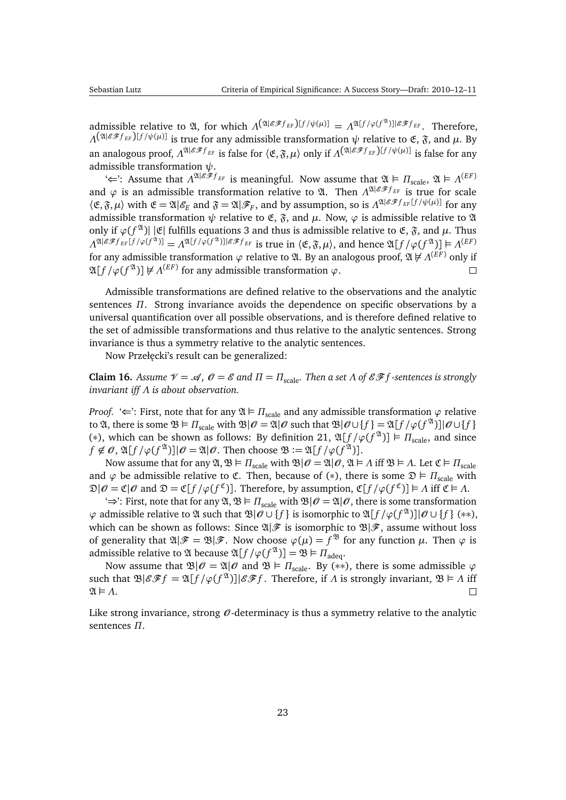admissible relative to  $\mathfrak{A}$ , for which  $\Lambda^{(\mathfrak{A}|\mathcal{E}\mathcal{F}f_{EF})[f/\psi(\mu)]} = \Lambda^{\mathfrak{A}[f/\varphi(f^{\mathfrak{A}})]|\mathcal{E}\mathcal{F}f_{EF}}$ . Therefore, *Λ*( $\mathfrak{A}^{(\mathfrak{A}|\mathcal{E}\mathscr{F}f_{EF})[f/\psi(\mu)]}$  is true for any admissible transformation  $\psi$  relative to  $\mathfrak{E}, \mathfrak{F},$  and  $\mu$ . By an analogous proof,  $\Lambda^{\mathfrak{A}|\mathscr{E}\mathscr{F}f_{EF}}$  is false for  $\langle \mathfrak{E}, \mathfrak{F}, \mu \rangle$  only if  $\Lambda^{ \mathfrak{A}|\mathscr{E}\mathscr{F}f_{EF}})$ [ $f/\psi(\mu)$ ] is false for any admissible transformation *ψ*.

' $\Leftarrow$ ': Assume that  $Λ^{x|{\mathscr E}\tilde{\mathscr F}f_{EF}}$  is meaningful. Now assume that  $\mathfrak{A} \vDash \Pi_{scale}, \mathfrak{A} \vDash \Lambda^{(EF)}$ and  $\varphi$  is an admissible transformation relative to  $\mathfrak{A}$ . Then  $\Lambda^{\mathfrak{A}|\mathcal{E}\mathscr{F}f_{EF}}$  is true for scale  $\langle \mathfrak{E}, \mathfrak{F}, \mu \rangle$  with  $\mathfrak{E} = \mathfrak{A} | \mathscr{E}_E$  and  $\mathfrak{F} = \mathfrak{A} | \mathscr{F}_F$ , and by assumption, so is  $\Lambda^{\mathfrak{A} | \mathscr{E} \mathscr{F} f_{EF}}[f/\psi(\mu)]$  for any admissible transformation  $\psi$  relative to  $\mathfrak{E}$ ,  $\mathfrak{F}$ , and  $\mu$ . Now,  $\varphi$  is admissible relative to  $\mathfrak A$ only if  $\varphi(f^{\mathfrak{A}})|$  [C fulfills equations [3](#page-20-1) and thus is admissible relative to E,  $\mathfrak{F}$ , and  $\mu$ . Thus  $\Lambda^{\mathfrak{A}|\mathcal{EF}} f_{EF}[f/\varphi(f^\mathfrak{A})] = \Lambda^{\mathfrak{A}[f/\varphi(f^\mathfrak{A})]| \mathcal{EF}} f_{EF}$  is true in  $\langle \mathfrak{E}, \mathfrak{F}, \mu \rangle$ , and hence  $\mathfrak{A}[f/\varphi(f^\mathfrak{A})] \models \Lambda^{(EF)}$ for any admissible transformation *ϕ* relative to A. By an analogous proof, A 6 *Λ* (*E F*) only if  $\mathfrak{A}[f/\varphi(f^\mathfrak{A})] \not \models \Lambda^{(EF)}$  for any admissible transformation  $\varphi$ .  $\Box$ 

Admissible transformations are defined relative to the observations and the analytic sentences *Π*. Strong invariance avoids the dependence on specific observations by a universal quantification over all possible observations, and is therefore defined relative to the set of admissible transformations and thus relative to the analytic sentences. Strong invariance is thus a symmetry relative to the analytic sentences.

Now Przełęcki's result can be generalized:

<span id="page-22-0"></span>**Claim 16.** *Assume*  $\mathcal{V} = \mathcal{A}$ ,  $\mathcal{O} = \mathcal{E}$  and  $\Pi = \Pi_{scale}$ . Then a set  $\Lambda$  of  $\mathcal{E}\mathcal{F}f$ -sentences is strongly *invariant iff Λ is about observation.*

*Proof.* ' $\Leftarrow$ ': First, note that for any  $\mathfrak{A} \models \Pi_{\text{scale}}$  and any admissible transformation  $\varphi$  relative to  $\mathfrak{A}$ , there is some  $\mathfrak{B} \models \Pi_{\text{scale}}$  with  $\mathfrak{B}|\mathscr{O} = \mathfrak{A}|\mathscr{O}$  such that  $\mathfrak{B}|\mathscr{O} \cup \{f\} = \mathfrak{A}[f/\varphi(f^{\mathfrak{A}})]|\mathscr{O} \cup \{f\}$ (\*), which can be shown as follows: By definition [21,](#page-21-0)  $\mathfrak{A}[f/\varphi(f^{\mathfrak{A}})] \models \Pi_{\text{scale}}$ , and since  $f \notin \mathcal{O}, \mathfrak{A}[f/\varphi(f^{\mathfrak{A}})]|\mathcal{O} = \mathfrak{A}|\mathcal{O}.$  Then choose  $\mathfrak{B} := \mathfrak{A}[f/\varphi(f^{\mathfrak{A}})].$ 

Now assume that for any  $\mathfrak{A},\mathfrak{B} \models \Pi_{\text{scale}}$  with  $\mathfrak{B}|\mathcal{O} = \mathfrak{A}|\mathcal{O}, \mathfrak{A} \models \Lambda$  iff  $\mathfrak{B} \models \Lambda$ . Let  $\mathfrak{C} \models \Pi_{\text{scale}}$ and  $\varphi$  be admissible relative to  $\mathfrak{C}$ . Then, because of (\*), there is some  $\mathfrak{D} \models \Pi_{scale}$  with  $\mathfrak{D}|\mathscr{O} = \mathfrak{C}|\mathscr{O} \text{ and } \mathfrak{D} = \mathfrak{C}[f/\varphi(f^{\mathfrak{C}})].$  Therefore, by assumption,  $\mathfrak{C}[f/\varphi(f^{\mathfrak{C}})] \models \Lambda \text{ iff } \mathfrak{C} \models \Lambda.$ 

 $\Rightarrow$ : First, note that for any  $\mathfrak{A}, \mathfrak{B} \models \Pi_{\text{scale}}$  with  $\mathfrak{B}|\mathcal{O} = \mathfrak{A}|\mathcal{O}$ , there is some transformation *ϕ* admissible relative to A such that B|O ∪ { *f* } is isomorphic to A[ *f /ϕ*(*f* A )]|O ∪ { *f* } (∗∗), which can be shown as follows: Since  $\mathfrak{A}|\mathscr{F}$  is isomorphic to  $\mathfrak{B}|\mathscr{F}$ , assume without loss of generality that  $\mathfrak{A}|\mathscr{F}=\mathfrak{B}|\mathscr{F}$ . Now choose  $\varphi(\mu)=f^{\mathfrak{B}}$  for any function  $\mu$ . Then  $\varphi$  is admissible relative to  $\mathfrak A$  because  $\mathfrak A[f/\varphi(f^\mathfrak A)] = \mathfrak B \vDash \varPi_{\text{adeg}}.$ 

Now assume that  $\mathfrak{B}|\mathcal{O} = \mathfrak{A}|\mathcal{O}$  and  $\mathfrak{B} \models \Pi_{\text{scale}}$ . By (\*\*), there is some admissible  $\varphi$ such that  $\mathfrak{B}|\mathscr{E} \mathscr{F} f = \mathfrak{A}[f/\varphi(f^{\mathfrak{A}})]|\mathscr{E} \mathscr{F} f$ . Therefore, if  $\Lambda$  is strongly invariant,  $\mathfrak{B} \models \Lambda$  iff  $\mathfrak{A} \models \Lambda$ .  $\Box$ 

Like strong invariance, strong  $\theta$ -determinacy is thus a symmetry relative to the analytic sentences *Π*.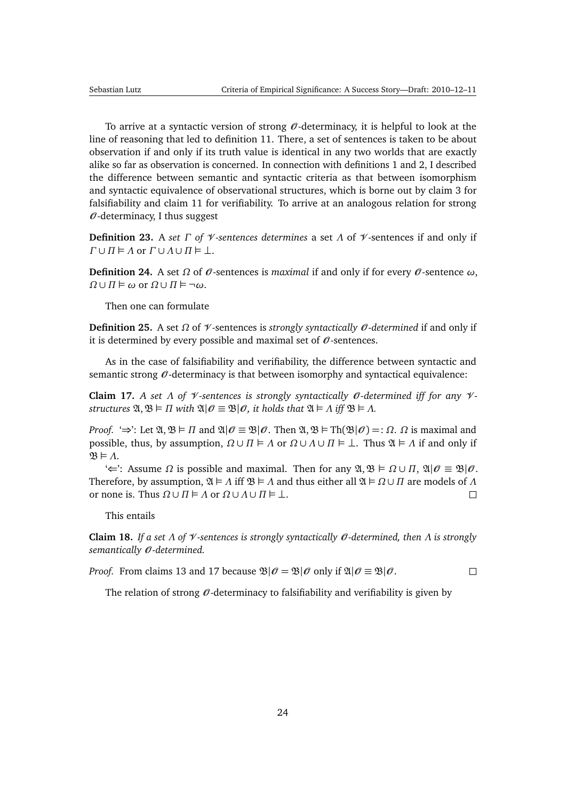To arrive at a syntactic version of strong  $\mathcal O$ -determinacy, it is helpful to look at the line of reasoning that led to definition [11.](#page-12-1) There, a set of sentences is taken to be about observation if and only if its truth value is identical in any two worlds that are exactly alike so far as observation is concerned. In connection with definitions [1](#page-5-1) and [2,](#page-5-0) I described the difference between semantic and syntactic criteria as that between isomorphism and syntactic equivalence of observational structures, which is borne out by claim [3](#page-11-2) for falsifiability and claim [11](#page-16-2) for verifiability. To arrive at an analogous relation for strong  $\theta$ -determinacy, I thus suggest

**Definition 23.** A *set Γ of* V *-sentences determines* a set *Λ* of V -sentences if and only if *Γ* ∪ *Π*  $\vdash$  *Λ* or *Γ* ∪ *Λ* ∪ *Π*  $\vdash$  ⊥.

<span id="page-23-3"></span>**Definition 24.** A set Ω of  $\theta$ -sentences is *maximal* if and only if for every  $\theta$ -sentence ω,  $Ω ∪ Π ⊕ ω$  or  $Ω ∪ Π ⊨ ¬ω$ .

Then one can formulate

<span id="page-23-2"></span>**Definition 25.** A set Ω of *V*-sentences is *strongly syntactically O*-determined if and only if it is determined by every possible and maximal set of  $\mathcal O$ -sentences.

As in the case of falsifiability and verifiability, the difference between syntactic and semantic strong  $\mathcal O$ -determinacy is that between isomorphy and syntactical equivalence:

<span id="page-23-0"></span>**Claim 17.** *A set Λ of V*-sentences is strongly syntactically *O*-determined iff for any *Vstructures*  $\mathfrak{A}, \mathfrak{B} \models \Pi$  *with*  $\mathfrak{A}|\mathcal{O} \equiv \mathfrak{B}|\mathcal{O}$ *, it holds that*  $\mathfrak{A} \models \Lambda$  *iff*  $\mathfrak{B} \models \Lambda$ *.* 

*Proof.* ' $\Rightarrow$ ': Let  $\mathfrak{A}, \mathfrak{B} \models \Pi$  and  $\mathfrak{A} \mid \mathcal{O} \equiv \mathfrak{B} \mid \mathcal{O}$ . Then  $\mathfrak{A}, \mathfrak{B} \models \text{Th}(\mathfrak{B} \mid \mathcal{O}) =: \Omega$ .  $\Omega$  is maximal and possible, thus, by assumption,  $\Omega \cup \Pi \models \Lambda$  or  $\Omega \cup \Lambda \cup \Pi \models \bot$ . Thus  $\mathfrak{A} \models \Lambda$  if and only if  $\mathfrak{B} \models \Lambda$ .

 $\leftarrow$ : Assume Ω is possible and maximal. Then for any  $\mathfrak{A}, \mathfrak{B} \models \Omega \cup \Pi$ ,  $\mathfrak{A}|\mathcal{O} \equiv \mathfrak{B}|\mathcal{O}$ . Therefore, by assumption,  $\mathfrak{A} \models \Lambda$  iff  $\mathfrak{B} \models \Lambda$  and thus either all  $\mathfrak{A} \models \Omega \cup \Pi$  are models of  $\Lambda$ or none is. Thus  $\Omega \cup \Pi \models \Lambda$  or  $\Omega \cup \Lambda \cup \Pi \models \bot$ .  $\Box$ 

This entails

**Claim 18.** *If a set Λ of* V *-sentences is strongly syntactically* O *-determined, then Λ is strongly semantically* O *-determined.*

*Proof.* From claims [13](#page-17-3) and [17](#page-23-0) because  $\mathcal{B}|\mathcal{O} = \mathcal{B}|\mathcal{O}$  only if  $\mathcal{A}|\mathcal{O} \equiv \mathcal{B}|\mathcal{O}$ .  $\Box$ 

<span id="page-23-1"></span>The relation of strong  $\mathcal O$ -determinacy to falsifiability and verifiability is given by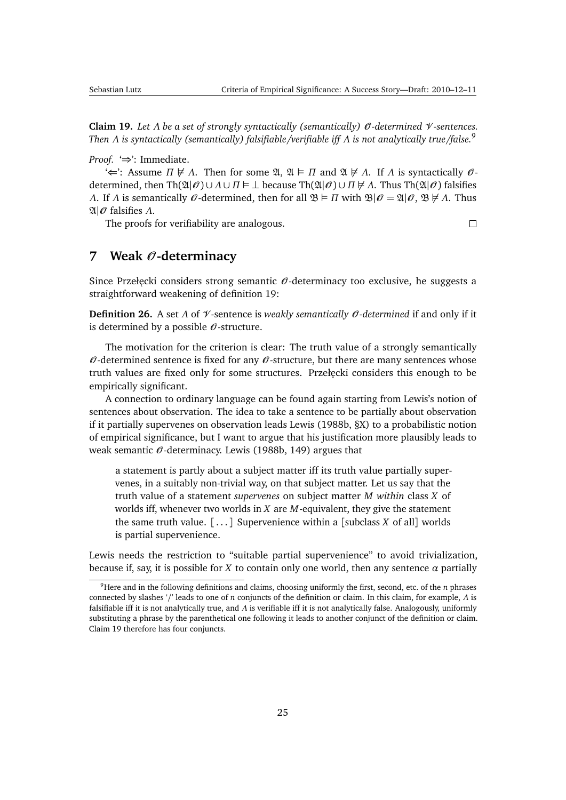<span id="page-24-3"></span>**Claim 19.** *Let Λ be a set of strongly syntactically (semantically)* O *-determined* V *-sentences. Then Λ is syntactically (semantically) falsifiable/verifiable iff Λ is not analytically true/false.*[9](#page-24-1)

*Proof.* '⇒': Immediate.

 $\iff$ : Assume  $\Pi \not\in \Lambda$ . Then for some  $\mathfrak{A}, \mathfrak{A} \models \Pi$  and  $\mathfrak{A} \not\in \Lambda$ . If  $\Lambda$  is syntactically  $\mathcal{O}$ determined, then  $\text{Th}(\mathfrak{A}|\mathcal{O}) \cup \Lambda \cup \Pi \models \bot$  because  $\text{Th}(\mathfrak{A}|\mathcal{O}) \cup \Pi \not\models \Lambda$ . Thus  $\text{Th}(\mathfrak{A}|\mathcal{O})$  falsifies *Λ*. If *Λ* is semantically  $\mathcal{O}$ -determined, then for all  $\mathfrak{B} \models \Pi$  with  $\mathfrak{B}|\mathcal{O} = \mathfrak{A}|\mathcal{O}, \mathfrak{B} \not\models \Lambda$ . Thus A|O falsifies *Λ*.

The proofs for verifiability are analogous.

 $\Box$ 

## <span id="page-24-0"></span>**7 Weak** O **-determinacy**

Since Przełęcki considers strong semantic  $\theta$ -determinacy too exclusive, he suggests a straightforward weakening of definition [19:](#page-17-2)

<span id="page-24-2"></span>**Definition 26.** A set *Λ* of V -sentence is *weakly semantically* O *-determined* if and only if it is determined by a possible  $\mathcal{O}$ -structure.

The motivation for the criterion is clear: The truth value of a strongly semantically  $\mathcal O$ -determined sentence is fixed for any  $\mathcal O$ -structure, but there are many sentences whose truth values are fixed only for some structures. Przełęcki considers this enough to be empirically significant.

A connection to ordinary language can be found again starting from Lewis's notion of sentences about observation. The idea to take a sentence to be partially about observation if it partially supervenes on observation leads [Lewis](#page-48-7) [\(1988b,](#page-48-7) §X) to a probabilistic notion of empirical significance, but I want to argue that his justification more plausibly leads to weak semantic  $\mathcal{O}$ -determinacy. [Lewis](#page-48-7) [\(1988b,](#page-48-7) 149) argues that

a statement is partly about a subject matter iff its truth value partially supervenes, in a suitably non-trivial way, on that subject matter. Let us say that the truth value of a statement *supervenes* on subject matter *M within* class *X* of worlds iff, whenever two worlds in *X* are *M*-equivalent, they give the statement the same truth value. [ . . . ] Supervenience within a [subclass *X* of all] worlds is partial supervenience.

Lewis needs the restriction to "suitable partial supervenience" to avoid trivialization, because if, say, it is possible for *X* to contain only one world, then any sentence  $\alpha$  partially

<span id="page-24-1"></span><sup>9</sup>Here and in the following definitions and claims, choosing uniformly the first, second, etc. of the *n* phrases connected by slashes '/' leads to one of *n* conjuncts of the definition or claim. In this claim, for example, *Λ* is falsifiable iff it is not analytically true, and *Λ* is verifiable iff it is not analytically false. Analogously, uniformly substituting a phrase by the parenthetical one following it leads to another conjunct of the definition or claim. Claim [19](#page-23-1) therefore has four conjuncts.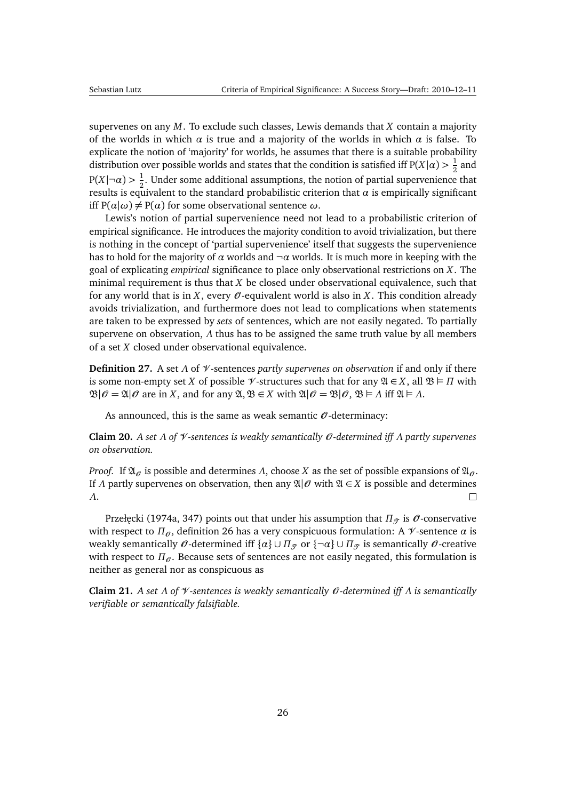<span id="page-25-0"></span>supervenes on any *M*. To exclude such classes, Lewis demands that *X* contain a majority of the worlds in which  $\alpha$  is true and a majority of the worlds in which  $\alpha$  is false. To explicate the notion of 'majority' for worlds, he assumes that there is a suitable probability distribution over possible worlds and states that the condition is satisfied iff P(*X*| $\alpha$ )  $>$   $\frac{1}{2}$  $rac{1}{2}$  and  $P(X|\neg \alpha) > \frac{1}{2}$  $\frac{1}{2}$ . Under some additional assumptions, the notion of partial supervenience that results is equivalent to the standard probabilistic criterion that  $\alpha$  is empirically significant iff  $P(\alpha|\omega) \neq P(\alpha)$  for some observational sentence  $\omega$ .

Lewis's notion of partial supervenience need not lead to a probabilistic criterion of empirical significance. He introduces the majority condition to avoid trivialization, but there is nothing in the concept of 'partial supervenience' itself that suggests the supervenience has to hold for the majority of  $\alpha$  worlds and  $\neg \alpha$  worlds. It is much more in keeping with the goal of explicating *empirical* significance to place only observational restrictions on *X*. The minimal requirement is thus that *X* be closed under observational equivalence, such that for any world that is in *X*, every  $\mathcal O$ -equivalent world is also in *X*. This condition already avoids trivialization, and furthermore does not lead to complications when statements are taken to be expressed by *sets* of sentences, which are not easily negated. To partially supervene on observation, *Λ* thus has to be assigned the same truth value by all members of a set *X* closed under observational equivalence.

**Definition 27.** A set *Λ* of V -sentences *partly supervenes on observation* if and only if there is some non-empty set *X* of possible  $\mathcal V$ -structures such that for any  $\mathfrak A \in X$ , all  $\mathfrak B \models \Pi$  with  $\mathfrak{B}|\mathcal{O} = \mathfrak{A}|\mathcal{O}$  are in *X*, and for any  $\mathfrak{A}, \mathfrak{B} \in X$  with  $\mathfrak{A}|\mathcal{O} = \mathfrak{B}|\mathcal{O}, \mathfrak{B} \models \Lambda$  iff  $\mathfrak{A} \models \Lambda$ .

As announced, this is the same as weak semantic  $\mathcal O$ -determinacy:

**Claim 20.** *A set Λ of* V *-sentences is weakly semantically* O *-determined iff Λ partly supervenes on observation.*

*Proof.* If  $\mathfrak{A}_{\theta}$  is possible and determines *Λ*, choose *X* as the set of possible expansions of  $\mathfrak{A}_{\theta}$ . If *Λ* partly supervenes on observation, then any  $\mathfrak{A}|\mathcal{O}$  with  $\mathfrak{A} \in X$  is possible and determines *Λ*.  $\Box$ 

Przełęcki [\(1974a,](#page-49-4) 347) points out that under his assumption that  $\Pi_{\mathcal{T}}$  is  $\mathcal{O}$ -conservative with respect to  $\Pi_{\theta}$ , definition [26](#page-24-2) has a very conspicuous formulation: A  $\mathcal V$ -sentence  $\alpha$  is weakly semantically  $\theta$ -determined iff { $\alpha$ }  $\cup$  *Π* $_{\mathcal{T}}$  or { $\neg \alpha$ }  $\cup$  *Π* $_{\mathcal{T}}$  is semantically  $\theta$ -creative with respect to  $\Pi_{\theta}$ . Because sets of sentences are not easily negated, this formulation is neither as general nor as conspicuous as

**Claim 21.** *A set Λ of* V *-sentences is weakly semantically* O *-determined iff Λ is semantically verifiable or semantically falsifiable.*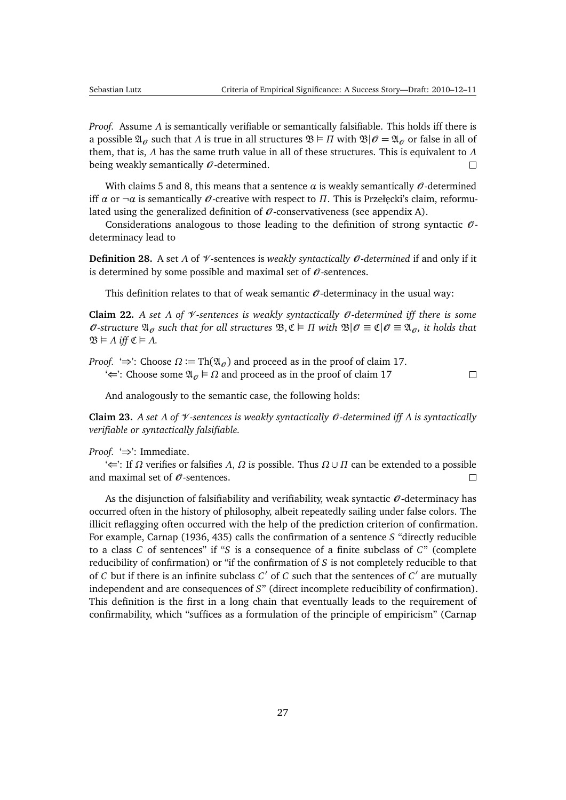<span id="page-26-1"></span>*Proof.* Assume *Λ* is semantically verifiable or semantically falsifiable. This holds iff there is a possible  $\mathfrak{A}_{\sigma}$  such that *Λ* is true in all structures  $\mathfrak{B} \models \Pi$  with  $\mathfrak{B}|\mathcal{O} = \mathfrak{A}_{\sigma}$  or false in all of them, that is, *Λ* has the same truth value in all of these structures. This is equivalent to *Λ* being weakly semantically  $\mathcal{O}$ -determined.  $\Box$ 

With claims [5](#page-12-0) and [8,](#page-15-3) this means that a sentence  $\alpha$  is weakly semantically  $\mathcal{O}$ -determined iff *α* or  $\neg \alpha$  is semantically *θ*-creative with respect to *Π*. This is Przełęcki's claim, reformulated using the generalized definition of  $\mathcal O$ -conservativeness (see appendix [A\)](#page-43-0).

Considerations analogous to those leading to the definition of strong syntactic  $\theta$ determinacy lead to

**Definition 28.** A set *Λ* of *Ψ*-sentences is *weakly syntactically O*-determined if and only if it is determined by some possible and maximal set of  $\theta$ -sentences.

This definition relates to that of weak semantic  $\mathcal O$ -determinacy in the usual way:

**Claim 22.** *A set Λ of* V *-sentences is weakly syntactically* O *-determined iff there is some*  $\theta$ -structure  $\mathfrak{A}_{\theta}$  such that for all structures  $\mathfrak{B}, \mathfrak{C} \models \Pi$  with  $\mathfrak{B}|\theta \equiv \mathfrak{C}|\theta \equiv \mathfrak{A}_{\theta}$ , it holds that  $\mathfrak{B} \models \Lambda$  *iff*  $\mathfrak{C} \models \Lambda$ .

*Proof.* ' $\Rightarrow$ ': Choose  $\Omega$  := Th( $\mathfrak{A}_{\theta}$ ) and proceed as in the proof of claim [17.](#page-23-0)  $\leftarrow$ : Choose some  $\mathfrak{A}_{\theta} \models \Omega$  and proceed as in the proof of claim [17](#page-23-0)

 $\Box$ 

And analogously to the semantic case, the following holds:

<span id="page-26-0"></span>**Claim 23.** *A set Λ of* V *-sentences is weakly syntactically* O *-determined iff Λ is syntactically verifiable or syntactically falsifiable.*

*Proof.* '⇒': Immediate.

'⇐': If *Ω* verifies or falsifies *Λ*, *Ω* is possible. Thus *Ω* ∪ *Π* can be extended to a possible and maximal set of  $\mathcal O$ -sentences.  $\Box$ 

As the disjunction of falsifiability and verifiability, weak syntactic  $\theta$ -determinacy has occurred often in the history of philosophy, albeit repeatedly sailing under false colors. The illicit reflagging often occurred with the help of the prediction criterion of confirmation. For example, [Carnap](#page-45-8) [\(1936,](#page-45-8) 435) calls the confirmation of a sentence *S* "directly reducible to a class *C* of sentences" if "*S* is a consequence of a finite subclass of *C*" (complete reducibility of confirmation) or "if the confirmation of *S* is not completely reducible to that of *C* but if there is an infinite subclass *C'* of *C* such that the sentences of *C'* are mutually independent and are consequences of *S*" (direct incomplete reducibility of confirmation). This definition is the first in a long chain that eventually leads to the requirement of confirmability, which "suffices as a formulation of the principle of empiricism" [\(Carnap](#page-45-9)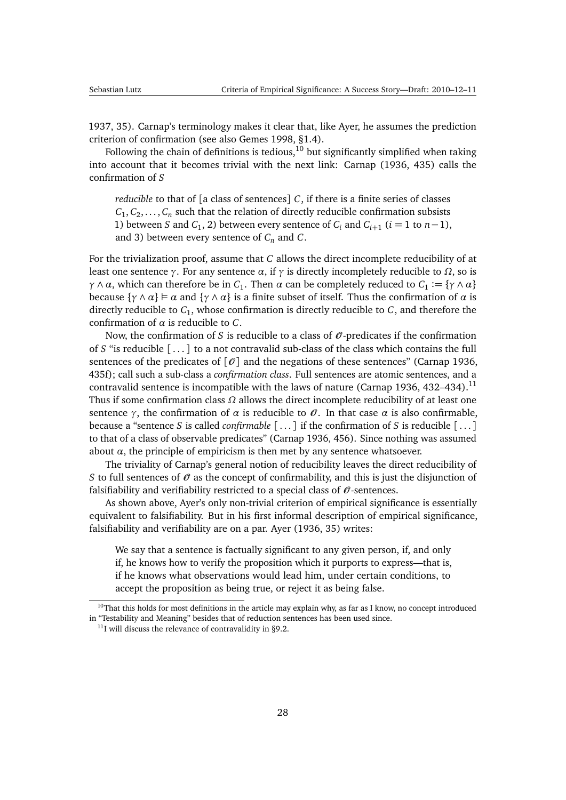<span id="page-27-2"></span>[1937,](#page-45-9) 35). Carnap's terminology makes it clear that, like Ayer, he assumes the prediction criterion of confirmation (see also [Gemes](#page-47-5) [1998,](#page-47-5) §1.4).

Following the chain of definitions is tedious,  $10$  but significantly simplified when taking into account that it becomes trivial with the next link: [Carnap](#page-45-8) [\(1936,](#page-45-8) 435) calls the confirmation of *S*

*reducible* to that of [a class of sentences] *C*, if there is a finite series of classes  $C_1, C_2, \ldots, C_n$  such that the relation of directly reducible confirmation subsists 1) between *S* and *C*<sub>1</sub>, 2) between every sentence of *C*<sup>*i*</sup> and *C*<sup>*i*+1</sup> (*i* = 1 to *n* − 1), and 3) between every sentence of *C<sup>n</sup>* and *C*.

For the trivialization proof, assume that *C* allows the direct incomplete reducibility of at least one sentence *γ*. For any sentence *α*, if *γ* is directly incompletely reducible to *Ω*, so is *γ*  $\land$  *α*, which can therefore be in *C*<sub>1</sub>. Then *α* can be completely reduced to *C*<sub>1</sub> := {*γ*  $\land$  *α*} because  $\{\gamma \wedge \alpha\} \vDash \alpha$  and  $\{\gamma \wedge \alpha\}$  is a finite subset of itself. Thus the confirmation of  $\alpha$  is directly reducible to *C*<sup>1</sup> , whose confirmation is directly reducible to *C*, and therefore the confirmation of *α* is reducible to *C*.

Now, the confirmation of *S* is reducible to a class of  $\mathcal{O}$ -predicates if the confirmation of *S* "is reducible [ . . . ] to a not contravalid sub-class of the class which contains the full sentences of the predicates of  $[0]$  and the negations of these sentences" [\(Carnap](#page-45-8) [1936,](#page-45-8) 435f); call such a sub-class a *confirmation class*. Full sentences are atomic sentences, and a contravalid sentence is incompatible with the laws of nature [\(Carnap](#page-45-8) [1936,](#page-45-8) 432–434).<sup>[11](#page-27-1)</sup> Thus if some confirmation class *Ω* allows the direct incomplete reducibility of at least one sentence  $\gamma$ , the confirmation of  $\alpha$  is reducible to  $\theta$ . In that case  $\alpha$  is also confirmable, because a "sentence *S* is called *confirmable* [ . . . ] if the confirmation of *S* is reducible [ . . . ] to that of a class of observable predicates" [\(Carnap](#page-45-8) [1936,](#page-45-8) 456). Since nothing was assumed about  $\alpha$ , the principle of empiricism is then met by any sentence whatsoever.

The triviality of Carnap's general notion of reducibility leaves the direct reducibility of *S* to full sentences of  $\mathcal O$  as the concept of confirmability, and this is just the disjunction of falsifiability and verifiability restricted to a special class of  $\mathcal O$ -sentences.

As shown above, Ayer's only non-trivial criterion of empirical significance is essentially equivalent to falsifiability. But in his first informal description of empirical significance, falsifiability and verifiability are on a par. [Ayer](#page-45-0) [\(1936,](#page-45-0) 35) writes:

We say that a sentence is factually significant to any given person, if, and only if, he knows how to verify the proposition which it purports to express—that is, if he knows what observations would lead him, under certain conditions, to accept the proposition as being true, or reject it as being false.

<span id="page-27-0"></span> $10$ That this holds for most definitions in the article may explain why, as far as I know, no concept introduced in "Testability and Meaning" besides that of reduction sentences has been used since.

<span id="page-27-1"></span> $^{11}$ I will discuss the relevance of contravalidity in [§9.2.](#page-37-0)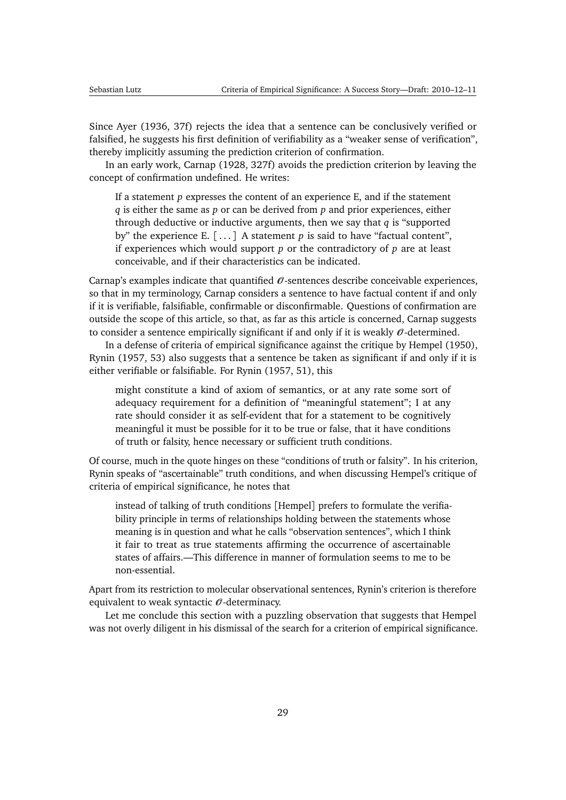<span id="page-28-0"></span>Since [Ayer](#page-45-0) [\(1936,](#page-45-0) 37f) rejects the idea that a sentence can be conclusively verified or falsified, he suggests his first definition of verifiability as a "weaker sense of verification", thereby implicitly assuming the prediction criterion of confirmation.

In an early work, [Carnap](#page-45-7) [\(1928,](#page-45-7) 327f) avoids the prediction criterion by leaving the concept of confirmation undefined. He writes:

If a statement *p* expresses the content of an experience E, and if the statement *q* is either the same as *p* or can be derived from *p* and prior experiences, either through deductive or inductive arguments, then we say that *q* is "supported by" the experience E. [...] A statement *p* is said to have "factual content", if experiences which would support *p* or the contradictory of *p* are at least conceivable, and if their characteristics can be indicated.

Carnap's examples indicate that quantified  $\mathcal O$ -sentences describe conceivable experiences, so that in my terminology, Carnap considers a sentence to have factual content if and only if it is verifiable, falsifiable, confirmable or disconfirmable. Questions of confirmation are outside the scope of this article, so that, as far as this article is concerned, Carnap suggests to consider a sentence empirically significant if and only if it is weakly  $\mathcal{O}\text{-determined}$ .

In a defense of criteria of empirical significance against the critique by [Hempel](#page-47-10) [\(1950\)](#page-47-10), [Rynin](#page-50-8) [\(1957,](#page-50-8) 53) also suggests that a sentence be taken as significant if and only if it is either verifiable or falsifiable. For [Rynin](#page-50-8) [\(1957,](#page-50-8) 51), this

might constitute a kind of axiom of semantics, or at any rate some sort of adequacy requirement for a definition of "meaningful statement"; I at any rate should consider it as self-evident that for a statement to be cognitively meaningful it must be possible for it to be true or false, that it have conditions of truth or falsity, hence necessary or sufficient truth conditions.

Of course, much in the quote hinges on these "conditions of truth or falsity". In his criterion, Rynin speaks of "ascertainable" truth conditions, and when discussing Hempel's critique of criteria of empirical significance, he notes that

instead of talking of truth conditions [Hempel] prefers to formulate the verifiability principle in terms of relationships holding between the statements whose meaning is in question and what he calls "observation sentences", which I think it fair to treat as true statements affirming the occurrence of ascertainable states of affairs.—This difference in manner of formulation seems to me to be non-essential.

Apart from its restriction to molecular observational sentences, Rynin's criterion is therefore equivalent to weak syntactic  $\mathcal{O}$ -determinacy.

Let me conclude this section with a puzzling observation that suggests that Hempel was not overly diligent in his dismissal of the search for a criterion of empirical significance.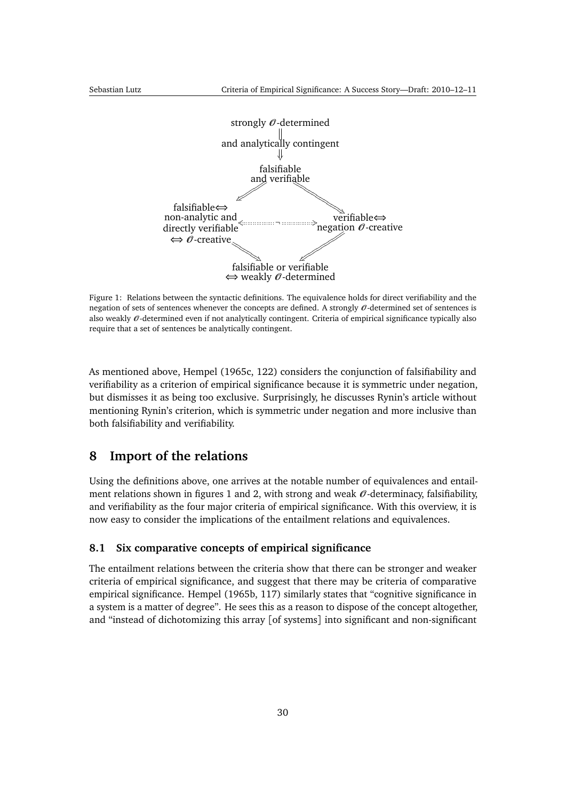<span id="page-29-3"></span>

<span id="page-29-2"></span>Figure 1: Relations between the syntactic definitions. The equivalence holds for direct verifiability and the negation of sets of sentences whenever the concepts are defined. A strongly  $\mathcal{O}$ -determined set of sentences is also weakly  $\mathcal O$ -determined even if not analytically contingent. Criteria of empirical significance typically also require that a set of sentences be analytically contingent.

As mentioned above, [Hempel](#page-47-6) [\(1965c,](#page-47-6) 122) considers the conjunction of falsifiability and verifiability as a criterion of empirical significance because it is symmetric under negation, but dismisses it as being too exclusive. Surprisingly, he discusses Rynin's article without mentioning Rynin's criterion, which is symmetric under negation and more inclusive than both falsifiability and verifiability.

### <span id="page-29-0"></span>**8 Import of the relations**

Using the definitions above, one arrives at the notable number of equivalences and entail-ment relations shown in figures [1](#page-29-2) and [2,](#page-30-0) with strong and weak  $\theta$ -determinacy, falsifiability, and verifiability as the four major criteria of empirical significance. With this overview, it is now easy to consider the implications of the entailment relations and equivalences.

#### <span id="page-29-1"></span>**8.1 Six comparative concepts of empirical significance**

The entailment relations between the criteria show that there can be stronger and weaker criteria of empirical significance, and suggest that there may be criteria of comparative empirical significance. [Hempel](#page-47-4) [\(1965b,](#page-47-4) 117) similarly states that "cognitive significance in a system is a matter of degree". He sees this as a reason to dispose of the concept altogether, and "instead of dichotomizing this array [of systems] into significant and non-significant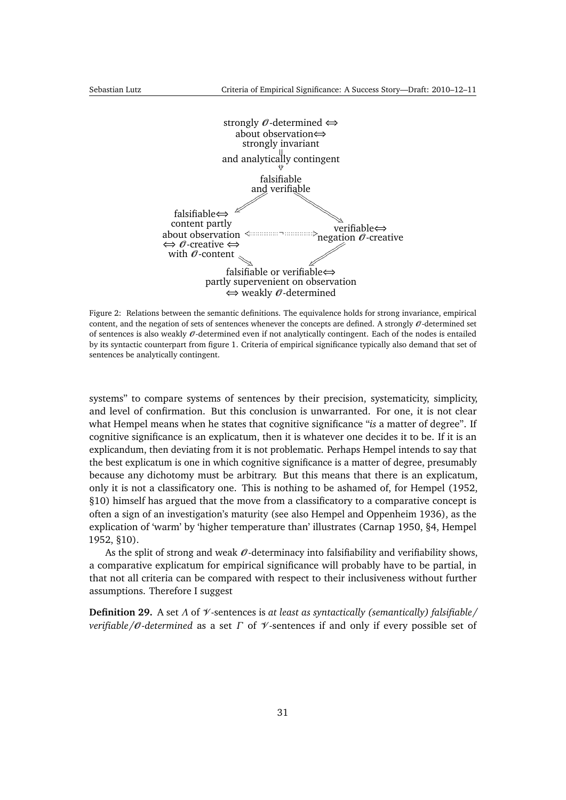<span id="page-30-1"></span>

<span id="page-30-0"></span>Figure 2: Relations between the semantic definitions. The equivalence holds for strong invariance, empirical content, and the negation of sets of sentences whenever the concepts are defined. A strongly  $\theta$ -determined set of sentences is also weakly  $\mathcal O$ -determined even if not analytically contingent. Each of the nodes is entailed by its syntactic counterpart from figure [1.](#page-29-2) Criteria of empirical significance typically also demand that set of sentences be analytically contingent.

systems" to compare systems of sentences by their precision, systematicity, simplicity, and level of confirmation. But this conclusion is unwarranted. For one, it is not clear what Hempel means when he states that cognitive significance "*is* a matter of degree". If cognitive significance is an explicatum, then it is whatever one decides it to be. If it is an explicandum, then deviating from it is not problematic. Perhaps Hempel intends to say that the best explicatum is one in which cognitive significance is a matter of degree, presumably because any dichotomy must be arbitrary. But this means that there is an explicatum, only it is not a classificatory one. This is nothing to be ashamed of, for [Hempel](#page-47-1) [\(1952,](#page-47-1) §10) himself has argued that the move from a classificatory to a comparative concept is often a sign of an investigation's maturity (see also [Hempel and Oppenheim](#page-47-11) [1936\)](#page-47-11), as the explication of 'warm' by 'higher temperature than' illustrates [\(Carnap](#page-45-1) [1950,](#page-45-1) §4, [Hempel](#page-47-1) [1952,](#page-47-1) §10).

As the split of strong and weak  $\theta$ -determinacy into falsifiability and verifiability shows, a comparative explicatum for empirical significance will probably have to be partial, in that not all criteria can be compared with respect to their inclusiveness without further assumptions. Therefore I suggest

**Definition 29.** A set *Λ* of V -sentences is *at least as syntactically (semantically) falsifiable/ verifiable/*O *-determined* as a set *Γ* of V -sentences if and only if every possible set of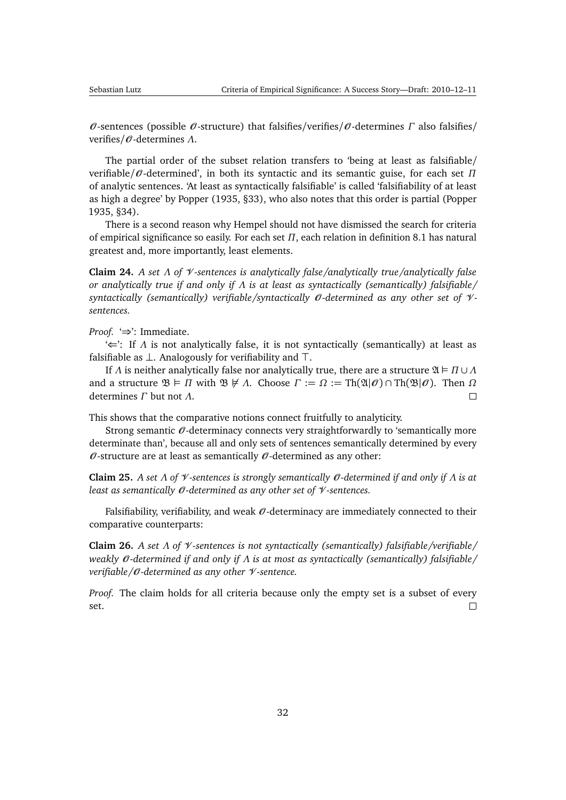<span id="page-31-2"></span>O -sentences (possible O -structure) that falsifies/verifies/O -determines *Γ* also falsifies/ verifies/O -determines *Λ*.

The partial order of the subset relation transfers to 'being at least as falsifiable/ verifiable/O -determined', in both its syntactic and its semantic guise, for each set *Π* of analytic sentences. 'At least as syntactically falsifiable' is called 'falsifiability of at least as high a degree' by [Popper](#page-49-2) [\(1935,](#page-49-2) §33), who also notes that this order is partial [\(Popper](#page-49-2) [1935,](#page-49-2) §34).

There is a second reason why Hempel should not have dismissed the search for criteria of empirical significance so easily. For each set *Π*, each relation in definition [8.1](#page-29-1) has natural greatest and, more importantly, least elements.

<span id="page-31-0"></span>**Claim 24.** *A set Λ of* V *-sentences is analytically false/analytically true/analytically false or analytically true if and only if Λ is at least as syntactically (semantically) falsifiable/ syntactically (semantically) verifiable/syntactically* O *-determined as any other set of* V  *sentences.*

*Proof.* '⇒': Immediate.

'⇐': If *Λ* is not analytically false, it is not syntactically (semantically) at least as falsifiable as  $\perp$ . Analogously for verifiability and  $\top$ .

If *Λ* is neither analytically false nor analytically true, there are a structure  $\mathfrak{A} \models \Pi \cup \Lambda$ and a structure  $\mathfrak{B} \models \Pi$  with  $\mathfrak{B} \not\models \Lambda$ . Choose  $\Gamma := \Omega := \text{Th}(\mathfrak{A}|\mathscr{O}) \cap \text{Th}(\mathfrak{B}|\mathscr{O})$ . Then  $\Omega$ determines *Γ* but not *Λ*.  $\Box$ 

This shows that the comparative notions connect fruitfully to analyticity.

Strong semantic  $\mathcal O$ -determinacy connects very straightforwardly to 'semantically more determinate than', because all and only sets of sentences semantically determined by every  $\theta$ -structure are at least as semantically  $\theta$ -determined as any other:

**Claim 25.** *A set Λ of* V *-sentences is strongly semantically* O *-determined if and only if Λ is at least as semantically* O *-determined as any other set of* V *-sentences.*

Falsifiability, verifiability, and weak  $\mathcal O$ -determinacy are immediately connected to their comparative counterparts:

<span id="page-31-1"></span>**Claim 26.** *A set Λ of* V *-sentences is not syntactically (semantically) falsifiable/verifiable/ weakly 0-determined if and only if Λ is at most as syntactically (semantically) falsifiable/ verifiable/*O *-determined as any other* V *-sentence.*

*Proof.* The claim holds for all criteria because only the empty set is a subset of every set.  $\Box$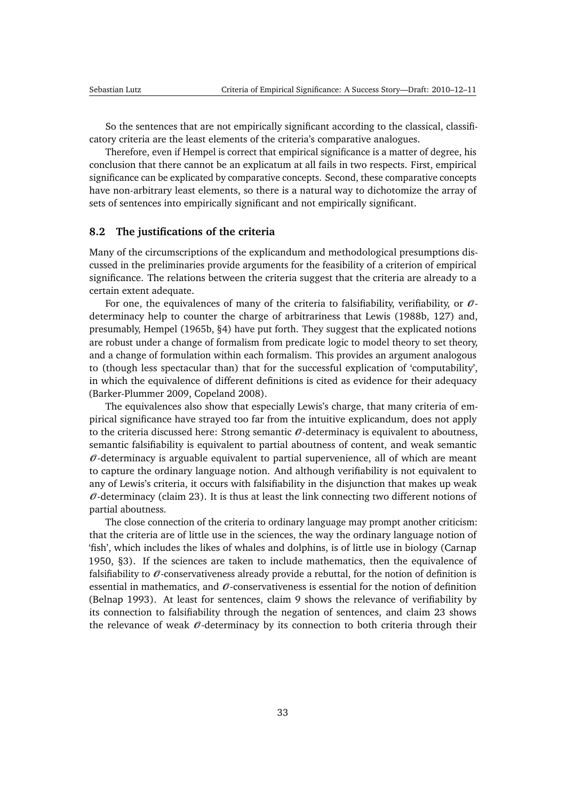<span id="page-32-1"></span>So the sentences that are not empirically significant according to the classical, classificatory criteria are the least elements of the criteria's comparative analogues.

Therefore, even if Hempel is correct that empirical significance is a matter of degree, his conclusion that there cannot be an explicatum at all fails in two respects. First, empirical significance can be explicated by comparative concepts. Second, these comparative concepts have non-arbitrary least elements, so there is a natural way to dichotomize the array of sets of sentences into empirically significant and not empirically significant.

#### <span id="page-32-0"></span>**8.2 The justifications of the criteria**

Many of the circumscriptions of the explicandum and methodological presumptions discussed in the preliminaries provide arguments for the feasibility of a criterion of empirical significance. The relations between the criteria suggest that the criteria are already to a certain extent adequate.

For one, the equivalences of many of the criteria to falsifiability, verifiability, or  $\mathcal{O}$ determinacy help to counter the charge of arbitrariness that [Lewis](#page-48-7) [\(1988b,](#page-48-7) 127) and, presumably, [Hempel](#page-47-4) [\(1965b,](#page-47-4) §4) have put forth. They suggest that the explicated notions are robust under a change of formalism from predicate logic to model theory to set theory, and a change of formulation within each formalism. This provides an argument analogous to (though less spectacular than) that for the successful explication of 'computability', in which the equivalence of different definitions is cited as evidence for their adequacy [\(Barker-Plummer](#page-45-10) [2009,](#page-45-10) [Copeland](#page-46-8) [2008\)](#page-46-8).

The equivalences also show that especially Lewis's charge, that many criteria of empirical significance have strayed too far from the intuitive explicandum, does not apply to the criteria discussed here: Strong semantic  $\mathcal O$ -determinacy is equivalent to aboutness, semantic falsifiability is equivalent to partial aboutness of content, and weak semantic  $\mathcal O$ -determinacy is arguable equivalent to partial supervenience, all of which are meant to capture the ordinary language notion. And although verifiability is not equivalent to any of Lewis's criteria, it occurs with falsifiability in the disjunction that makes up weak  $\theta$ -determinacy (claim [23\)](#page-26-0). It is thus at least the link connecting two different notions of partial aboutness.

The close connection of the criteria to ordinary language may prompt another criticism: that the criteria are of little use in the sciences, the way the ordinary language notion of 'fish', which includes the likes of whales and dolphins, is of little use in biology [\(Carnap](#page-45-1) [1950,](#page-45-1) §3). If the sciences are taken to include mathematics, then the equivalence of falsifiability to  $\mathcal O$ -conservativeness already provide a rebuttal, for the notion of definition is essential in mathematics, and  $\theta$ -conservativeness is essential for the notion of definition [\(Belnap](#page-45-5) [1993\)](#page-45-5). At least for sentences, claim [9](#page-15-1) shows the relevance of verifiability by its connection to falsifiability through the negation of sentences, and claim [23](#page-26-0) shows the relevance of weak  $\theta$ -determinacy by its connection to both criteria through their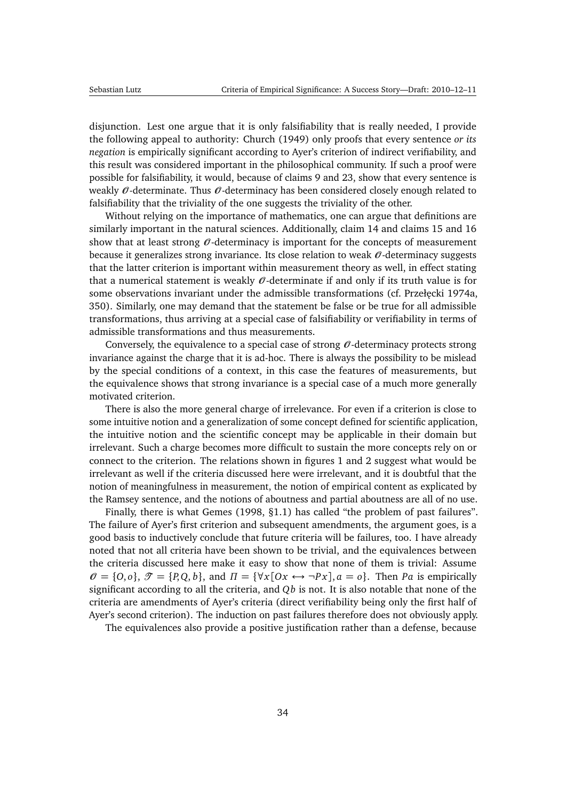<span id="page-33-0"></span>disjunction. Lest one argue that it is only falsifiability that is really needed, I provide the following appeal to authority: [Church](#page-46-7) [\(1949\)](#page-46-7) only proofs that every sentence *or its negation* is empirically significant according to Ayer's criterion of indirect verifiability, and this result was considered important in the philosophical community. If such a proof were possible for falsifiability, it would, because of claims [9](#page-15-1) and [23,](#page-26-0) show that every sentence is weakly  $\mathcal O$ -determinate. Thus  $\mathcal O$ -determinacy has been considered closely enough related to falsifiability that the triviality of the one suggests the triviality of the other.

Without relying on the importance of mathematics, one can argue that definitions are similarly important in the natural sciences. Additionally, claim [14](#page-19-0) and claims [15](#page-21-1) and [16](#page-22-0) show that at least strong  $\theta$ -determinacy is important for the concepts of measurement because it generalizes strong invariance. Its close relation to weak  $\mathcal{O}$ -determinacy suggests that the latter criterion is important within measurement theory as well, in effect stating that a numerical statement is weakly  $\mathcal O$ -determinate if and only if its truth value is for some observations invariant under the admissible transformations (cf. Przełęcki [1974a,](#page-49-4) 350). Similarly, one may demand that the statement be false or be true for all admissible transformations, thus arriving at a special case of falsifiability or verifiability in terms of admissible transformations and thus measurements.

Conversely, the equivalence to a special case of strong  $\theta$ -determinacy protects strong invariance against the charge that it is ad-hoc. There is always the possibility to be mislead by the special conditions of a context, in this case the features of measurements, but the equivalence shows that strong invariance is a special case of a much more generally motivated criterion.

There is also the more general charge of irrelevance. For even if a criterion is close to some intuitive notion and a generalization of some concept defined for scientific application, the intuitive notion and the scientific concept may be applicable in their domain but irrelevant. Such a charge becomes more difficult to sustain the more concepts rely on or connect to the criterion. The relations shown in figures [1](#page-29-2) and [2](#page-30-0) suggest what would be irrelevant as well if the criteria discussed here were irrelevant, and it is doubtful that the notion of meaningfulness in measurement, the notion of empirical content as explicated by the Ramsey sentence, and the notions of aboutness and partial aboutness are all of no use.

Finally, there is what [Gemes](#page-47-5) [\(1998,](#page-47-5) §1.1) has called "the problem of past failures". The failure of Ayer's first criterion and subsequent amendments, the argument goes, is a good basis to inductively conclude that future criteria will be failures, too. I have already noted that not all criteria have been shown to be trivial, and the equivalences between the criteria discussed here make it easy to show that none of them is trivial: Assume  $\mathcal{O} = \{O, o\}, \mathcal{F} = \{P, Q, b\}, \text{ and } \Pi = \{\forall x [Ox \leftrightarrow \neg Px], a = o\}.$  Then *Pa* is empirically significant according to all the criteria, and *Qb* is not. It is also notable that none of the criteria are amendments of Ayer's criteria (direct verifiability being only the first half of Ayer's second criterion). The induction on past failures therefore does not obviously apply.

The equivalences also provide a positive justification rather than a defense, because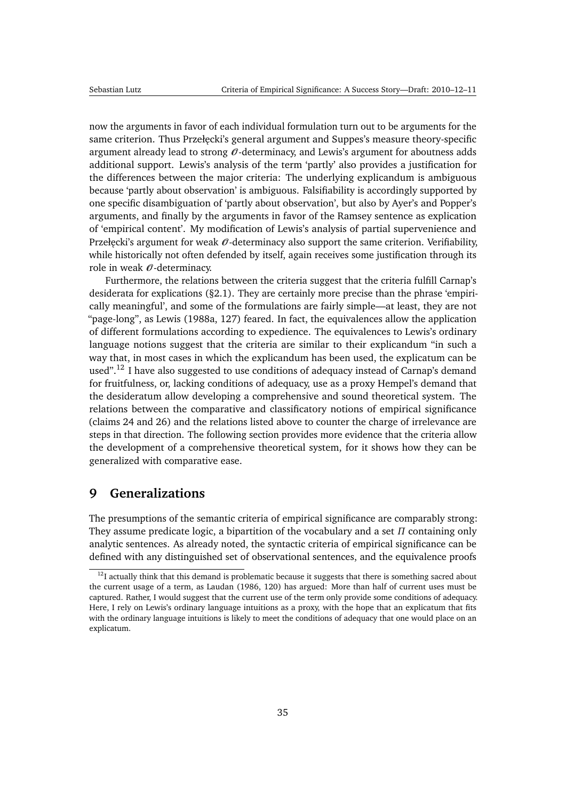<span id="page-34-2"></span>now the arguments in favor of each individual formulation turn out to be arguments for the same criterion. Thus Przełęcki's general argument and Suppes's measure theory-specific argument already lead to strong  $\mathcal O$ -determinacy, and Lewis's argument for aboutness adds additional support. Lewis's analysis of the term 'partly' also provides a justification for the differences between the major criteria: The underlying explicandum is ambiguous because 'partly about observation' is ambiguous. Falsifiability is accordingly supported by one specific disambiguation of 'partly about observation', but also by Ayer's and Popper's arguments, and finally by the arguments in favor of the Ramsey sentence as explication of 'empirical content'. My modification of Lewis's analysis of partial supervenience and Przełęcki's argument for weak  $\mathcal{O}$ -determinacy also support the same criterion. Verifiability, while historically not often defended by itself, again receives some justification through its role in weak  $\mathcal O$ -determinacy.

Furthermore, the relations between the criteria suggest that the criteria fulfill Carnap's desiderata for explications ([§2.1\)](#page-3-1). They are certainly more precise than the phrase 'empirically meaningful', and some of the formulations are fairly simple—at least, they are not "page-long", as [Lewis](#page-48-0) [\(1988a,](#page-48-0) 127) feared. In fact, the equivalences allow the application of different formulations according to expedience. The equivalences to Lewis's ordinary language notions suggest that the criteria are similar to their explicandum "in such a way that, in most cases in which the explicandum has been used, the explicatum can be used".<sup>[12](#page-34-1)</sup> I have also suggested to use conditions of adequacy instead of Carnap's demand for fruitfulness, or, lacking conditions of adequacy, use as a proxy Hempel's demand that the desideratum allow developing a comprehensive and sound theoretical system. The relations between the comparative and classificatory notions of empirical significance (claims [24](#page-31-0) and [26\)](#page-31-1) and the relations listed above to counter the charge of irrelevance are steps in that direction. The following section provides more evidence that the criteria allow the development of a comprehensive theoretical system, for it shows how they can be generalized with comparative ease.

# <span id="page-34-0"></span>**9 Generalizations**

The presumptions of the semantic criteria of empirical significance are comparably strong: They assume predicate logic, a bipartition of the vocabulary and a set *Π* containing only analytic sentences. As already noted, the syntactic criteria of empirical significance can be defined with any distinguished set of observational sentences, and the equivalence proofs

<span id="page-34-1"></span> $12$ I actually think that this demand is problematic because it suggests that there is something sacred about the current usage of a term, as [Laudan](#page-48-8) [\(1986,](#page-48-8) 120) has argued: More than half of current uses must be captured. Rather, I would suggest that the current use of the term only provide some conditions of adequacy. Here, I rely on Lewis's ordinary language intuitions as a proxy, with the hope that an explicatum that fits with the ordinary language intuitions is likely to meet the conditions of adequacy that one would place on an explicatum.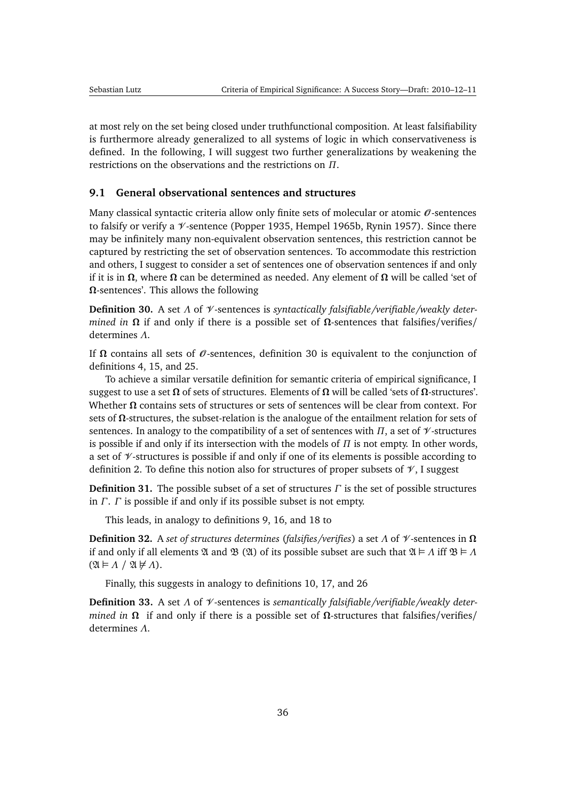<span id="page-35-3"></span>at most rely on the set being closed under truthfunctional composition. At least falsifiability is furthermore already generalized to all systems of logic in which conservativeness is defined. In the following, I will suggest two further generalizations by weakening the restrictions on the observations and the restrictions on *Π*.

#### <span id="page-35-0"></span>**9.1 General observational sentences and structures**

Many classical syntactic criteria allow only finite sets of molecular or atomic  $\mathcal O$ -sentences to falsify or verify a  $\mathcal V$ -sentence [\(Popper](#page-49-2) [1935,](#page-49-2) [Hempel](#page-47-4) [1965b,](#page-47-4) [Rynin](#page-50-8) [1957\)](#page-50-8). Since there may be infinitely many non-equivalent observation sentences, this restriction cannot be captured by restricting the set of observation sentences. To accommodate this restriction and others, I suggest to consider a set of sentences one of observation sentences if and only if it is in **Ω**, where **Ω** can be determined as needed. Any element of **Ω** will be called 'set of **Ω**-sentences'. This allows the following

<span id="page-35-1"></span>**Definition 30.** A set *Λ* of V -sentences is *syntactically falsifiable/verifiable/weakly determined in*  $\Omega$  if and only if there is a possible set of  $\Omega$ -sentences that falsifies/verifies/ determines *Λ*.

If  $\Omega$  contains all sets of  $\mathcal O$ -sentences, definition [30](#page-35-1) is equivalent to the conjunction of definitions [4,](#page-7-2) [15,](#page-15-4) and [25.](#page-23-2)

To achieve a similar versatile definition for semantic criteria of empirical significance, I suggest to use a set **Ω** of sets of structures. Elements of **Ω** will be called 'sets of **Ω**-structures'. Whether **Ω** contains sets of structures or sets of sentences will be clear from context. For sets of **Ω**-structures, the subset-relation is the analogue of the entailment relation for sets of sentences. In analogy to the compatibility of a set of sentences with  $\Pi$ , a set of  $\mathscr V$ -structures is possible if and only if its intersection with the models of *Π* is not empty. In other words, a set of  $\mathcal V$ -structures is possible if and only if one of its elements is possible according to definition [2.](#page-5-0) To define this notion also for structures of proper subsets of  $\mathcal{V}$ , I suggest

**Definition 31.** The possible subset of a set of structures *Γ* is the set of possible structures in *Γ*. *Γ* is possible if and only if its possible subset is not empty.

This leads, in analogy to definitions [9,](#page-11-4) [16,](#page-15-5) and [18](#page-17-4) to

**Definition 32.** A *set of structures determines* (*falsifies/verifies*) a set *Λ* of V -sentences in **Ω** if and only if all elements  $\mathfrak A$  and  $\mathfrak B$  ( $\mathfrak A$ ) of its possible subset are such that  $\mathfrak A \models \Lambda$  iff  $\mathfrak B \models \Lambda$  $(2\mathfrak{l} \models \Lambda / 2\mathfrak{l} \not\models \Lambda).$ 

Finally, this suggests in analogy to definitions [10,](#page-12-2) [17,](#page-15-6) and [26](#page-24-2)

<span id="page-35-2"></span>**Definition 33.** A set *Λ* of V -sentences is *semantically falsifiable/verifiable/weakly determined in*  $\Omega$  if and only if there is a possible set of  $\Omega$ -structures that falsifies/verifies/ determines *Λ*.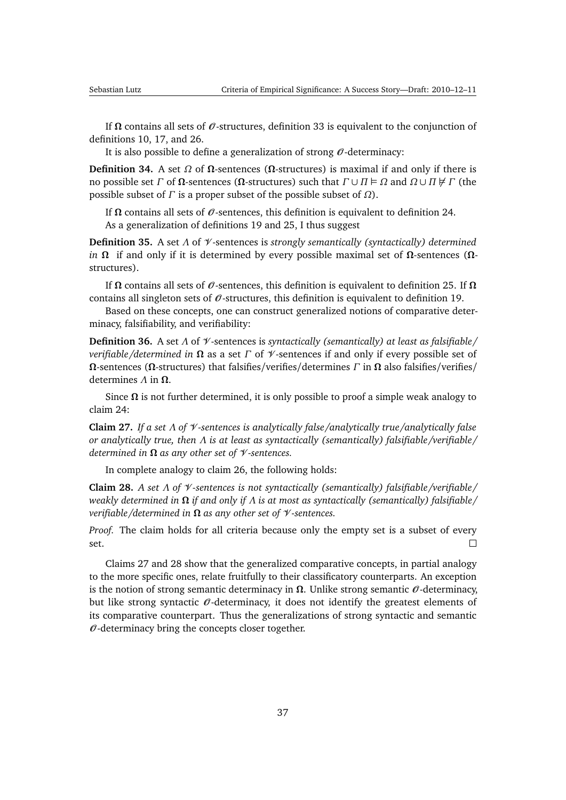If  $Ω$  contains all sets of  $\mathcal{O}$ -structures, definition [33](#page-35-2) is equivalent to the conjunction of definitions [10,](#page-12-2) [17,](#page-15-6) and [26.](#page-24-2)

It is also possible to define a generalization of strong  $\mathcal{O}$ -determinacy:

**Definition 34.** A set  $Ω$  of  $Ω$ -sentences ( $Ω$ -structures) is maximal if and only if there is no possible set *Γ* of **Ω**-sentences (**Ω**-structures) such that  $Γ ∪ Π ∈ Ω$  and  $Ω ∪ Π ∉ Γ$  (the possible subset of *Γ* is a proper subset of the possible subset of *Ω*).

If  $Ω$  contains all sets of  $θ$ -sentences, this definition is equivalent to definition [24.](#page-23-3) As a generalization of definitions [19](#page-17-2) and [25,](#page-23-2) I thus suggest

**Definition 35.** A set *Λ* of V -sentences is *strongly semantically (syntactically) determined in* **Ω** if and only if it is determined by every possible maximal set of **Ω**-sentences (**Ω**structures).

If **Ω** contains all sets of O -sentences, this definition is equivalent to definition [25.](#page-23-2) If **Ω** contains all singleton sets of  $\mathcal O$ -structures, this definition is equivalent to definition [19.](#page-17-2)

Based on these concepts, one can construct generalized notions of comparative determinacy, falsifiability, and verifiability:

**Definition 36.** A set *Λ* of V -sentences is *syntactically (semantically) at least as falsifiable/ verifiable/determined in* **Ω** as a set *Γ* of V -sentences if and only if every possible set of **Ω**-sentences (**Ω**-structures) that falsifies/verifies/determines *Γ* in **Ω** also falsifies/verifies/ determines *Λ* in **Ω**.

Since  $\Omega$  is not further determined, it is only possible to proof a simple weak analogy to claim [24:](#page-31-0)

<span id="page-36-0"></span>**Claim 27.** *If a set Λ of* V *-sentences is analytically false/analytically true/analytically false or analytically true, then Λ is at least as syntactically (semantically) falsifiable/verifiable/ determined in* **Ω** *as any other set of* V *-sentences.*

In complete analogy to claim [26,](#page-31-1) the following holds:

<span id="page-36-1"></span>**Claim 28.** *A set Λ of* V *-sentences is not syntactically (semantically) falsifiable/verifiable/ weakly determined in* **Ω** *if and only if Λ is at most as syntactically (semantically) falsifiable/ verifiable/determined in* **Ω** *as any other set of* V *-sentences.*

*Proof.* The claim holds for all criteria because only the empty set is a subset of every set.  $\Box$ 

Claims [27](#page-36-0) and [28](#page-36-1) show that the generalized comparative concepts, in partial analogy to the more specific ones, relate fruitfully to their classificatory counterparts. An exception is the notion of strong semantic determinacy in  $\Omega$ . Unlike strong semantic  $\mathcal{O}$ -determinacy, but like strong syntactic  $\theta$ -determinacy, it does not identify the greatest elements of its comparative counterpart. Thus the generalizations of strong syntactic and semantic  $\theta$ -determinacy bring the concepts closer together.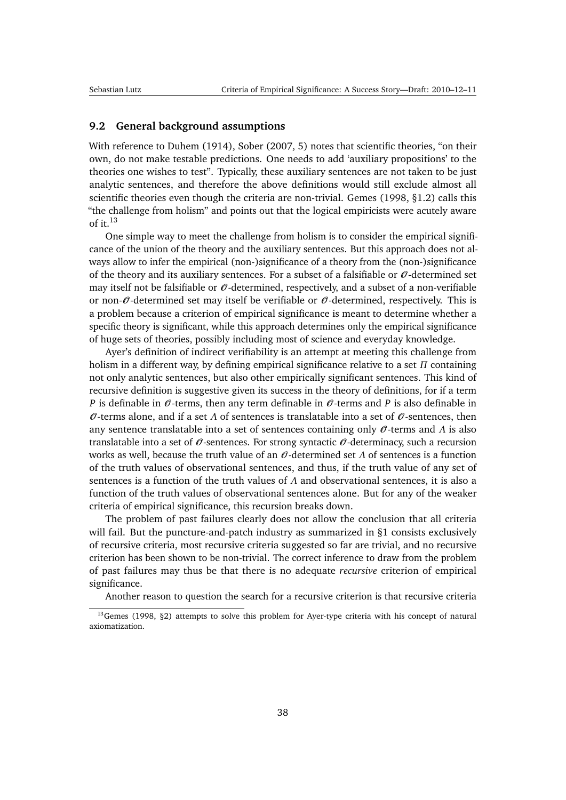#### <span id="page-37-2"></span><span id="page-37-0"></span>**9.2 General background assumptions**

With reference to [Duhem](#page-46-9) [\(1914\)](#page-46-9), [Sober](#page-50-2) [\(2007,](#page-50-2) 5) notes that scientific theories, "on their own, do not make testable predictions. One needs to add 'auxiliary propositions' to the theories one wishes to test". Typically, these auxiliary sentences are not taken to be just analytic sentences, and therefore the above definitions would still exclude almost all scientific theories even though the criteria are non-trivial. [Gemes](#page-47-5) [\(1998,](#page-47-5) §1.2) calls this "the challenge from holism" and points out that the logical empiricists were acutely aware of it.[13](#page-37-1)

One simple way to meet the challenge from holism is to consider the empirical significance of the union of the theory and the auxiliary sentences. But this approach does not always allow to infer the empirical (non-)significance of a theory from the (non-)significance of the theory and its auxiliary sentences. For a subset of a falsifiable or  $\mathcal O$ -determined set may itself not be falsifiable or  $\mathcal O$ -determined, respectively, and a subset of a non-verifiable or non- $\theta$ -determined set may itself be verifiable or  $\theta$ -determined, respectively. This is a problem because a criterion of empirical significance is meant to determine whether a specific theory is significant, while this approach determines only the empirical significance of huge sets of theories, possibly including most of science and everyday knowledge.

Ayer's definition of indirect verifiability is an attempt at meeting this challenge from holism in a different way, by defining empirical significance relative to a set *Π* containing not only analytic sentences, but also other empirically significant sentences. This kind of recursive definition is suggestive given its success in the theory of definitions, for if a term *P* is definable in  $\theta$ -terms, then any term definable in  $\theta$ -terms and *P* is also definable in  $\mathcal O$ -terms alone, and if a set  $\Lambda$  of sentences is translatable into a set of  $\mathcal O$ -sentences, then any sentence translatable into a set of sentences containing only O -terms and *Λ* is also translatable into a set of  $\mathcal O$ -sentences. For strong syntactic  $\mathcal O$ -determinacy, such a recursion works as well, because the truth value of an  $\theta$ -determined set  $\Lambda$  of sentences is a function of the truth values of observational sentences, and thus, if the truth value of any set of sentences is a function of the truth values of *Λ* and observational sentences, it is also a function of the truth values of observational sentences alone. But for any of the weaker criteria of empirical significance, this recursion breaks down.

The problem of past failures clearly does not allow the conclusion that all criteria will fail. But the puncture-and-patch industry as summarized in [§1](#page-1-0) consists exclusively of recursive criteria, most recursive criteria suggested so far are trivial, and no recursive criterion has been shown to be non-trivial. The correct inference to draw from the problem of past failures may thus be that there is no adequate *recursive* criterion of empirical significance.

<span id="page-37-1"></span>Another reason to question the search for a recursive criterion is that recursive criteria

 $13$ [Gemes](#page-47-5) [\(1998,](#page-47-5) §2) attempts to solve this problem for Ayer-type criteria with his concept of natural axiomatization.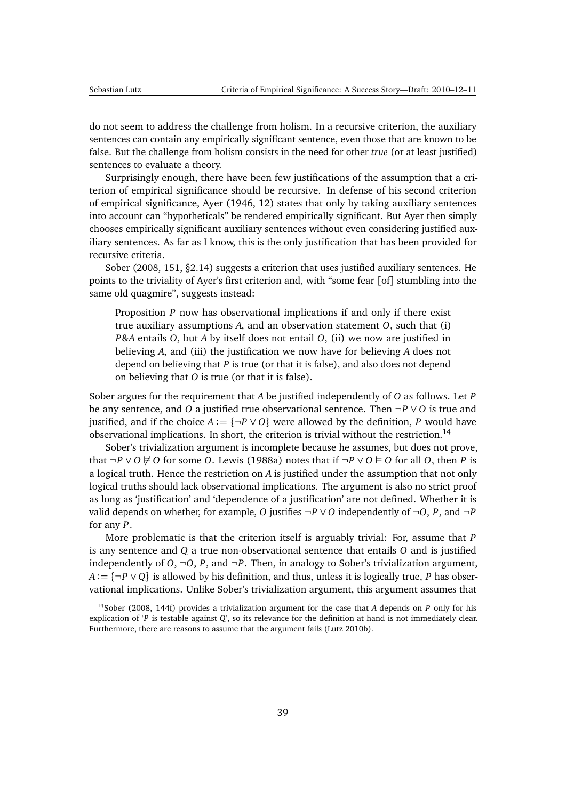<span id="page-38-1"></span>do not seem to address the challenge from holism. In a recursive criterion, the auxiliary sentences can contain any empirically significant sentence, even those that are known to be false. But the challenge from holism consists in the need for other *true* (or at least justified) sentences to evaluate a theory.

Surprisingly enough, there have been few justifications of the assumption that a criterion of empirical significance should be recursive. In defense of his second criterion of empirical significance, [Ayer](#page-45-6) [\(1946,](#page-45-6) 12) states that only by taking auxiliary sentences into account can "hypotheticals" be rendered empirically significant. But Ayer then simply chooses empirically significant auxiliary sentences without even considering justified auxiliary sentences. As far as I know, this is the only justification that has been provided for recursive criteria.

[Sober](#page-50-0) [\(2008,](#page-50-0) 151, §2.14) suggests a criterion that uses justified auxiliary sentences. He points to the triviality of Ayer's first criterion and, with "some fear [of] stumbling into the same old quagmire", suggests instead:

Proposition *P* now has observational implications if and only if there exist true auxiliary assumptions *A*, and an observation statement *O*, such that (i) *P*&*A* entails *O*, but *A* by itself does not entail *O*, (ii) we now are justified in believing *A*, and (iii) the justification we now have for believing *A* does not depend on believing that *P* is true (or that it is false), and also does not depend on believing that *O* is true (or that it is false).

Sober argues for the requirement that *A* be justified independently of *O* as follows. Let *P* be any sentence, and *O* a justified true observational sentence. Then ¬*P* ∨ *O* is true and justified, and if the choice  $A := \{\neg P \lor O\}$  were allowed by the definition, P would have observational implications. In short, the criterion is trivial without the restriction.[14](#page-38-0)

Sober's trivialization argument is incomplete because he assumes, but does not prove, that  $\neg P$  ∨ *O*  $\notin$  *O* for some *O*. [Lewis](#page-48-0) [\(1988a\)](#page-48-0) notes that if  $\neg P$  ∨ *O*  $\vdash$  *O* for all *O*, then *P* is a logical truth. Hence the restriction on *A* is justified under the assumption that not only logical truths should lack observational implications. The argument is also no strict proof as long as 'justification' and 'dependence of a justification' are not defined. Whether it is valid depends on whether, for example, *O* justifies  $\neg P \lor O$  independently of  $\neg O$ , *P*, and  $\neg P$ for any *P*.

More problematic is that the criterion itself is arguably trivial: For, assume that *P* is any sentence and *Q* a true non-observational sentence that entails *O* and is justified independently of *O*,  $\neg$ *O*, *P*, and  $\neg$ *P*. Then, in analogy to Sober's trivialization argument, *A* := {¬*P* ∨ *Q*} is allowed by his definition, and thus, unless it is logically true, *P* has observational implications. Unlike Sober's trivialization argument, this argument assumes that

<span id="page-38-0"></span><sup>14</sup>[Sober](#page-50-0) [\(2008,](#page-50-0) 144f) provides a trivialization argument for the case that *A* depends on *P* only for his explication of '*P* is testable against *Q*', so its relevance for the definition at hand is not immediately clear. Furthermore, there are reasons to assume that the argument fails [\(Lutz](#page-48-9) [2010b\)](#page-48-9).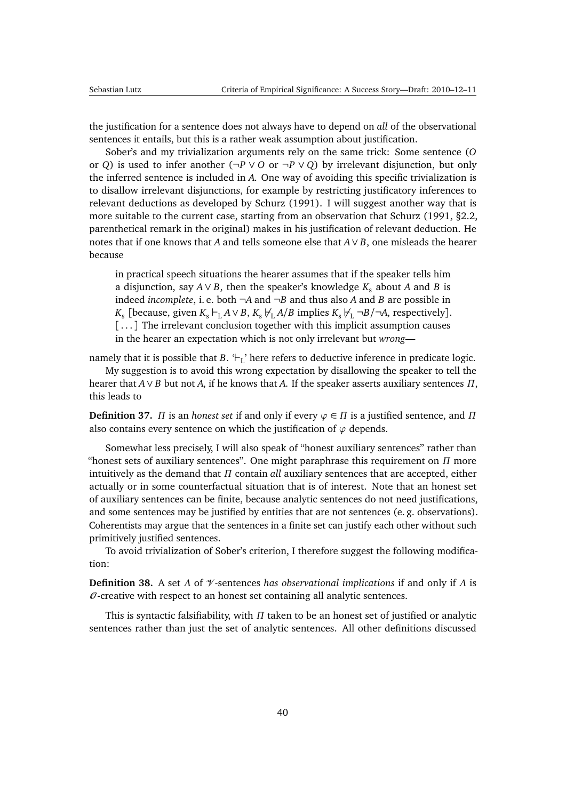<span id="page-39-2"></span>the justification for a sentence does not always have to depend on *all* of the observational sentences it entails, but this is a rather weak assumption about justification.

Sober's and my trivialization arguments rely on the same trick: Some sentence (*O* or *Q*) is used to infer another ( $\neg P \lor O$  or  $\neg P \lor O$ ) by irrelevant disjunction, but only the inferred sentence is included in *A*. One way of avoiding this specific trivialization is to disallow irrelevant disjunctions, for example by restricting justificatory inferences to relevant deductions as developed by [Schurz](#page-50-9) [\(1991\)](#page-50-9). I will suggest another way that is more suitable to the current case, starting from an observation that [Schurz](#page-50-9) [\(1991,](#page-50-9) §2.2, parenthetical remark in the original) makes in his justification of relevant deduction. He notes that if one knows that *A* and tells someone else that *A*∨ *B*, one misleads the hearer because

in practical speech situations the hearer assumes that if the speaker tells him a disjunction, say  $A \vee B$ , then the speaker's knowledge  $K_s$  about  $A$  and  $B$  is indeed *incomplete*, i.e. both  $\neg A$  and  $\neg B$  and thus also *A* and *B* are possible in *K*<sub>s</sub> [because, given  $K_s \vdash_L A \lor B$ ,  $K_s \not\vdash_L A/B$  implies  $K_s \not\vdash_L \neg B / \neg A$ , respectively]. [...] The irrelevant conclusion together with this implicit assumption causes in the hearer an expectation which is not only irrelevant but *wrong*—

namely that it is possible that  $B$ .  $\vdash_L$ ' here refers to deductive inference in predicate logic.

My suggestion is to avoid this wrong expectation by disallowing the speaker to tell the hearer that *A*∨ *B* but not *A*, if he knows that *A*. If the speaker asserts auxiliary sentences *Π*, this leads to

<span id="page-39-0"></span>**Definition 37.** *Π* is an *honest set* if and only if every  $\varphi \in \Pi$  is a justified sentence, and  $\Pi$ also contains every sentence on which the justification of  $\varphi$  depends.

Somewhat less precisely, I will also speak of "honest auxiliary sentences" rather than "honest sets of auxiliary sentences". One might paraphrase this requirement on *Π* more intuitively as the demand that *Π* contain *all* auxiliary sentences that are accepted, either actually or in some counterfactual situation that is of interest. Note that an honest set of auxiliary sentences can be finite, because analytic sentences do not need justifications, and some sentences may be justified by entities that are not sentences (e. g. observations). Coherentists may argue that the sentences in a finite set can justify each other without such primitively justified sentences.

To avoid trivialization of Sober's criterion, I therefore suggest the following modification:

<span id="page-39-1"></span>**Definition 38.** A set *Λ* of V -sentences *has observational implications* if and only if *Λ* is  $\theta$ -creative with respect to an honest set containing all analytic sentences.

This is syntactic falsifiability, with *Π* taken to be an honest set of justified or analytic sentences rather than just the set of analytic sentences. All other definitions discussed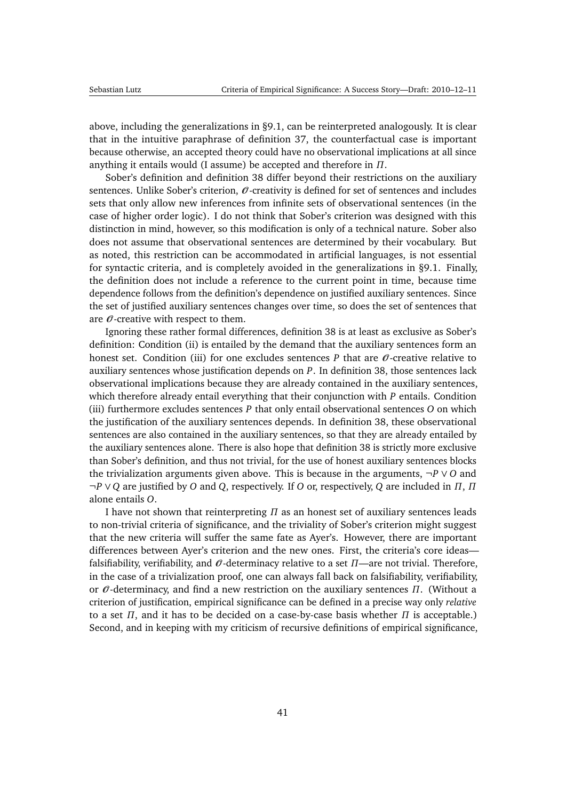above, including the generalizations in [§9.1,](#page-35-0) can be reinterpreted analogously. It is clear that in the intuitive paraphrase of definition [37,](#page-39-0) the counterfactual case is important because otherwise, an accepted theory could have no observational implications at all since anything it entails would (I assume) be accepted and therefore in *Π*.

Sober's definition and definition [38](#page-39-1) differ beyond their restrictions on the auxiliary sentences. Unlike Sober's criterion,  $\mathcal O$ -creativity is defined for set of sentences and includes sets that only allow new inferences from infinite sets of observational sentences (in the case of higher order logic). I do not think that Sober's criterion was designed with this distinction in mind, however, so this modification is only of a technical nature. Sober also does not assume that observational sentences are determined by their vocabulary. But as noted, this restriction can be accommodated in artificial languages, is not essential for syntactic criteria, and is completely avoided in the generalizations in [§9.1.](#page-35-0) Finally, the definition does not include a reference to the current point in time, because time dependence follows from the definition's dependence on justified auxiliary sentences. Since the set of justified auxiliary sentences changes over time, so does the set of sentences that are  $\mathcal O$ -creative with respect to them.

Ignoring these rather formal differences, definition [38](#page-39-1) is at least as exclusive as Sober's definition: Condition (ii) is entailed by the demand that the auxiliary sentences form an honest set. Condition (iii) for one excludes sentences  $P$  that are  $\mathcal O$ -creative relative to auxiliary sentences whose justification depends on *P*. In definition [38,](#page-39-1) those sentences lack observational implications because they are already contained in the auxiliary sentences, which therefore already entail everything that their conjunction with *P* entails. Condition (iii) furthermore excludes sentences *P* that only entail observational sentences *O* on which the justification of the auxiliary sentences depends. In definition [38,](#page-39-1) these observational sentences are also contained in the auxiliary sentences, so that they are already entailed by the auxiliary sentences alone. There is also hope that definition [38](#page-39-1) is strictly more exclusive than Sober's definition, and thus not trivial, for the use of honest auxiliary sentences blocks the trivialization arguments given above. This is because in the arguments, ¬*P* ∨ *O* and ¬*P* ∨ *Q* are justified by *O* and *Q*, respectively. If *O* or, respectively, *Q* are included in *Π*, *Π* alone entails *O*.

I have not shown that reinterpreting *Π* as an honest set of auxiliary sentences leads to non-trivial criteria of significance, and the triviality of Sober's criterion might suggest that the new criteria will suffer the same fate as Ayer's. However, there are important differences between Ayer's criterion and the new ones. First, the criteria's core ideas falsifiability, verifiability, and  $\theta$ -determinacy relative to a set  $\Pi$ —are not trivial. Therefore, in the case of a trivialization proof, one can always fall back on falsifiability, verifiability, or O -determinacy, and find a new restriction on the auxiliary sentences *Π*. (Without a criterion of justification, empirical significance can be defined in a precise way only *relative* to a set *Π*, and it has to be decided on a case-by-case basis whether *Π* is acceptable.) Second, and in keeping with my criticism of recursive definitions of empirical significance,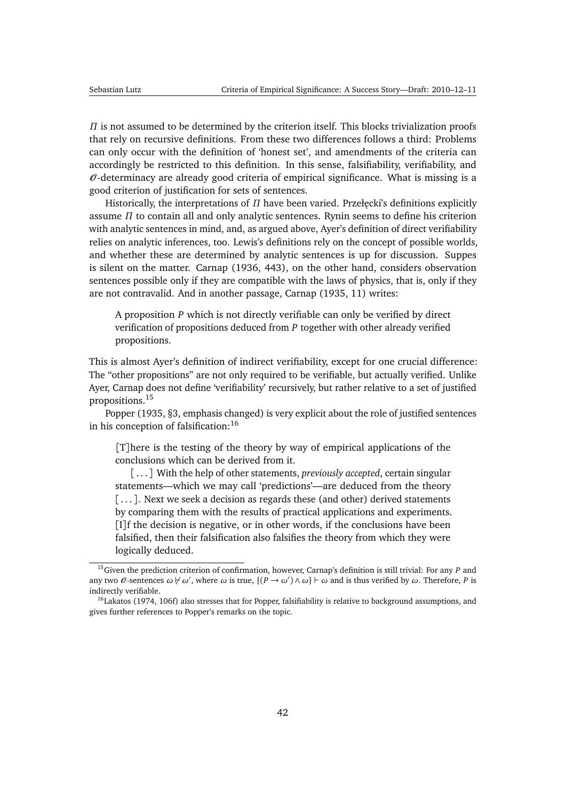<span id="page-41-2"></span>*Π* is not assumed to be determined by the criterion itself. This blocks trivialization proofs that rely on recursive definitions. From these two differences follows a third: Problems can only occur with the definition of 'honest set', and amendments of the criteria can accordingly be restricted to this definition. In this sense, falsifiability, verifiability, and  $\theta$ -determinacy are already good criteria of empirical significance. What is missing is a good criterion of justification for sets of sentences.

Historically, the interpretations of *Π* have been varied. Przełęcki's definitions explicitly assume *Π* to contain all and only analytic sentences. Rynin seems to define his criterion with analytic sentences in mind, and, as argued above, Ayer's definition of direct verifiability relies on analytic inferences, too. Lewis's definitions rely on the concept of possible worlds, and whether these are determined by analytic sentences is up for discussion. Suppes is silent on the matter. [Carnap](#page-45-8) [\(1936,](#page-45-8) 443), on the other hand, considers observation sentences possible only if they are compatible with the laws of physics, that is, only if they are not contravalid. And in another passage, [Carnap](#page-45-11) [\(1935,](#page-45-11) 11) writes:

A proposition *P* which is not directly verifiable can only be verified by direct verification of propositions deduced from *P* together with other already verified propositions.

This is almost Ayer's definition of indirect verifiability, except for one crucial difference: The "other propositions" are not only required to be verifiable, but actually verified. Unlike Ayer, Carnap does not define 'verifiability' recursively, but rather relative to a set of justified propositions.[15](#page-41-0)

[Popper](#page-49-2) [\(1935,](#page-49-2) §3, emphasis changed) is very explicit about the role of justified sentences in his conception of falsification:<sup>[16](#page-41-1)</sup>

[T]here is the testing of the theory by way of empirical applications of the conclusions which can be derived from it.

[...] With the help of other statements, *previously accepted*, certain singular statements—which we may call 'predictions'—are deduced from the theory [...]. Next we seek a decision as regards these (and other) derived statements by comparing them with the results of practical applications and experiments. [I]f the decision is negative, or in other words, if the conclusions have been falsified, then their falsification also falsifies the theory from which they were logically deduced.

<span id="page-41-0"></span><sup>15</sup>Given the prediction criterion of confirmation, however, Carnap's definition is still trivial: For any *P* and any two  $\theta$ -sentences  $\omega \not\vdash \omega'$ , where  $\omega$  is true,  $\{(P \to \omega') \land \omega\} \vdash \omega$  and is thus verified by  $\omega$ . Therefore, P is indirectly verifiable.

<span id="page-41-1"></span><sup>&</sup>lt;sup>16</sup>[Lakatos](#page-48-10) [\(1974,](#page-48-10) 106f) also stresses that for Popper, falsifiability is relative to background assumptions, and gives further references to Popper's remarks on the topic.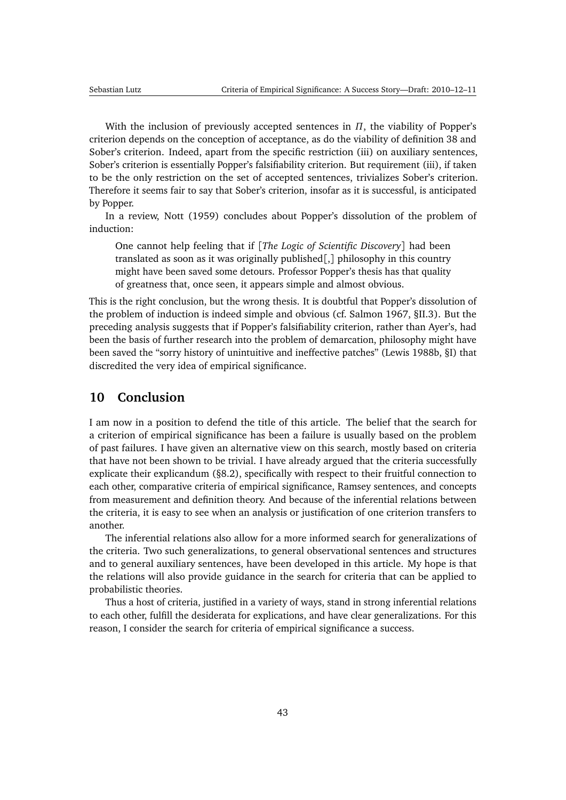<span id="page-42-1"></span>With the inclusion of previously accepted sentences in *Π*, the viability of Popper's criterion depends on the conception of acceptance, as do the viability of definition [38](#page-39-1) and Sober's criterion. Indeed, apart from the specific restriction (iii) on auxiliary sentences, Sober's criterion is essentially Popper's falsifiability criterion. But requirement (iii), if taken to be the only restriction on the set of accepted sentences, trivializes Sober's criterion. Therefore it seems fair to say that Sober's criterion, insofar as it is successful, is anticipated by Popper.

In a review, [Nott](#page-48-11) [\(1959\)](#page-48-11) concludes about Popper's dissolution of the problem of induction:

One cannot help feeling that if [*The Logic of Scientific Discovery*] had been translated as soon as it was originally published[,] philosophy in this country might have been saved some detours. Professor Popper's thesis has that quality of greatness that, once seen, it appears simple and almost obvious.

This is the right conclusion, but the wrong thesis. It is doubtful that Popper's dissolution of the problem of induction is indeed simple and obvious (cf. [Salmon](#page-50-10) [1967,](#page-50-10) §II.3). But the preceding analysis suggests that if Popper's falsifiability criterion, rather than Ayer's, had been the basis of further research into the problem of demarcation, philosophy might have been saved the "sorry history of unintuitive and ineffective patches" [\(Lewis](#page-48-7) [1988b,](#page-48-7) §I) that discredited the very idea of empirical significance.

# <span id="page-42-0"></span>**10 Conclusion**

I am now in a position to defend the title of this article. The belief that the search for a criterion of empirical significance has been a failure is usually based on the problem of past failures. I have given an alternative view on this search, mostly based on criteria that have not been shown to be trivial. I have already argued that the criteria successfully explicate their explicandum ([§8.2\)](#page-32-0), specifically with respect to their fruitful connection to each other, comparative criteria of empirical significance, Ramsey sentences, and concepts from measurement and definition theory. And because of the inferential relations between the criteria, it is easy to see when an analysis or justification of one criterion transfers to another.

The inferential relations also allow for a more informed search for generalizations of the criteria. Two such generalizations, to general observational sentences and structures and to general auxiliary sentences, have been developed in this article. My hope is that the relations will also provide guidance in the search for criteria that can be applied to probabilistic theories.

Thus a host of criteria, justified in a variety of ways, stand in strong inferential relations to each other, fulfill the desiderata for explications, and have clear generalizations. For this reason, I consider the search for criteria of empirical significance a success.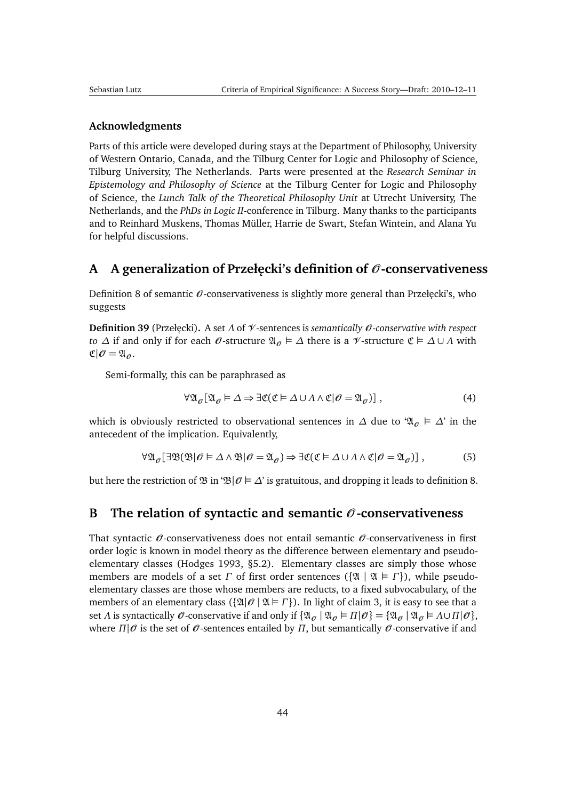#### <span id="page-43-2"></span>**Acknowledgments**

Parts of this article were developed during stays at the Department of Philosophy, University of Western Ontario, Canada, and the Tilburg Center for Logic and Philosophy of Science, Tilburg University, The Netherlands. Parts were presented at the *Research Seminar in Epistemology and Philosophy of Science* at the Tilburg Center for Logic and Philosophy of Science, the *Lunch Talk of the Theoretical Philosophy Unit* at Utrecht University, The Netherlands, and the *PhDs in Logic II*-conference in Tilburg. Many thanks to the participants and to Reinhard Muskens, Thomas Müller, Harrie de Swart, Stefan Wintein, and Alana Yu for helpful discussions.

# <span id="page-43-0"></span>**A A generalization of Przeł˛ecki's definition of** O **-conservativeness**

Definition [8](#page-11-1) of semantic  $\mathcal O$ -conservativeness is slightly more general than Przełęcki's, who suggests

**Definition 39** (Przeł˛ecki)**.** A set *Λ* of V -sentences is *semantically* O *-conservative with respect to*  $\Delta$  if and only if for each  $\emptyset$ -structure  $\mathfrak{A}_{\emptyset} \models \Delta$  there is a  $\mathcal V$ -structure  $\mathfrak{C} \models \Delta \cup \Lambda$  with  $\mathfrak{C}|\mathscr{O}=\mathfrak{A}_\mathscr{O}.$ 

Semi-formally, this can be paraphrased as

$$
\forall \mathfrak{A}_{\theta}[\mathfrak{A}_{\theta} \models \Delta \Rightarrow \exists \mathfrak{C}(\mathfrak{C} \models \Delta \cup \Lambda \wedge \mathfrak{C} | \theta = \mathfrak{A}_{\theta})],
$$
\n(4)

which is obviously restricted to observational sentences in  $\Delta$  due to ' $\mathfrak{A}_{\theta} \models \Delta'$  in the antecedent of the implication. Equivalently,

$$
\forall \mathfrak{A}_{\theta}[\exists \mathfrak{B}(\mathfrak{B}|\theta \models \Delta \wedge \mathfrak{B}|\theta = \mathfrak{A}_{\theta}) \Rightarrow \exists \mathfrak{C}(\mathfrak{C} \models \Delta \cup \Lambda \wedge \mathfrak{C}|\theta = \mathfrak{A}_{\theta})],
$$
 (5)

but here the restriction of  $\mathfrak{B}$  in ' $\mathfrak{B}|\mathcal{O} \models \Delta'$  is gratuitous, and dropping it leads to definition [8.](#page-11-1)

### <span id="page-43-1"></span>**B** The relation of syntactic and semantic  $\mathcal{O}$ -conservativeness

That syntactic  $\mathcal O$ -conservativeness does not entail semantic  $\mathcal O$ -conservativeness in first order logic is known in model theory as the difference between elementary and pseudoelementary classes [\(Hodges](#page-47-3) [1993,](#page-47-3) §5.2). Elementary classes are simply those whose members are models of a set *Γ* of first order sentences ({ $\mathfrak{A} \mid \mathfrak{A} \models \Gamma$ }), while pseudoelementary classes are those whose members are reducts, to a fixed subvocabulary, of the members of an elementary class ( $\{ \mathfrak{A} | \mathcal{O} | \mathfrak{A} \models \Gamma \}$ ). In light of claim [3,](#page-11-2) it is easy to see that a set *Λ* is syntactically  $\mathcal O$ -conservative if and only if  $\{\mathfrak A_{\mathcal O} \mid \mathfrak A_{\mathcal O} \models \Pi | \mathcal O\} = \{\mathfrak A_{\mathcal O} \mid \mathfrak A_{\mathcal O} \models \Lambda \cup \Pi | \mathcal O\},\$ where  $\Pi|\mathcal{O}$  is the set of  $\mathcal{O}$ -sentences entailed by  $\Pi$ , but semantically  $\mathcal{O}$ -conservative if and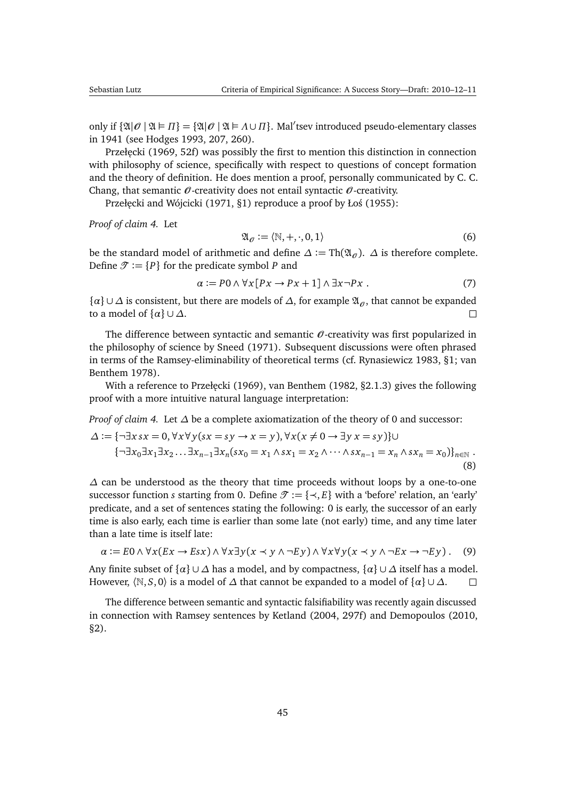<span id="page-44-0"></span>only if  $\{\mathfrak{A} | \mathcal{O} \mid \mathfrak{A} \models \Pi\} = \{\mathfrak{A} | \mathcal{O} \mid \mathfrak{A} \models \Lambda \cup \Pi\}$ . Mal'tsev introduced pseudo-elementary classes in 1941 (see [Hodges](#page-47-3) [1993,](#page-47-3) 207, 260).

Przełęcki [\(1969,](#page-49-5) 52f) was possibly the first to mention this distinction in connection with philosophy of science, specifically with respect to questions of concept formation and the theory of definition. He does mention a proof, personally communicated by C. C. Chang, that semantic  $\mathcal O$ -creativity does not entail syntactic  $\mathcal O$ -creativity.

Przełęcki and Wójcicki [\(1971,](#page-49-12) §1) reproduce a proof by Łoś [\(1955\)](#page-48-12):

*Proof of claim [4.](#page-11-3)* Let

$$
\mathfrak{A}_{\mathcal{O}} := \langle \mathbb{N}, +, \cdot, 0, 1 \rangle \tag{6}
$$

be the standard model of arithmetic and define  $\Delta := Th(\mathfrak{A}_{\mathcal{O}})$ .  $\Delta$  is therefore complete. Define  $\mathcal{T} := \{P\}$  for the predicate symbol *P* and

$$
\alpha := P0 \land \forall x [Px \to Px + 1] \land \exists x \neg Px . \tag{7}
$$

 $\{\alpha\} \cup \Delta$  is consistent, but there are models of  $\Delta$ , for example  $\mathfrak{A}_{\alpha}$ , that cannot be expanded to a model of  $\{\alpha\} \cup \Delta$ .  $\Box$ 

The difference between syntactic and semantic  $\theta$ -creativity was first popularized in the philosophy of science by [Sneed](#page-50-11) [\(1971\)](#page-50-11). Subsequent discussions were often phrased in terms of the Ramsey-eliminability of theoretical terms (cf. [Rynasiewicz](#page-50-12) [1983,](#page-50-12) §1; [van](#page-51-9) [Benthem](#page-51-9) [1978\)](#page-51-9).

With a reference to Przełęcki [\(1969\)](#page-49-5), [van Benthem](#page-51-10) [\(1982,](#page-51-10)  $\S2.1.3$ ) gives the following proof with a more intuitive natural language interpretation:

*Proof of claim [4.](#page-11-3)* Let  $\Delta$  be a complete axiomatization of the theory of 0 and successor:

$$
\Delta := \{\neg \exists x \, sx = 0, \forall x \forall y (sx = sy \rightarrow x = y), \forall x (x \neq 0 \rightarrow \exists y \, x = sy)\} \cup \{\neg \exists x_0 \exists x_1 \exists x_2 \dots \exists x_{n-1} \exists x_n (sx_0 = x_1 \land sx_1 = x_2 \land \dots \land sx_{n-1} = x_n \land sx_n = x_0)\}_{n \in \mathbb{N}}.
$$
\n(8)

*∆* can be understood as the theory that time proceeds without loops by a one-to-one successor function *s* starting from 0. Define  $\mathcal{T} := \{\prec, E\}$  with a 'before' relation, an 'early' predicate, and a set of sentences stating the following: 0 is early, the successor of an early time is also early, each time is earlier than some late (not early) time, and any time later than a late time is itself late:

$$
\alpha := E0 \land \forall x (Ex \to Esx) \land \forall x \exists y (x \prec y \land \neg Ey) \land \forall x \forall y (x \prec y \land \neg Ex \to \neg Ey).
$$
 (9)

Any finite subset of  $\{ \alpha \} \cup \Delta$  has a model, and by compactness,  $\{ \alpha \} \cup \Delta$  itself has a model. However,  $\langle \mathbb{N}, S, 0 \rangle$  is a model of  $\Delta$  that cannot be expanded to a model of  $\{\alpha\} \cup \Delta$ .  $\Box$ 

The difference between semantic and syntactic falsifiability was recently again discussed in connection with Ramsey sentences by [Ketland](#page-47-12) [\(2004,](#page-47-12) 297f) and [Demopoulos](#page-46-10) [\(2010,](#page-46-10) §2).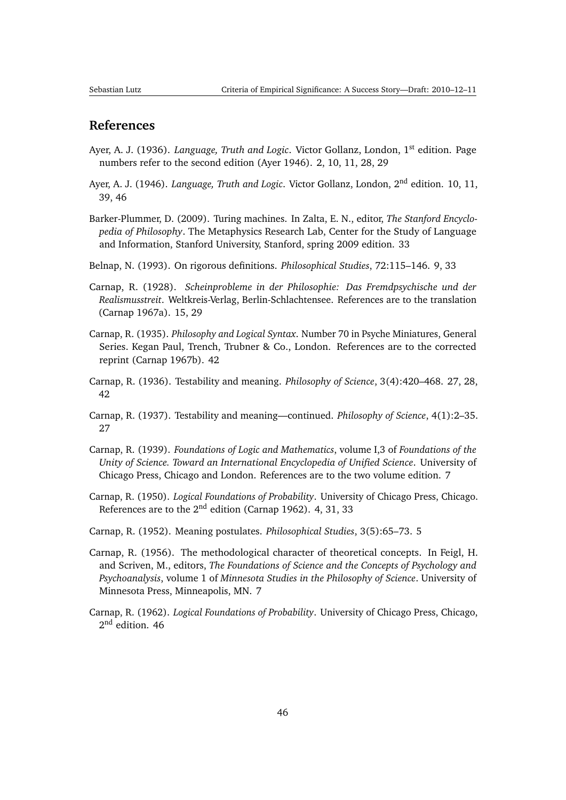## <span id="page-45-12"></span>**References**

- <span id="page-45-0"></span>Ayer, A. J. (1936). *Language, Truth and Logic*. Victor Gollanz, London, 1<sup>st</sup> edition. Page numbers refer to the second edition [\(Ayer](#page-45-6) [1946\)](#page-45-6). [2,](#page-1-1) [10,](#page-9-1) [11,](#page-10-1) [28,](#page-27-2) [29](#page-28-0)
- <span id="page-45-6"></span>Ayer, A. J. (1946). *Language, Truth and Logic*. Victor Gollanz, London, 2nd edition. [10,](#page-9-1) [11,](#page-10-1) [39,](#page-38-1) [46](#page-45-12)
- <span id="page-45-10"></span>Barker-Plummer, D. (2009). Turing machines. In Zalta, E. N., editor, *The Stanford Encyclopedia of Philosophy*. The Metaphysics Research Lab, Center for the Study of Language and Information, Stanford University, Stanford, spring 2009 edition. [33](#page-32-1)
- <span id="page-45-5"></span>Belnap, N. (1993). On rigorous definitions. *Philosophical Studies*, 72:115–146. [9,](#page-8-2) [33](#page-32-1)
- <span id="page-45-7"></span>Carnap, R. (1928). *Scheinprobleme in der Philosophie: Das Fremdpsychische und der Realismusstreit*. Weltkreis-Verlag, Berlin-Schlachtensee. References are to the translation [\(Carnap](#page-46-11) [1967a\)](#page-46-11). [15,](#page-14-1) [29](#page-28-0)
- <span id="page-45-11"></span>Carnap, R. (1935). *Philosophy and Logical Syntax*. Number 70 in Psyche Miniatures, General Series. Kegan Paul, Trench, Trubner & Co., London. References are to the corrected reprint [\(Carnap](#page-46-12) [1967b\)](#page-46-12). [42](#page-41-2)
- <span id="page-45-8"></span>Carnap, R. (1936). Testability and meaning. *Philosophy of Science*, 3(4):420–468. [27,](#page-26-1) [28,](#page-27-2) [42](#page-41-2)
- <span id="page-45-9"></span>Carnap, R. (1937). Testability and meaning—continued. *Philosophy of Science*, 4(1):2–35. [27](#page-26-1)
- <span id="page-45-4"></span>Carnap, R. (1939). *Foundations of Logic and Mathematics*, volume I,3 of *Foundations of the Unity of Science. Toward an International Encyclopedia of Unified Science*. University of Chicago Press, Chicago and London. References are to the two volume edition. [7](#page-6-1)
- <span id="page-45-1"></span>Carnap, R. (1950). *Logical Foundations of Probability*. University of Chicago Press, Chicago. References are to the  $2<sup>nd</sup>$  edition [\(Carnap](#page-45-13) [1962\)](#page-45-13). [4,](#page-3-2) [31,](#page-30-1) [33](#page-32-1)
- <span id="page-45-2"></span>Carnap, R. (1952). Meaning postulates. *Philosophical Studies*, 3(5):65–73. [5](#page-4-1)
- <span id="page-45-3"></span>Carnap, R. (1956). The methodological character of theoretical concepts. In Feigl, H. and Scriven, M., editors, *The Foundations of Science and the Concepts of Psychology and Psychoanalysis*, volume 1 of *Minnesota Studies in the Philosophy of Science*. University of Minnesota Press, Minneapolis, MN. [7](#page-6-1)
- <span id="page-45-13"></span>Carnap, R. (1962). *Logical Foundations of Probability*. University of Chicago Press, Chicago, 2<sup>nd</sup> edition. [46](#page-45-12)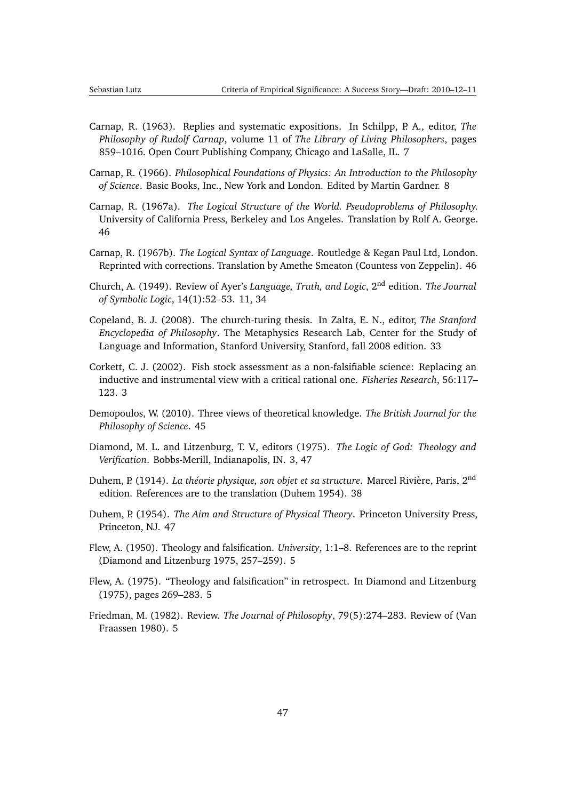- <span id="page-46-13"></span><span id="page-46-5"></span>Carnap, R. (1963). Replies and systematic expositions. In Schilpp, P. A., editor, *The Philosophy of Rudolf Carnap*, volume 11 of *The Library of Living Philosophers*, pages 859–1016. Open Court Publishing Company, Chicago and LaSalle, IL. [7](#page-6-1)
- <span id="page-46-6"></span>Carnap, R. (1966). *Philosophical Foundations of Physics: An Introduction to the Philosophy of Science*. Basic Books, Inc., New York and London. Edited by Martin Gardner. [8](#page-7-3)
- <span id="page-46-11"></span>Carnap, R. (1967a). *The Logical Structure of the World. Pseudoproblems of Philosophy.* University of California Press, Berkeley and Los Angeles. Translation by Rolf A. George. [46](#page-45-12)
- <span id="page-46-12"></span>Carnap, R. (1967b). *The Logical Syntax of Language*. Routledge & Kegan Paul Ltd, London. Reprinted with corrections. Translation by Amethe Smeaton (Countess von Zeppelin). [46](#page-45-12)
- <span id="page-46-7"></span>Church, A. (1949). Review of Ayer's *Language, Truth, and Logic*, 2nd edition. *The Journal of Symbolic Logic*, 14(1):52–53. [11,](#page-10-1) [34](#page-33-0)
- <span id="page-46-8"></span>Copeland, B. J. (2008). The church-turing thesis. In Zalta, E. N., editor, *The Stanford Encyclopedia of Philosophy*. The Metaphysics Research Lab, Center for the Study of Language and Information, Stanford University, Stanford, fall 2008 edition. [33](#page-32-1)
- <span id="page-46-0"></span>Corkett, C. J. (2002). Fish stock assessment as a non-falsifiable science: Replacing an inductive and instrumental view with a critical rational one. *Fisheries Research*, 56:117– 123. [3](#page-2-0)
- <span id="page-46-10"></span>Demopoulos, W. (2010). Three views of theoretical knowledge. *The British Journal for the Philosophy of Science*. [45](#page-44-0)
- <span id="page-46-1"></span>Diamond, M. L. and Litzenburg, T. V., editors (1975). *The Logic of God: Theology and Verification*. Bobbs-Merill, Indianapolis, IN. [3,](#page-2-0) [47](#page-46-13)
- <span id="page-46-9"></span>Duhem, P. (1914). *La théorie physique, son objet et sa structure*. Marcel Rivière, Paris, 2nd edition. References are to the translation [\(Duhem](#page-46-14) [1954\)](#page-46-14). [38](#page-37-2)
- <span id="page-46-14"></span>Duhem, P. (1954). *The Aim and Structure of Physical Theory*. Princeton University Press, Princeton, NJ. [47](#page-46-13)
- <span id="page-46-3"></span>Flew, A. (1950). Theology and falsification. *University*, 1:1–8. References are to the reprint [\(Diamond and Litzenburg](#page-46-1) [1975,](#page-46-1) 257–259). [5](#page-4-1)
- <span id="page-46-4"></span>Flew, A. (1975). "Theology and falsification" in retrospect. In [Diamond and Litzenburg](#page-46-1) [\(1975\)](#page-46-1), pages 269–283. [5](#page-4-1)
- <span id="page-46-2"></span>Friedman, M. (1982). Review. *The Journal of Philosophy*, 79(5):274–283. Review of [\(Van](#page-51-6) [Fraassen](#page-51-6) [1980\)](#page-51-6). [5](#page-4-1)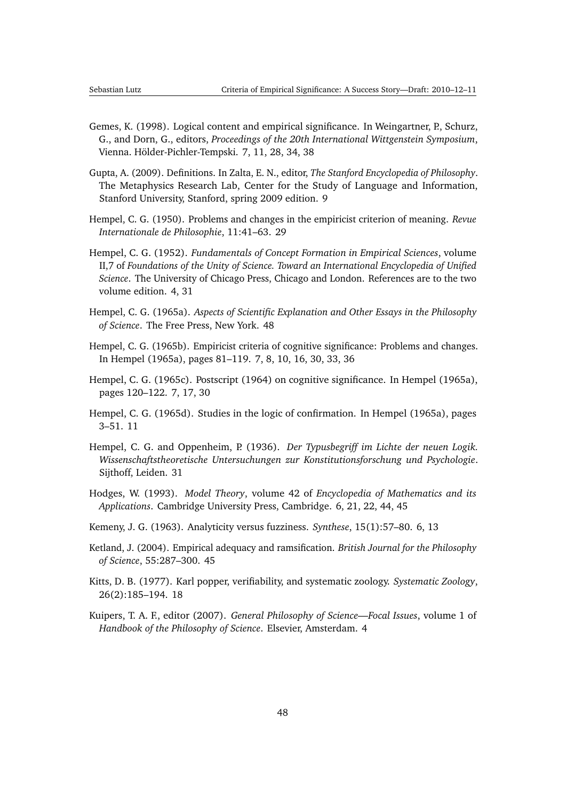- <span id="page-47-13"></span><span id="page-47-5"></span>Gemes, K. (1998). Logical content and empirical significance. In Weingartner, P., Schurz, G., and Dorn, G., editors, *Proceedings of the 20th International Wittgenstein Symposium*, Vienna. Hölder-Pichler-Tempski. [7,](#page-6-1) [11,](#page-10-1) [28,](#page-27-2) [34,](#page-33-0) [38](#page-37-2)
- <span id="page-47-7"></span>Gupta, A. (2009). Definitions. In Zalta, E. N., editor, *The Stanford Encyclopedia of Philosophy*. The Metaphysics Research Lab, Center for the Study of Language and Information, Stanford University, Stanford, spring 2009 edition. [9](#page-8-2)
- <span id="page-47-10"></span>Hempel, C. G. (1950). Problems and changes in the empiricist criterion of meaning. *Revue Internationale de Philosophie*, 11:41–63. [29](#page-28-0)
- <span id="page-47-1"></span>Hempel, C. G. (1952). *Fundamentals of Concept Formation in Empirical Sciences*, volume II,7 of *Foundations of the Unity of Science. Toward an International Encyclopedia of Unified Science*. The University of Chicago Press, Chicago and London. References are to the two volume edition. [4,](#page-3-2) [31](#page-30-1)
- <span id="page-47-14"></span>Hempel, C. G. (1965a). *Aspects of Scientific Explanation and Other Essays in the Philosophy of Science*. The Free Press, New York. [48](#page-47-13)
- <span id="page-47-4"></span>Hempel, C. G. (1965b). Empiricist criteria of cognitive significance: Problems and changes. In [Hempel](#page-47-14) [\(1965a\)](#page-47-14), pages 81–119. [7,](#page-6-1) [8,](#page-7-3) [10,](#page-9-1) [16,](#page-15-7) [30,](#page-29-3) [33,](#page-32-1) [36](#page-35-3)
- <span id="page-47-6"></span>Hempel, C. G. (1965c). Postscript (1964) on cognitive significance. In [Hempel](#page-47-14) [\(1965a\)](#page-47-14), pages 120–122. [7,](#page-6-1) [17,](#page-16-3) [30](#page-29-3)
- <span id="page-47-8"></span>Hempel, C. G. (1965d). Studies in the logic of confirmation. In [Hempel](#page-47-14) [\(1965a\)](#page-47-14), pages 3–51. [11](#page-10-1)
- <span id="page-47-11"></span>Hempel, C. G. and Oppenheim, P. (1936). *Der Typusbegriff im Lichte der neuen Logik. Wissenschaftstheoretische Untersuchungen zur Konstitutionsforschung und Psychologie*. Sijthoff, Leiden. [31](#page-30-1)
- <span id="page-47-3"></span>Hodges, W. (1993). *Model Theory*, volume 42 of *Encyclopedia of Mathematics and its Applications*. Cambridge University Press, Cambridge. [6,](#page-5-2) [21,](#page-20-2) [22,](#page-21-2) [44,](#page-43-2) [45](#page-44-0)
- <span id="page-47-2"></span>Kemeny, J. G. (1963). Analyticity versus fuzziness. *Synthese*, 15(1):57–80. [6,](#page-5-2) [13](#page-12-3)
- <span id="page-47-12"></span>Ketland, J. (2004). Empirical adequacy and ramsification. *British Journal for the Philosophy of Science*, 55:287–300. [45](#page-44-0)
- <span id="page-47-9"></span>Kitts, D. B. (1977). Karl popper, verifiability, and systematic zoology. *Systematic Zoology*, 26(2):185–194. [18](#page-17-5)
- <span id="page-47-0"></span>Kuipers, T. A. F., editor (2007). *General Philosophy of Science—Focal Issues*, volume 1 of *Handbook of the Philosophy of Science*. Elsevier, Amsterdam. [4](#page-3-2)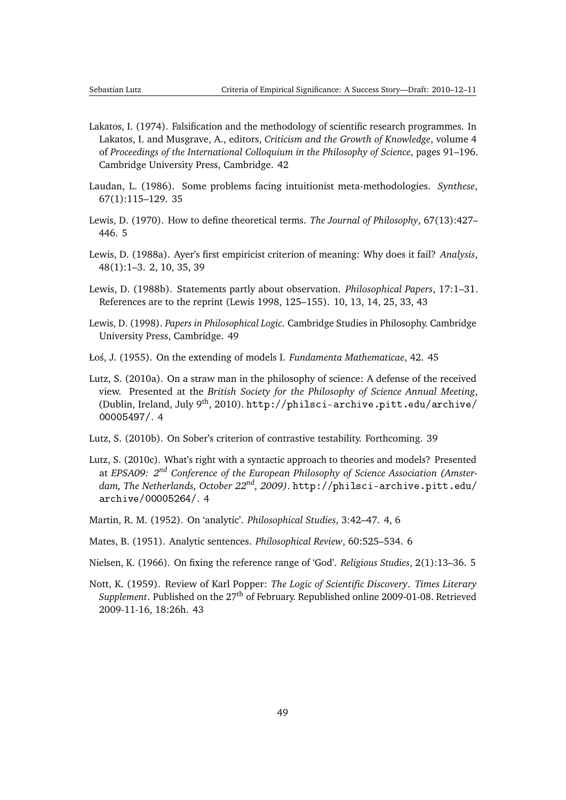- <span id="page-48-14"></span><span id="page-48-10"></span>Lakatos, I. (1974). Falsification and the methodology of scientific research programmes. In Lakatos, I. and Musgrave, A., editors, *Criticism and the Growth of Knowledge*, volume 4 of *Proceedings of the International Colloquium in the Philosophy of Science*, pages 91–196. Cambridge University Press, Cambridge. [42](#page-41-2)
- <span id="page-48-8"></span>Laudan, L. (1986). Some problems facing intuitionist meta-methodologies. *Synthese*, 67(1):115–129. [35](#page-34-2)
- <span id="page-48-4"></span>Lewis, D. (1970). How to define theoretical terms. *The Journal of Philosophy*, 67(13):427– 446. [5](#page-4-1)
- <span id="page-48-0"></span>Lewis, D. (1988a). Ayer's first empiricist criterion of meaning: Why does it fail? *Analysis*, 48(1):1–3. [2,](#page-1-1) [10,](#page-9-1) [35,](#page-34-2) [39](#page-38-1)
- <span id="page-48-7"></span>Lewis, D. (1988b). Statements partly about observation. *Philosophical Papers*, 17:1–31. References are to the reprint [\(Lewis](#page-48-13) [1998,](#page-48-13) 125–155). [10,](#page-9-1) [13,](#page-12-3) [14,](#page-13-3) [25,](#page-24-3) [33,](#page-32-1) [43](#page-42-1)
- <span id="page-48-13"></span>Lewis, D. (1998). *Papers in Philosophical Logic*. Cambridge Studies in Philosophy. Cambridge University Press, Cambridge. [49](#page-48-14)
- <span id="page-48-12"></span>Ło´s, J. (1955). On the extending of models I. *Fundamenta Mathematicae*, 42. [45](#page-44-0)
- <span id="page-48-2"></span>Lutz, S. (2010a). On a straw man in the philosophy of science: A defense of the received view. Presented at the *British Society for the Philosophy of Science Annual Meeting*, (Dublin, Ireland, July 9<sup>th</sup>, 2010). [http://philsci-archive.pitt.edu/archive/](http://philsci-archive.pitt.edu/archive/00005497/) [00005497/](http://philsci-archive.pitt.edu/archive/00005497/). [4](#page-3-2)
- <span id="page-48-9"></span>Lutz, S. (2010b). On Sober's criterion of contrastive testability. Forthcoming. [39](#page-38-1)
- <span id="page-48-3"></span>Lutz, S. (2010c). What's right with a syntactic approach to theories and models? Presented at *EPSA09: 2nd Conference of the European Philosophy of Science Association (Amsterdam, The Netherlands, October 22nd, 2009)*. [http://philsci-archive.pitt.edu/](http://philsci-archive.pitt.edu/archive/00005264/) [archive/00005264/](http://philsci-archive.pitt.edu/archive/00005264/). [4](#page-3-2)
- <span id="page-48-1"></span>Martin, R. M. (1952). On 'analytic'. *Philosophical Studies*, 3:42–47. [4,](#page-3-2) [6](#page-5-2)
- <span id="page-48-6"></span>Mates, B. (1951). Analytic sentences. *Philosophical Review*, 60:525–534. [6](#page-5-2)
- <span id="page-48-5"></span>Nielsen, K. (1966). On fixing the reference range of 'God'. *Religious Studies*, 2(1):13–36. [5](#page-4-1)
- <span id="page-48-11"></span>Nott, K. (1959). Review of Karl Popper: *The Logic of Scientific Discovery*. *Times Literary Supplement*. Published on the 27<sup>th</sup> of February. Republished online 2009-01-08. Retrieved 2009-11-16, 18:26h. [43](#page-42-1)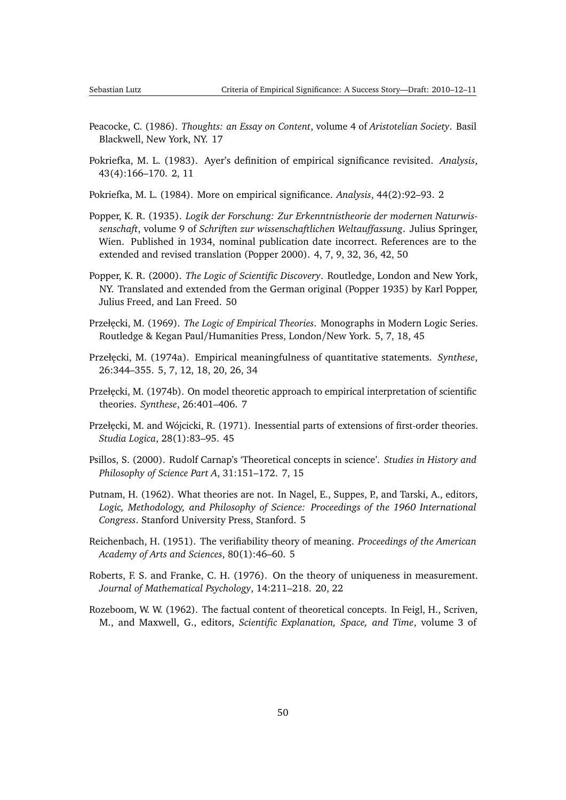- <span id="page-49-14"></span><span id="page-49-10"></span>Peacocke, C. (1986). *Thoughts: an Essay on Content*, volume 4 of *Aristotelian Society*. Basil Blackwell, New York, NY. [17](#page-16-3)
- <span id="page-49-0"></span>Pokriefka, M. L. (1983). Ayer's definition of empirical significance revisited. *Analysis*, 43(4):166–170. [2,](#page-1-1) [11](#page-10-1)
- <span id="page-49-1"></span>Pokriefka, M. L. (1984). More on empirical significance. *Analysis*, 44(2):92–93. [2](#page-1-1)
- <span id="page-49-2"></span>Popper, K. R. (1935). *Logik der Forschung: Zur Erkenntnistheorie der modernen Naturwissenschaft*, volume 9 of *Schriften zur wissenschaftlichen Weltauffassung*. Julius Springer, Wien. Published in 1934, nominal publication date incorrect. References are to the extended and revised translation [\(Popper](#page-49-13) [2000\)](#page-49-13). [4,](#page-3-2) [7,](#page-6-1) [9,](#page-8-2) [32,](#page-31-2) [36,](#page-35-3) [42,](#page-41-2) [50](#page-49-14)
- <span id="page-49-13"></span>Popper, K. R. (2000). *The Logic of Scientific Discovery*. Routledge, London and New York, NY. Translated and extended from the German original [\(Popper](#page-49-2) [1935\)](#page-49-2) by Karl Popper, Julius Freed, and Lan Freed. [50](#page-49-14)
- <span id="page-49-5"></span>Przeł˛ecki, M. (1969). *The Logic of Empirical Theories*. Monographs in Modern Logic Series. Routledge & Kegan Paul/Humanities Press, London/New York. [5,](#page-4-1) [7,](#page-6-1) [18,](#page-17-5) [45](#page-44-0)
- <span id="page-49-4"></span>Przeł˛ecki, M. (1974a). Empirical meaningfulness of quantitative statements. *Synthese*, 26:344–355. [5,](#page-4-1) [7,](#page-6-1) [12,](#page-11-5) [18,](#page-17-5) [20,](#page-19-2) [26,](#page-25-0) [34](#page-33-0)
- <span id="page-49-8"></span>Przełęcki, M. (1974b). On model theoretic approach to empirical interpretation of scientific theories. *Synthese*, 26:401–406. [7](#page-6-1)
- <span id="page-49-12"></span>Przeł˛ecki, M. and Wójcicki, R. (1971). Inessential parts of extensions of first-order theories. *Studia Logica*, 28(1):83–95. [45](#page-44-0)
- <span id="page-49-9"></span>Psillos, S. (2000). Rudolf Carnap's 'Theoretical concepts in science'. *Studies in History and Philosophy of Science Part A*, 31:151–172. [7,](#page-6-1) [15](#page-14-1)
- <span id="page-49-3"></span>Putnam, H. (1962). What theories are not. In Nagel, E., Suppes, P., and Tarski, A., editors, *Logic, Methodology, and Philosophy of Science: Proceedings of the 1960 International Congress*. Stanford University Press, Stanford. [5](#page-4-1)
- <span id="page-49-6"></span>Reichenbach, H. (1951). The verifiability theory of meaning. *Proceedings of the American Academy of Arts and Sciences*, 80(1):46–60. [5](#page-4-1)
- <span id="page-49-11"></span>Roberts, F. S. and Franke, C. H. (1976). On the theory of uniqueness in measurement. *Journal of Mathematical Psychology*, 14:211–218. [20,](#page-19-2) [22](#page-21-2)
- <span id="page-49-7"></span>Rozeboom, W. W. (1962). The factual content of theoretical concepts. In Feigl, H., Scriven, M., and Maxwell, G., editors, *Scientific Explanation, Space, and Time*, volume 3 of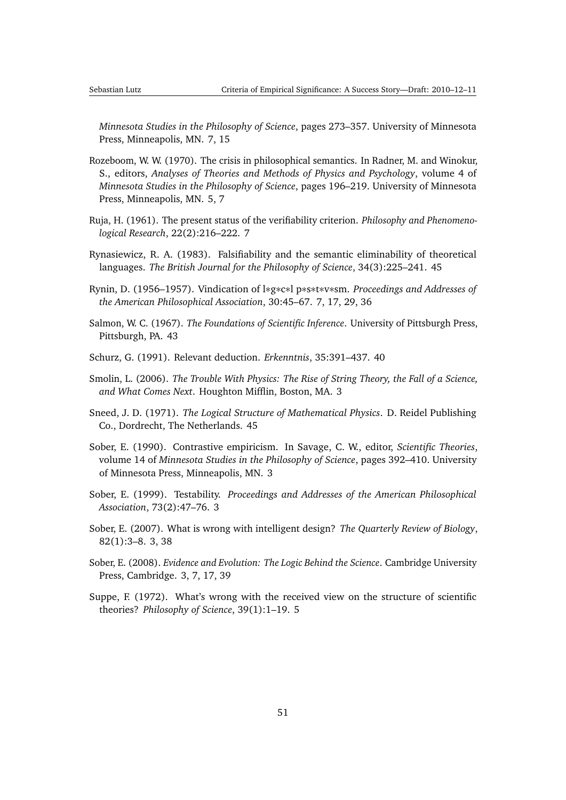*Minnesota Studies in the Philosophy of Science*, pages 273–357. University of Minnesota Press, Minneapolis, MN. [7,](#page-6-1) [15](#page-14-1)

- <span id="page-50-6"></span>Rozeboom, W. W. (1970). The crisis in philosophical semantics. In Radner, M. and Winokur, S., editors, *Analyses of Theories and Methods of Physics and Psychology*, volume 4 of *Minnesota Studies in the Philosophy of Science*, pages 196–219. University of Minnesota Press, Minneapolis, MN. [5,](#page-4-1) [7](#page-6-1)
- <span id="page-50-7"></span>Ruja, H. (1961). The present status of the verifiability criterion. *Philosophy and Phenomenological Research*, 22(2):216–222. [7](#page-6-1)
- <span id="page-50-12"></span>Rynasiewicz, R. A. (1983). Falsifiability and the semantic eliminability of theoretical languages. *The British Journal for the Philosophy of Science*, 34(3):225–241. [45](#page-44-0)
- <span id="page-50-8"></span>Rynin, D. (1956–1957). Vindication of l∗g∗c∗l p∗s∗t∗v∗sm. *Proceedings and Addresses of the American Philosophical Association*, 30:45–67. [7,](#page-6-1) [17,](#page-16-3) [29,](#page-28-0) [36](#page-35-3)
- <span id="page-50-10"></span>Salmon, W. C. (1967). *The Foundations of Scientific Inference*. University of Pittsburgh Press, Pittsburgh, PA. [43](#page-42-1)
- <span id="page-50-9"></span>Schurz, G. (1991). Relevant deduction. *Erkenntnis*, 35:391–437. [40](#page-39-2)
- <span id="page-50-3"></span>Smolin, L. (2006). *The Trouble With Physics: The Rise of String Theory, the Fall of a Science, and What Comes Next*. Houghton Mifflin, Boston, MA. [3](#page-2-0)
- <span id="page-50-11"></span>Sneed, J. D. (1971). *The Logical Structure of Mathematical Physics*. D. Reidel Publishing Co., Dordrecht, The Netherlands. [45](#page-44-0)
- <span id="page-50-4"></span>Sober, E. (1990). Contrastive empiricism. In Savage, C. W., editor, *Scientific Theories*, volume 14 of *Minnesota Studies in the Philosophy of Science*, pages 392–410. University of Minnesota Press, Minneapolis, MN. [3](#page-2-0)
- <span id="page-50-1"></span>Sober, E. (1999). Testability. *Proceedings and Addresses of the American Philosophical Association*, 73(2):47–76. [3](#page-2-0)
- <span id="page-50-2"></span>Sober, E. (2007). What is wrong with intelligent design? *The Quarterly Review of Biology*, 82(1):3–8. [3,](#page-2-0) [38](#page-37-2)
- <span id="page-50-0"></span>Sober, E. (2008). *Evidence and Evolution: The Logic Behind the Science*. Cambridge University Press, Cambridge. [3,](#page-2-0) [7,](#page-6-1) [17,](#page-16-3) [39](#page-38-1)
- <span id="page-50-5"></span>Suppe, F. (1972). What's wrong with the received view on the structure of scientific theories? *Philosophy of Science*, 39(1):1–19. [5](#page-4-1)